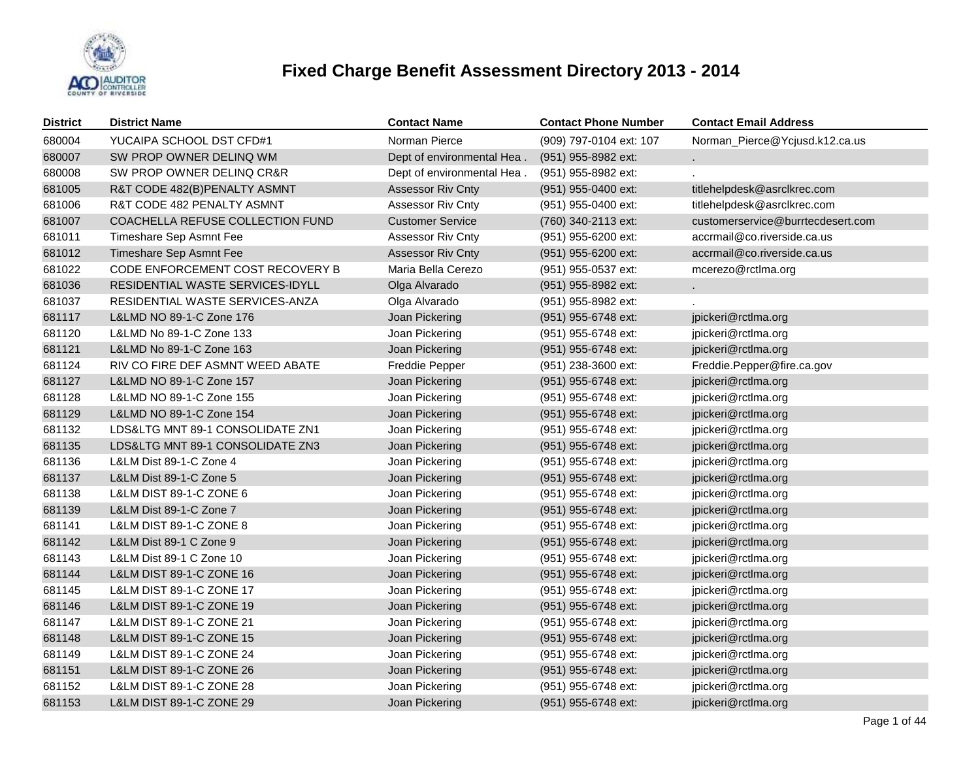

| <b>District</b> | <b>District Name</b>                | <b>Contact Name</b>        | <b>Contact Phone Number</b> | <b>Contact Email Address</b>      |
|-----------------|-------------------------------------|----------------------------|-----------------------------|-----------------------------------|
| 680004          | YUCAIPA SCHOOL DST CFD#1            | Norman Pierce              | (909) 797-0104 ext: 107     | Norman_Pierce@Ycjusd.k12.ca.us    |
| 680007          | SW PROP OWNER DELINQ WM             | Dept of environmental Hea. | (951) 955-8982 ext:         |                                   |
| 680008          | SW PROP OWNER DELINQ CR&R           | Dept of environmental Hea. | (951) 955-8982 ext:         |                                   |
| 681005          | R&T CODE 482(B)PENALTY ASMNT        | <b>Assessor Riv Cnty</b>   | (951) 955-0400 ext:         | titlehelpdesk@asrclkrec.com       |
| 681006          | R&T CODE 482 PENALTY ASMNT          | <b>Assessor Riv Cnty</b>   | (951) 955-0400 ext:         | titlehelpdesk@asrclkrec.com       |
| 681007          | COACHELLA REFUSE COLLECTION FUND    | <b>Customer Service</b>    | (760) 340-2113 ext:         | customerservice@burrtecdesert.com |
| 681011          | Timeshare Sep Asmnt Fee             | Assessor Riv Cnty          | (951) 955-6200 ext:         | accrmail@co.riverside.ca.us       |
| 681012          | Timeshare Sep Asmnt Fee             | <b>Assessor Riv Cnty</b>   | (951) 955-6200 ext:         | accrmail@co.riverside.ca.us       |
| 681022          | CODE ENFORCEMENT COST RECOVERY B    | Maria Bella Cerezo         | (951) 955-0537 ext:         | mcerezo@rctlma.org                |
| 681036          | RESIDENTIAL WASTE SERVICES-IDYLL    | Olga Alvarado              | (951) 955-8982 ext:         |                                   |
| 681037          | RESIDENTIAL WASTE SERVICES-ANZA     | Olga Alvarado              | (951) 955-8982 ext:         |                                   |
| 681117          | L&LMD NO 89-1-C Zone 176            | Joan Pickering             | (951) 955-6748 ext:         | jpickeri@rctlma.org               |
| 681120          | L&LMD No 89-1-C Zone 133            | Joan Pickering             | (951) 955-6748 ext:         | jpickeri@rctlma.org               |
| 681121          | L&LMD No 89-1-C Zone 163            | Joan Pickering             | (951) 955-6748 ext:         | jpickeri@rctlma.org               |
| 681124          | RIV CO FIRE DEF ASMNT WEED ABATE    | Freddie Pepper             | (951) 238-3600 ext:         | Freddie.Pepper@fire.ca.gov        |
| 681127          | L&LMD NO 89-1-C Zone 157            | Joan Pickering             | (951) 955-6748 ext:         | jpickeri@rctlma.org               |
| 681128          | L&LMD NO 89-1-C Zone 155            | Joan Pickering             | (951) 955-6748 ext:         | jpickeri@rctlma.org               |
| 681129          | L&LMD NO 89-1-C Zone 154            | Joan Pickering             | (951) 955-6748 ext:         | jpickeri@rctlma.org               |
| 681132          | LDS&LTG MNT 89-1 CONSOLIDATE ZN1    | Joan Pickering             | (951) 955-6748 ext:         | jpickeri@rctlma.org               |
| 681135          | LDS&LTG MNT 89-1 CONSOLIDATE ZN3    | Joan Pickering             | (951) 955-6748 ext:         | jpickeri@rctlma.org               |
| 681136          | L&LM Dist 89-1-C Zone 4             | Joan Pickering             | (951) 955-6748 ext:         | jpickeri@rctlma.org               |
| 681137          | L&LM Dist 89-1-C Zone 5             | Joan Pickering             | (951) 955-6748 ext:         | jpickeri@rctlma.org               |
| 681138          | L&LM DIST 89-1-C ZONE 6             | Joan Pickering             | (951) 955-6748 ext:         | jpickeri@rctlma.org               |
| 681139          | L&LM Dist 89-1-C Zone 7             | Joan Pickering             | (951) 955-6748 ext:         | jpickeri@rctlma.org               |
| 681141          | L&LM DIST 89-1-C ZONE 8             | Joan Pickering             | (951) 955-6748 ext:         | jpickeri@rctlma.org               |
| 681142          | L&LM Dist 89-1 C Zone 9             | Joan Pickering             | (951) 955-6748 ext:         | jpickeri@rctlma.org               |
| 681143          | L&LM Dist 89-1 C Zone 10            | Joan Pickering             | (951) 955-6748 ext:         | jpickeri@rctlma.org               |
| 681144          | L&LM DIST 89-1-C ZONE 16            | Joan Pickering             | (951) 955-6748 ext:         | jpickeri@rctlma.org               |
| 681145          | L&LM DIST 89-1-C ZONE 17            | Joan Pickering             | (951) 955-6748 ext:         | jpickeri@rctlma.org               |
| 681146          | <b>L&amp;LM DIST 89-1-C ZONE 19</b> | Joan Pickering             | (951) 955-6748 ext:         | jpickeri@rctlma.org               |
| 681147          | L&LM DIST 89-1-C ZONE 21            | Joan Pickering             | (951) 955-6748 ext:         | jpickeri@rctlma.org               |
| 681148          | <b>L&amp;LM DIST 89-1-C ZONE 15</b> | Joan Pickering             | (951) 955-6748 ext:         | jpickeri@rctlma.org               |
| 681149          | L&LM DIST 89-1-C ZONE 24            | Joan Pickering             | (951) 955-6748 ext:         | jpickeri@rctlma.org               |
| 681151          | L&LM DIST 89-1-C ZONE 26            | Joan Pickering             | (951) 955-6748 ext:         | jpickeri@rctlma.org               |
| 681152          | L&LM DIST 89-1-C ZONE 28            | Joan Pickering             | (951) 955-6748 ext:         | jpickeri@rctlma.org               |
| 681153          | L&LM DIST 89-1-C ZONE 29            | Joan Pickering             | (951) 955-6748 ext:         | jpickeri@rctlma.org               |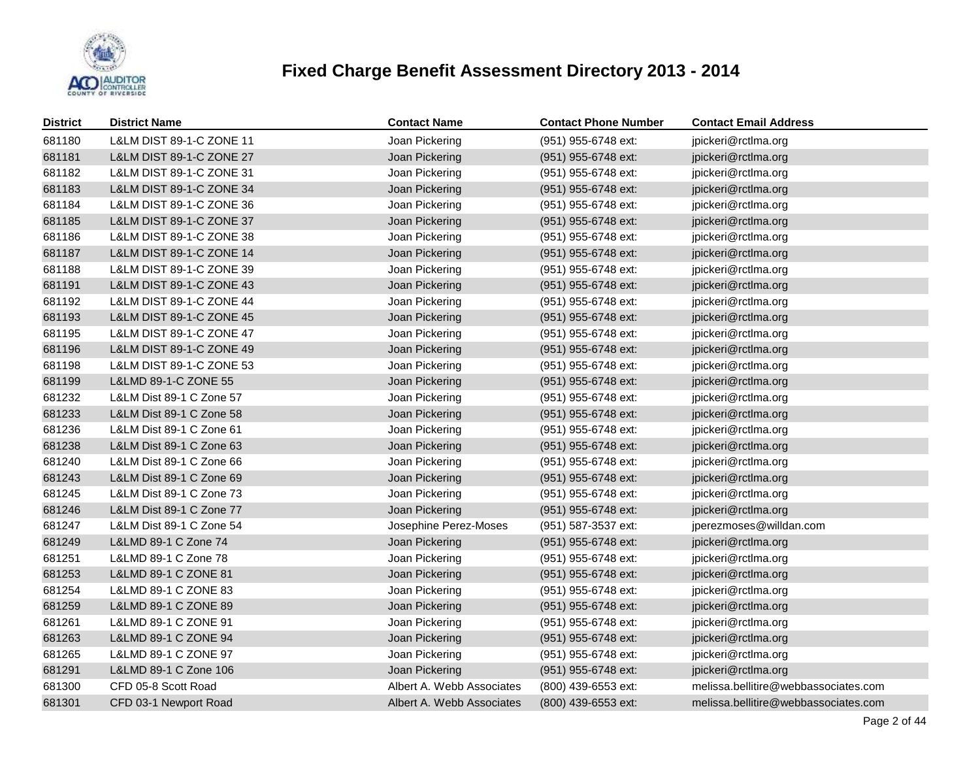

| <b>District</b> | <b>District Name</b>                | <b>Contact Name</b>       | <b>Contact Phone Number</b> | <b>Contact Email Address</b>         |
|-----------------|-------------------------------------|---------------------------|-----------------------------|--------------------------------------|
| 681180          | L&LM DIST 89-1-C ZONE 11            | Joan Pickering            | (951) 955-6748 ext:         | jpickeri@rctlma.org                  |
| 681181          | <b>L&amp;LM DIST 89-1-C ZONE 27</b> | Joan Pickering            | (951) 955-6748 ext:         | jpickeri@rctlma.org                  |
| 681182          | L&LM DIST 89-1-C ZONE 31            | Joan Pickering            | (951) 955-6748 ext:         | jpickeri@rctlma.org                  |
| 681183          | L&LM DIST 89-1-C ZONE 34            | Joan Pickering            | (951) 955-6748 ext:         | jpickeri@rctlma.org                  |
| 681184          | L&LM DIST 89-1-C ZONE 36            | Joan Pickering            | (951) 955-6748 ext:         | jpickeri@rctlma.org                  |
| 681185          | L&LM DIST 89-1-C ZONE 37            | Joan Pickering            | (951) 955-6748 ext:         | jpickeri@rctlma.org                  |
| 681186          | L&LM DIST 89-1-C ZONE 38            | Joan Pickering            | (951) 955-6748 ext:         | jpickeri@rctlma.org                  |
| 681187          | L&LM DIST 89-1-C ZONE 14            | Joan Pickering            | (951) 955-6748 ext:         | jpickeri@rctlma.org                  |
| 681188          | <b>L&amp;LM DIST 89-1-C ZONE 39</b> | Joan Pickering            | (951) 955-6748 ext:         | jpickeri@rctlma.org                  |
| 681191          | L&LM DIST 89-1-C ZONE 43            | Joan Pickering            | (951) 955-6748 ext:         | jpickeri@rctlma.org                  |
| 681192          | L&LM DIST 89-1-C ZONE 44            | Joan Pickering            | (951) 955-6748 ext:         | jpickeri@rctlma.org                  |
| 681193          | <b>L&amp;LM DIST 89-1-C ZONE 45</b> | Joan Pickering            | (951) 955-6748 ext:         | jpickeri@rctlma.org                  |
| 681195          | L&LM DIST 89-1-C ZONE 47            | Joan Pickering            | (951) 955-6748 ext:         | jpickeri@rctlma.org                  |
| 681196          | <b>L&amp;LM DIST 89-1-C ZONE 49</b> | Joan Pickering            | (951) 955-6748 ext:         | jpickeri@rctlma.org                  |
| 681198          | L&LM DIST 89-1-C ZONE 53            | Joan Pickering            | (951) 955-6748 ext:         | jpickeri@rctlma.org                  |
| 681199          | L&LMD 89-1-C ZONE 55                | Joan Pickering            | (951) 955-6748 ext:         | jpickeri@rctlma.org                  |
| 681232          | L&LM Dist 89-1 C Zone 57            | Joan Pickering            | (951) 955-6748 ext:         | jpickeri@rctlma.org                  |
| 681233          | L&LM Dist 89-1 C Zone 58            | Joan Pickering            | (951) 955-6748 ext:         | jpickeri@rctlma.org                  |
| 681236          | L&LM Dist 89-1 C Zone 61            | Joan Pickering            | (951) 955-6748 ext:         | jpickeri@rctlma.org                  |
| 681238          | L&LM Dist 89-1 C Zone 63            | Joan Pickering            | (951) 955-6748 ext:         | jpickeri@rctlma.org                  |
| 681240          | L&LM Dist 89-1 C Zone 66            | Joan Pickering            | (951) 955-6748 ext:         | jpickeri@rctlma.org                  |
| 681243          | L&LM Dist 89-1 C Zone 69            | Joan Pickering            | (951) 955-6748 ext:         | jpickeri@rctlma.org                  |
| 681245          | L&LM Dist 89-1 C Zone 73            | Joan Pickering            | (951) 955-6748 ext:         | jpickeri@rctlma.org                  |
| 681246          | L&LM Dist 89-1 C Zone 77            | Joan Pickering            | (951) 955-6748 ext:         | jpickeri@rctlma.org                  |
| 681247          | L&LM Dist 89-1 C Zone 54            | Josephine Perez-Moses     | (951) 587-3537 ext:         | jperezmoses@willdan.com              |
| 681249          | L&LMD 89-1 C Zone 74                | Joan Pickering            | (951) 955-6748 ext:         | jpickeri@rctlma.org                  |
| 681251          | L&LMD 89-1 C Zone 78                | Joan Pickering            | (951) 955-6748 ext:         | jpickeri@rctlma.org                  |
| 681253          | L&LMD 89-1 C ZONE 81                | Joan Pickering            | (951) 955-6748 ext:         | jpickeri@rctlma.org                  |
| 681254          | L&LMD 89-1 C ZONE 83                | Joan Pickering            | (951) 955-6748 ext:         | jpickeri@rctlma.org                  |
| 681259          | L&LMD 89-1 C ZONE 89                | Joan Pickering            | (951) 955-6748 ext:         | jpickeri@rctlma.org                  |
| 681261          | L&LMD 89-1 C ZONE 91                | Joan Pickering            | (951) 955-6748 ext:         | jpickeri@rctlma.org                  |
| 681263          | L&LMD 89-1 C ZONE 94                | Joan Pickering            | (951) 955-6748 ext:         | jpickeri@rctlma.org                  |
| 681265          | L&LMD 89-1 C ZONE 97                | Joan Pickering            | (951) 955-6748 ext:         | jpickeri@rctlma.org                  |
| 681291          | L&LMD 89-1 C Zone 106               | Joan Pickering            | (951) 955-6748 ext:         | jpickeri@rctlma.org                  |
| 681300          | CFD 05-8 Scott Road                 | Albert A. Webb Associates | (800) 439-6553 ext:         | melissa.bellitire@webbassociates.com |
| 681301          | CFD 03-1 Newport Road               | Albert A. Webb Associates | (800) 439-6553 ext:         | melissa.bellitire@webbassociates.com |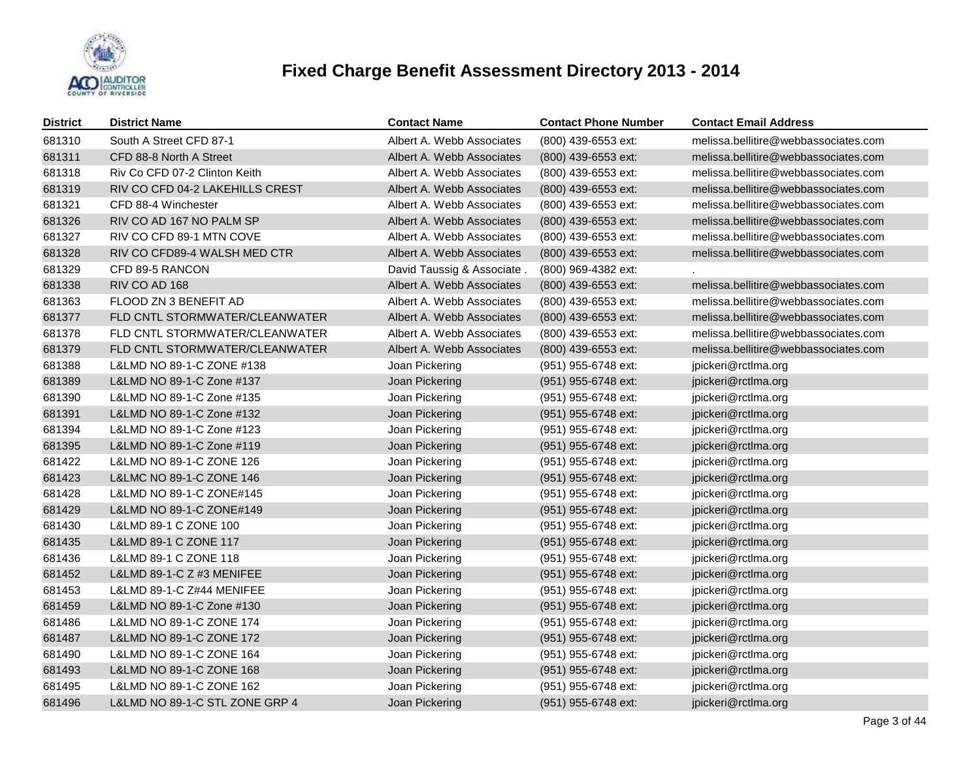

| <b>District</b> | <b>District Name</b>            | <b>Contact Name</b>       | <b>Contact Phone Number</b> | <b>Contact Email Address</b>         |
|-----------------|---------------------------------|---------------------------|-----------------------------|--------------------------------------|
| 681310          | South A Street CFD 87-1         | Albert A. Webb Associates | (800) 439-6553 ext:         | melissa.bellitire@webbassociates.com |
| 681311          | CFD 88-8 North A Street         | Albert A. Webb Associates | (800) 439-6553 ext:         | melissa.bellitire@webbassociates.com |
| 681318          | Riv Co CFD 07-2 Clinton Keith   | Albert A. Webb Associates | (800) 439-6553 ext:         | melissa.bellitire@webbassociates.com |
| 681319          | RIV CO CFD 04-2 LAKEHILLS CREST | Albert A. Webb Associates | (800) 439-6553 ext:         | melissa.bellitire@webbassociates.com |
| 681321          | CFD 88-4 Winchester             | Albert A. Webb Associates | (800) 439-6553 ext:         | melissa.bellitire@webbassociates.com |
| 681326          | RIV CO AD 167 NO PALM SP        | Albert A. Webb Associates | (800) 439-6553 ext:         | melissa.bellitire@webbassociates.com |
| 681327          | RIV CO CFD 89-1 MTN COVE        | Albert A. Webb Associates | (800) 439-6553 ext:         | melissa.bellitire@webbassociates.com |
| 681328          | RIV CO CFD89-4 WALSH MED CTR    | Albert A. Webb Associates | (800) 439-6553 ext:         | melissa.bellitire@webbassociates.com |
| 681329          | CFD 89-5 RANCON                 | David Taussig & Associate | (800) 969-4382 ext:         |                                      |
| 681338          | RIV CO AD 168                   | Albert A. Webb Associates | (800) 439-6553 ext:         | melissa.bellitire@webbassociates.com |
| 681363          | FLOOD ZN 3 BENEFIT AD           | Albert A. Webb Associates | (800) 439-6553 ext:         | melissa.bellitire@webbassociates.com |
| 681377          | FLD CNTL STORMWATER/CLEANWATER  | Albert A. Webb Associates | (800) 439-6553 ext:         | melissa.bellitire@webbassociates.com |
| 681378          | FLD CNTL STORMWATER/CLEANWATER  | Albert A. Webb Associates | (800) 439-6553 ext:         | melissa.bellitire@webbassociates.com |
| 681379          | FLD CNTL STORMWATER/CLEANWATER  | Albert A. Webb Associates | (800) 439-6553 ext:         | melissa.bellitire@webbassociates.com |
| 681388          | L&LMD NO 89-1-C ZONE #138       | Joan Pickering            | (951) 955-6748 ext:         | jpickeri@rctlma.org                  |
| 681389          | L&LMD NO 89-1-C Zone #137       | Joan Pickering            | (951) 955-6748 ext:         | jpickeri@rctlma.org                  |
| 681390          | L&LMD NO 89-1-C Zone #135       | Joan Pickering            | (951) 955-6748 ext:         | jpickeri@rctlma.org                  |
| 681391          | L&LMD NO 89-1-C Zone #132       | Joan Pickering            | (951) 955-6748 ext:         | jpickeri@rctlma.org                  |
| 681394          | L&LMD NO 89-1-C Zone #123       | Joan Pickering            | (951) 955-6748 ext:         | jpickeri@rctlma.org                  |
| 681395          | L&LMD NO 89-1-C Zone #119       | Joan Pickering            | (951) 955-6748 ext:         | jpickeri@rctlma.org                  |
| 681422          | L&LMD NO 89-1-C ZONE 126        | Joan Pickering            | (951) 955-6748 ext:         | jpickeri@rctlma.org                  |
| 681423          | L&LMC NO 89-1-C ZONE 146        | Joan Pickering            | (951) 955-6748 ext:         | jpickeri@rctlma.org                  |
| 681428          | L&LMD NO 89-1-C ZONE#145        | Joan Pickering            | (951) 955-6748 ext:         | jpickeri@rctlma.org                  |
| 681429          | L&LMD NO 89-1-C ZONE#149        | Joan Pickering            | (951) 955-6748 ext:         | jpickeri@rctlma.org                  |
| 681430          | L&LMD 89-1 C ZONE 100           | Joan Pickering            | (951) 955-6748 ext:         | jpickeri@rctlma.org                  |
| 681435          | L&LMD 89-1 C ZONE 117           | Joan Pickering            | (951) 955-6748 ext:         | jpickeri@rctlma.org                  |
| 681436          | L&LMD 89-1 C ZONE 118           | Joan Pickering            | (951) 955-6748 ext:         | jpickeri@rctlma.org                  |
| 681452          | L&LMD 89-1-C $Z$ #3 MENIFEE     | Joan Pickering            | (951) 955-6748 ext:         | jpickeri@rctlma.org                  |
| 681453          | L&LMD 89-1-C Z#44 MENIFEE       | Joan Pickering            | (951) 955-6748 ext:         | jpickeri@rctlma.org                  |
| 681459          | L&LMD NO 89-1-C Zone #130       | Joan Pickering            | (951) 955-6748 ext:         | jpickeri@rctlma.org                  |
| 681486          | L&LMD NO 89-1-C ZONE 174        | Joan Pickering            | (951) 955-6748 ext:         | jpickeri@rctlma.org                  |
| 681487          | L&LMD NO 89-1-C ZONE 172        | Joan Pickering            | (951) 955-6748 ext:         | jpickeri@rctlma.org                  |
| 681490          | L&LMD NO 89-1-C ZONE 164        | Joan Pickering            | (951) 955-6748 ext:         | jpickeri@rctlma.org                  |
| 681493          | L&LMD NO 89-1-C ZONE 168        | Joan Pickering            | (951) 955-6748 ext:         | jpickeri@rctlma.org                  |
| 681495          | L&LMD NO 89-1-C ZONE 162        | Joan Pickering            | (951) 955-6748 ext:         | jpickeri@rctlma.org                  |
| 681496          | L&LMD NO 89-1-C STL ZONE GRP 4  | Joan Pickering            | (951) 955-6748 ext:         | jpickeri@rctlma.org                  |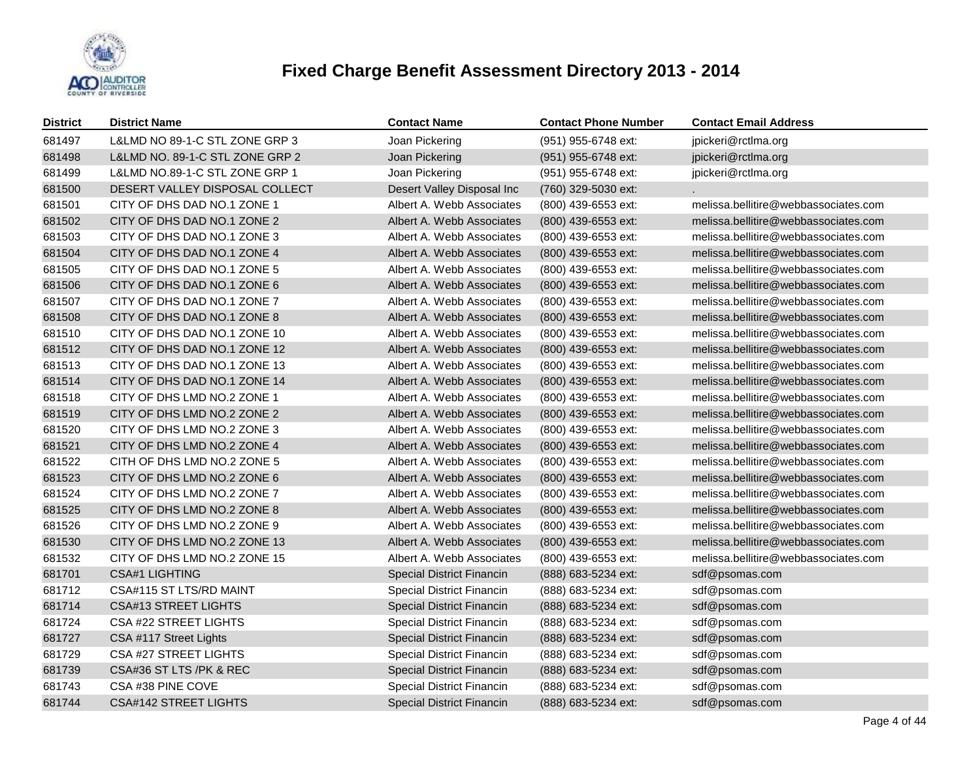

| <b>District</b> | <b>District Name</b>            | <b>Contact Name</b>              | <b>Contact Phone Number</b> | <b>Contact Email Address</b>         |
|-----------------|---------------------------------|----------------------------------|-----------------------------|--------------------------------------|
| 681497          | L&LMD NO 89-1-C STL ZONE GRP 3  | Joan Pickering                   | (951) 955-6748 ext:         | jpickeri@rctlma.org                  |
| 681498          | L&LMD NO. 89-1-C STL ZONE GRP 2 | Joan Pickering                   | (951) 955-6748 ext:         | jpickeri@rctlma.org                  |
| 681499          | L&LMD NO.89-1-C STL ZONE GRP 1  | Joan Pickering                   | (951) 955-6748 ext:         | jpickeri@rctlma.org                  |
| 681500          | DESERT VALLEY DISPOSAL COLLECT  | Desert Valley Disposal Inc       | (760) 329-5030 ext:         |                                      |
| 681501          | CITY OF DHS DAD NO.1 ZONE 1     | Albert A. Webb Associates        | (800) 439-6553 ext:         | melissa.bellitire@webbassociates.com |
| 681502          | CITY OF DHS DAD NO.1 ZONE 2     | Albert A. Webb Associates        | (800) 439-6553 ext:         | melissa.bellitire@webbassociates.com |
| 681503          | CITY OF DHS DAD NO.1 ZONE 3     | Albert A. Webb Associates        | (800) 439-6553 ext:         | melissa.bellitire@webbassociates.com |
| 681504          | CITY OF DHS DAD NO.1 ZONE 4     | Albert A. Webb Associates        | (800) 439-6553 ext:         | melissa.bellitire@webbassociates.com |
| 681505          | CITY OF DHS DAD NO.1 ZONE 5     | Albert A. Webb Associates        | (800) 439-6553 ext:         | melissa.bellitire@webbassociates.com |
| 681506          | CITY OF DHS DAD NO.1 ZONE 6     | Albert A. Webb Associates        | (800) 439-6553 ext:         | melissa.bellitire@webbassociates.com |
| 681507          | CITY OF DHS DAD NO.1 ZONE 7     | Albert A. Webb Associates        | (800) 439-6553 ext:         | melissa.bellitire@webbassociates.com |
| 681508          | CITY OF DHS DAD NO.1 ZONE 8     | Albert A. Webb Associates        | (800) 439-6553 ext:         | melissa.bellitire@webbassociates.com |
| 681510          | CITY OF DHS DAD NO.1 ZONE 10    | Albert A. Webb Associates        | (800) 439-6553 ext:         | melissa.bellitire@webbassociates.com |
| 681512          | CITY OF DHS DAD NO.1 ZONE 12    | Albert A. Webb Associates        | (800) 439-6553 ext:         | melissa.bellitire@webbassociates.com |
| 681513          | CITY OF DHS DAD NO.1 ZONE 13    | Albert A. Webb Associates        | (800) 439-6553 ext:         | melissa.bellitire@webbassociates.com |
| 681514          | CITY OF DHS DAD NO.1 ZONE 14    | Albert A. Webb Associates        | (800) 439-6553 ext:         | melissa.bellitire@webbassociates.com |
| 681518          | CITY OF DHS LMD NO.2 ZONE 1     | Albert A. Webb Associates        | (800) 439-6553 ext:         | melissa.bellitire@webbassociates.com |
| 681519          | CITY OF DHS LMD NO.2 ZONE 2     | Albert A. Webb Associates        | (800) 439-6553 ext:         | melissa.bellitire@webbassociates.com |
| 681520          | CITY OF DHS LMD NO.2 ZONE 3     | Albert A. Webb Associates        | (800) 439-6553 ext:         | melissa.bellitire@webbassociates.com |
| 681521          | CITY OF DHS LMD NO.2 ZONE 4     | Albert A. Webb Associates        | (800) 439-6553 ext:         | melissa.bellitire@webbassociates.com |
| 681522          | CITH OF DHS LMD NO.2 ZONE 5     | Albert A. Webb Associates        | (800) 439-6553 ext:         | melissa.bellitire@webbassociates.com |
| 681523          | CITY OF DHS LMD NO.2 ZONE 6     | Albert A. Webb Associates        | (800) 439-6553 ext:         | melissa.bellitire@webbassociates.com |
| 681524          | CITY OF DHS LMD NO.2 ZONE 7     | Albert A. Webb Associates        | (800) 439-6553 ext:         | melissa.bellitire@webbassociates.com |
| 681525          | CITY OF DHS LMD NO.2 ZONE 8     | Albert A. Webb Associates        | (800) 439-6553 ext:         | melissa.bellitire@webbassociates.com |
| 681526          | CITY OF DHS LMD NO.2 ZONE 9     | Albert A. Webb Associates        | (800) 439-6553 ext:         | melissa.bellitire@webbassociates.com |
| 681530          | CITY OF DHS LMD NO.2 ZONE 13    | Albert A. Webb Associates        | (800) 439-6553 ext:         | melissa.bellitire@webbassociates.com |
| 681532          | CITY OF DHS LMD NO.2 ZONE 15    | Albert A. Webb Associates        | (800) 439-6553 ext:         | melissa.bellitire@webbassociates.com |
| 681701          | <b>CSA#1 LIGHTING</b>           | <b>Special District Financin</b> | (888) 683-5234 ext:         | sdf@psomas.com                       |
| 681712          | CSA#115 ST LTS/RD MAINT         | Special District Financin        | (888) 683-5234 ext:         | sdf@psomas.com                       |
| 681714          | <b>CSA#13 STREET LIGHTS</b>     | <b>Special District Financin</b> | (888) 683-5234 ext:         | sdf@psomas.com                       |
| 681724          | CSA #22 STREET LIGHTS           | Special District Financin        | (888) 683-5234 ext:         | sdf@psomas.com                       |
| 681727          | CSA #117 Street Lights          | <b>Special District Financin</b> | (888) 683-5234 ext:         | sdf@psomas.com                       |
| 681729          | CSA #27 STREET LIGHTS           | <b>Special District Financin</b> | (888) 683-5234 ext:         | sdf@psomas.com                       |
| 681739          | CSA#36 ST LTS /PK & REC         | <b>Special District Financin</b> | (888) 683-5234 ext:         | sdf@psomas.com                       |
| 681743          | CSA #38 PINE COVE               | Special District Financin        | (888) 683-5234 ext:         | sdf@psomas.com                       |
| 681744          | CSA#142 STREET LIGHTS           | <b>Special District Financin</b> | (888) 683-5234 ext:         | sdf@psomas.com                       |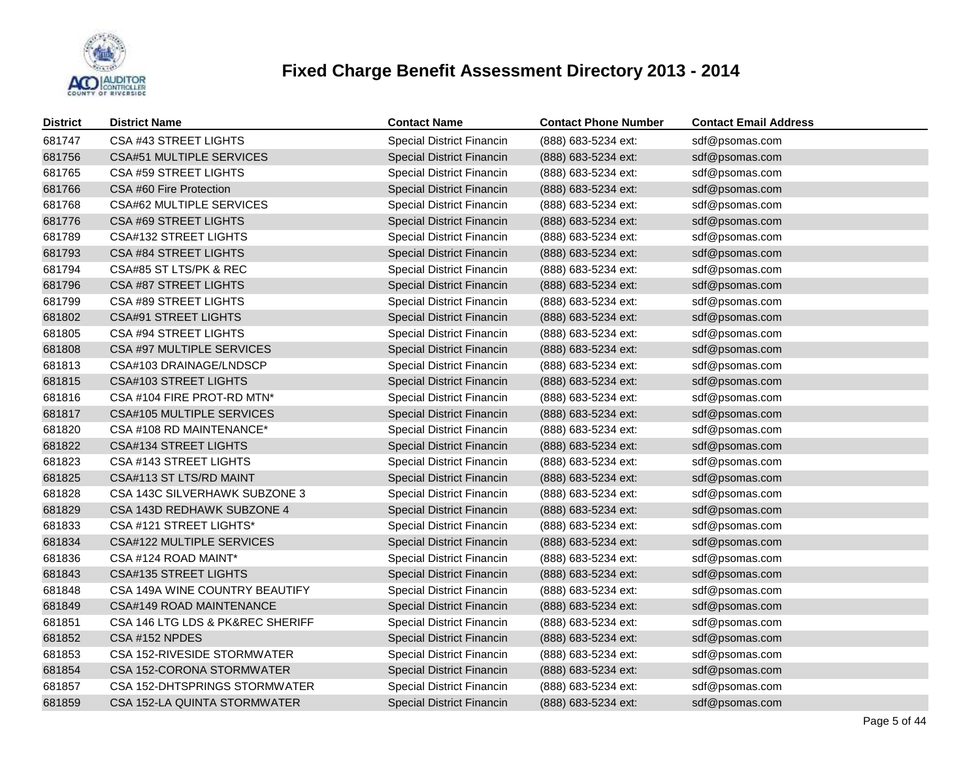

| <b>District</b> | <b>District Name</b>             | <b>Contact Name</b>              | <b>Contact Phone Number</b> | <b>Contact Email Address</b> |
|-----------------|----------------------------------|----------------------------------|-----------------------------|------------------------------|
| 681747          | CSA #43 STREET LIGHTS            | Special District Financin        | (888) 683-5234 ext:         | sdf@psomas.com               |
| 681756          | CSA#51 MULTIPLE SERVICES         | <b>Special District Financin</b> | (888) 683-5234 ext:         | sdf@psomas.com               |
| 681765          | CSA #59 STREET LIGHTS            | Special District Financin        | (888) 683-5234 ext:         | sdf@psomas.com               |
| 681766          | CSA #60 Fire Protection          | Special District Financin        | (888) 683-5234 ext:         | sdf@psomas.com               |
| 681768          | CSA#62 MULTIPLE SERVICES         | Special District Financin        | (888) 683-5234 ext:         | sdf@psomas.com               |
| 681776          | CSA #69 STREET LIGHTS            | <b>Special District Financin</b> | (888) 683-5234 ext:         | sdf@psomas.com               |
| 681789          | CSA#132 STREET LIGHTS            | Special District Financin        | (888) 683-5234 ext:         | sdf@psomas.com               |
| 681793          | CSA #84 STREET LIGHTS            | <b>Special District Financin</b> | (888) 683-5234 ext:         | sdf@psomas.com               |
| 681794          | CSA#85 ST LTS/PK & REC           | <b>Special District Financin</b> | (888) 683-5234 ext:         | sdf@psomas.com               |
| 681796          | CSA #87 STREET LIGHTS            | <b>Special District Financin</b> | (888) 683-5234 ext:         | sdf@psomas.com               |
| 681799          | CSA #89 STREET LIGHTS            | <b>Special District Financin</b> | (888) 683-5234 ext:         | sdf@psomas.com               |
| 681802          | <b>CSA#91 STREET LIGHTS</b>      | <b>Special District Financin</b> | (888) 683-5234 ext:         | sdf@psomas.com               |
| 681805          | CSA #94 STREET LIGHTS            | Special District Financin        | (888) 683-5234 ext:         | sdf@psomas.com               |
| 681808          | CSA #97 MULTIPLE SERVICES        | Special District Financin        | (888) 683-5234 ext:         | sdf@psomas.com               |
| 681813          | CSA#103 DRAINAGE/LNDSCP          | Special District Financin        | (888) 683-5234 ext:         | sdf@psomas.com               |
| 681815          | <b>CSA#103 STREET LIGHTS</b>     | Special District Financin        | (888) 683-5234 ext:         | sdf@psomas.com               |
| 681816          | CSA #104 FIRE PROT-RD MTN*       | <b>Special District Financin</b> | (888) 683-5234 ext:         | sdf@psomas.com               |
| 681817          | CSA#105 MULTIPLE SERVICES        | <b>Special District Financin</b> | (888) 683-5234 ext:         | sdf@psomas.com               |
| 681820          | CSA #108 RD MAINTENANCE*         | <b>Special District Financin</b> | (888) 683-5234 ext:         | sdf@psomas.com               |
| 681822          | <b>CSA#134 STREET LIGHTS</b>     | <b>Special District Financin</b> | (888) 683-5234 ext:         | sdf@psomas.com               |
| 681823          | CSA #143 STREET LIGHTS           | Special District Financin        | (888) 683-5234 ext:         | sdf@psomas.com               |
| 681825          | CSA#113 ST LTS/RD MAINT          | <b>Special District Financin</b> | (888) 683-5234 ext:         | sdf@psomas.com               |
| 681828          | CSA 143C SILVERHAWK SUBZONE 3    | Special District Financin        | (888) 683-5234 ext:         | sdf@psomas.com               |
| 681829          | CSA 143D REDHAWK SUBZONE 4       | <b>Special District Financin</b> | (888) 683-5234 ext:         | sdf@psomas.com               |
| 681833          | CSA #121 STREET LIGHTS*          | Special District Financin        | (888) 683-5234 ext:         | sdf@psomas.com               |
| 681834          | CSA#122 MULTIPLE SERVICES        | <b>Special District Financin</b> | (888) 683-5234 ext:         | sdf@psomas.com               |
| 681836          | CSA #124 ROAD MAINT*             | Special District Financin        | (888) 683-5234 ext:         | sdf@psomas.com               |
| 681843          | <b>CSA#135 STREET LIGHTS</b>     | <b>Special District Financin</b> | (888) 683-5234 ext:         | sdf@psomas.com               |
| 681848          | CSA 149A WINE COUNTRY BEAUTIFY   | <b>Special District Financin</b> | (888) 683-5234 ext:         | sdf@psomas.com               |
| 681849          | CSA#149 ROAD MAINTENANCE         | <b>Special District Financin</b> | (888) 683-5234 ext:         | sdf@psomas.com               |
| 681851          | CSA 146 LTG LDS & PK&REC SHERIFF | Special District Financin        | (888) 683-5234 ext:         | sdf@psomas.com               |
| 681852          | CSA #152 NPDES                   | <b>Special District Financin</b> | (888) 683-5234 ext:         | sdf@psomas.com               |
| 681853          | CSA 152-RIVESIDE STORMWATER      | Special District Financin        | (888) 683-5234 ext:         | sdf@psomas.com               |
| 681854          | CSA 152-CORONA STORMWATER        | Special District Financin        | (888) 683-5234 ext:         | sdf@psomas.com               |
| 681857          | CSA 152-DHTSPRINGS STORMWATER    | Special District Financin        | (888) 683-5234 ext:         | sdf@psomas.com               |
| 681859          | CSA 152-LA QUINTA STORMWATER     | <b>Special District Financin</b> | (888) 683-5234 ext:         | sdf@psomas.com               |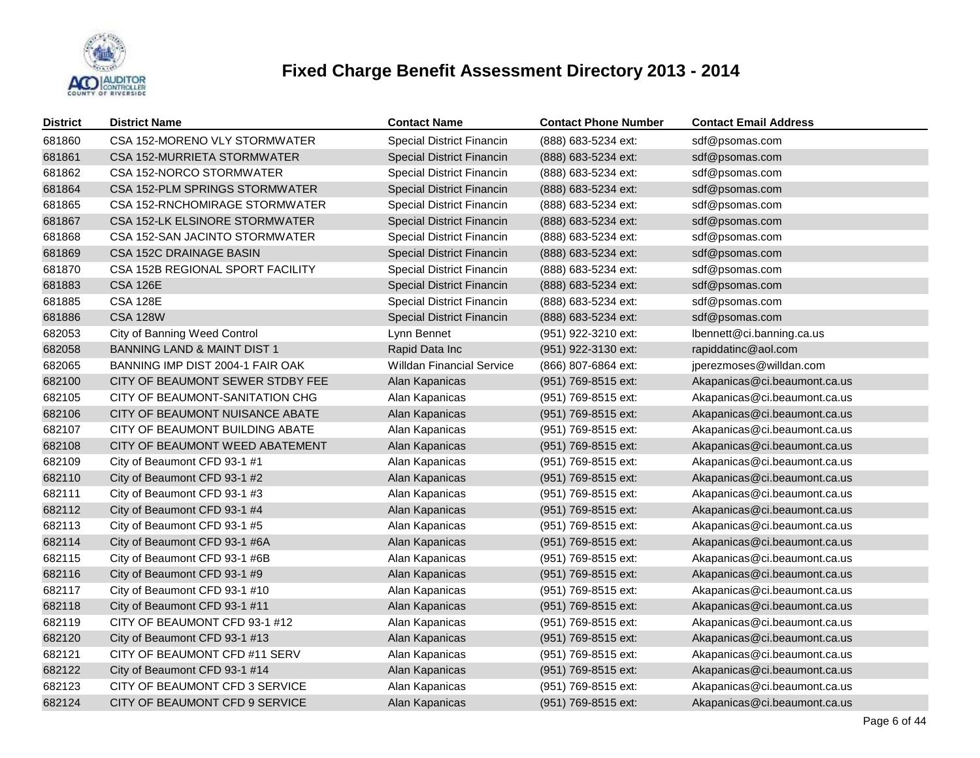

| <b>District</b> | <b>District Name</b>                   | <b>Contact Name</b>              | <b>Contact Phone Number</b> | <b>Contact Email Address</b> |
|-----------------|----------------------------------------|----------------------------------|-----------------------------|------------------------------|
| 681860          | CSA 152-MORENO VLY STORMWATER          | <b>Special District Financin</b> | (888) 683-5234 ext:         | sdf@psomas.com               |
| 681861          | CSA 152-MURRIETA STORMWATER            | Special District Financin        | (888) 683-5234 ext:         | sdf@psomas.com               |
| 681862          | CSA 152-NORCO STORMWATER               | <b>Special District Financin</b> | (888) 683-5234 ext:         | sdf@psomas.com               |
| 681864          | CSA 152-PLM SPRINGS STORMWATER         | <b>Special District Financin</b> | (888) 683-5234 ext:         | sdf@psomas.com               |
| 681865          | CSA 152-RNCHOMIRAGE STORMWATER         | Special District Financin        | (888) 683-5234 ext:         | sdf@psomas.com               |
| 681867          | CSA 152-LK ELSINORE STORMWATER         | <b>Special District Financin</b> | (888) 683-5234 ext:         | sdf@psomas.com               |
| 681868          | CSA 152-SAN JACINTO STORMWATER         | <b>Special District Financin</b> | (888) 683-5234 ext:         | sdf@psomas.com               |
| 681869          | CSA 152C DRAINAGE BASIN                | Special District Financin        | (888) 683-5234 ext:         | sdf@psomas.com               |
| 681870          | CSA 152B REGIONAL SPORT FACILITY       | Special District Financin        | (888) 683-5234 ext:         | sdf@psomas.com               |
| 681883          | <b>CSA 126E</b>                        | <b>Special District Financin</b> | (888) 683-5234 ext:         | sdf@psomas.com               |
| 681885          | <b>CSA 128E</b>                        | Special District Financin        | (888) 683-5234 ext:         | sdf@psomas.com               |
| 681886          | <b>CSA 128W</b>                        | Special District Financin        | (888) 683-5234 ext:         | sdf@psomas.com               |
| 682053          | City of Banning Weed Control           | Lynn Bennet                      | (951) 922-3210 ext:         | lbennett@ci.banning.ca.us    |
| 682058          | <b>BANNING LAND &amp; MAINT DIST 1</b> | Rapid Data Inc                   | (951) 922-3130 ext:         | rapiddatinc@aol.com          |
| 682065          | BANNING IMP DIST 2004-1 FAIR OAK       | <b>Willdan Financial Service</b> | (866) 807-6864 ext:         | jperezmoses@willdan.com      |
| 682100          | CITY OF BEAUMONT SEWER STDBY FEE       | Alan Kapanicas                   | (951) 769-8515 ext:         | Akapanicas@ci.beaumont.ca.us |
| 682105          | CITY OF BEAUMONT-SANITATION CHG        | Alan Kapanicas                   | (951) 769-8515 ext:         | Akapanicas@ci.beaumont.ca.us |
| 682106          | CITY OF BEAUMONT NUISANCE ABATE        | Alan Kapanicas                   | (951) 769-8515 ext:         | Akapanicas@ci.beaumont.ca.us |
| 682107          | CITY OF BEAUMONT BUILDING ABATE        | Alan Kapanicas                   | (951) 769-8515 ext:         | Akapanicas@ci.beaumont.ca.us |
| 682108          | CITY OF BEAUMONT WEED ABATEMENT        | Alan Kapanicas                   | (951) 769-8515 ext:         | Akapanicas@ci.beaumont.ca.us |
| 682109          | City of Beaumont CFD 93-1 #1           | Alan Kapanicas                   | (951) 769-8515 ext:         | Akapanicas@ci.beaumont.ca.us |
| 682110          | City of Beaumont CFD 93-1 #2           | Alan Kapanicas                   | (951) 769-8515 ext:         | Akapanicas@ci.beaumont.ca.us |
| 682111          | City of Beaumont CFD 93-1 #3           | Alan Kapanicas                   | (951) 769-8515 ext:         | Akapanicas@ci.beaumont.ca.us |
| 682112          | City of Beaumont CFD 93-1 #4           | Alan Kapanicas                   | (951) 769-8515 ext:         | Akapanicas@ci.beaumont.ca.us |
| 682113          | City of Beaumont CFD 93-1 #5           | Alan Kapanicas                   | (951) 769-8515 ext:         | Akapanicas@ci.beaumont.ca.us |
| 682114          | City of Beaumont CFD 93-1 #6A          | Alan Kapanicas                   | (951) 769-8515 ext:         | Akapanicas@ci.beaumont.ca.us |
| 682115          | City of Beaumont CFD 93-1 #6B          | Alan Kapanicas                   | (951) 769-8515 ext:         | Akapanicas@ci.beaumont.ca.us |
| 682116          | City of Beaumont CFD 93-1 #9           | Alan Kapanicas                   | (951) 769-8515 ext:         | Akapanicas@ci.beaumont.ca.us |
| 682117          | City of Beaumont CFD 93-1 #10          | Alan Kapanicas                   | (951) 769-8515 ext:         | Akapanicas@ci.beaumont.ca.us |
| 682118          | City of Beaumont CFD 93-1 #11          | Alan Kapanicas                   | (951) 769-8515 ext:         | Akapanicas@ci.beaumont.ca.us |
| 682119          | CITY OF BEAUMONT CFD 93-1 #12          | Alan Kapanicas                   | (951) 769-8515 ext:         | Akapanicas@ci.beaumont.ca.us |
| 682120          | City of Beaumont CFD 93-1 #13          | Alan Kapanicas                   | (951) 769-8515 ext:         | Akapanicas@ci.beaumont.ca.us |
| 682121          | CITY OF BEAUMONT CFD #11 SERV          | Alan Kapanicas                   | (951) 769-8515 ext:         | Akapanicas@ci.beaumont.ca.us |
| 682122          | City of Beaumont CFD 93-1 #14          | Alan Kapanicas                   | (951) 769-8515 ext:         | Akapanicas@ci.beaumont.ca.us |
| 682123          | CITY OF BEAUMONT CFD 3 SERVICE         | Alan Kapanicas                   | (951) 769-8515 ext:         | Akapanicas@ci.beaumont.ca.us |
| 682124          | CITY OF BEAUMONT CFD 9 SERVICE         | Alan Kapanicas                   | (951) 769-8515 ext:         | Akapanicas@ci.beaumont.ca.us |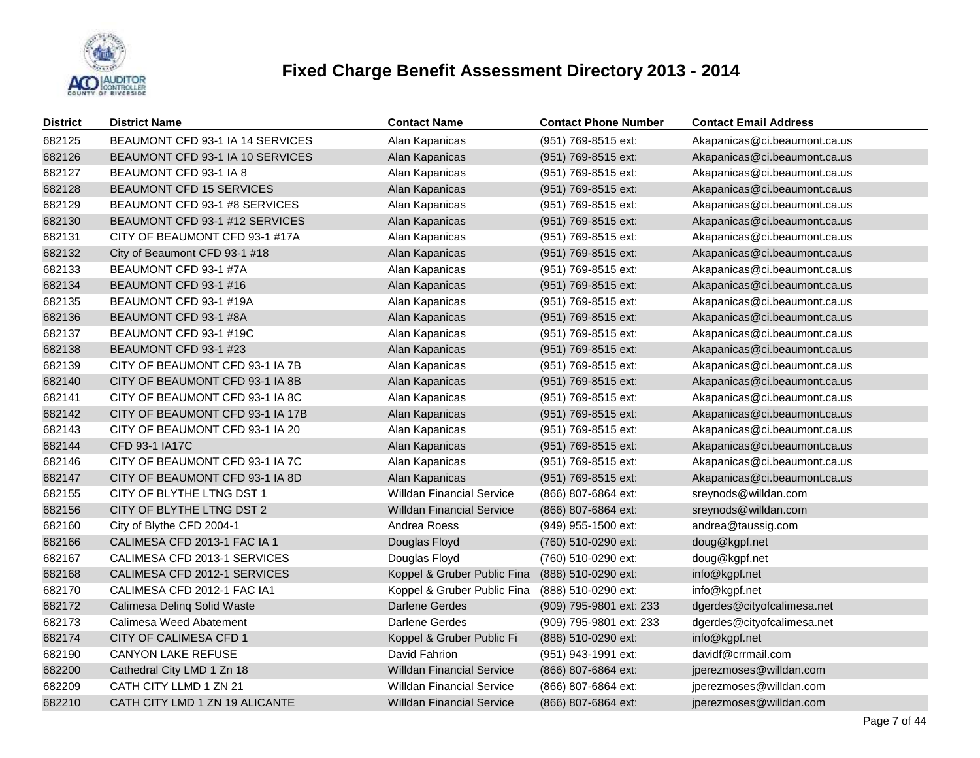

| <b>District</b> | <b>District Name</b>             | <b>Contact Name</b>              | <b>Contact Phone Number</b> | <b>Contact Email Address</b> |
|-----------------|----------------------------------|----------------------------------|-----------------------------|------------------------------|
| 682125          | BEAUMONT CFD 93-1 IA 14 SERVICES | Alan Kapanicas                   | (951) 769-8515 ext:         | Akapanicas@ci.beaumont.ca.us |
| 682126          | BEAUMONT CFD 93-1 IA 10 SERVICES | Alan Kapanicas                   | (951) 769-8515 ext:         | Akapanicas@ci.beaumont.ca.us |
| 682127          | BEAUMONT CFD 93-1 IA 8           | Alan Kapanicas                   | (951) 769-8515 ext:         | Akapanicas@ci.beaumont.ca.us |
| 682128          | BEAUMONT CFD 15 SERVICES         | Alan Kapanicas                   | (951) 769-8515 ext:         | Akapanicas@ci.beaumont.ca.us |
| 682129          | BEAUMONT CFD 93-1 #8 SERVICES    | Alan Kapanicas                   | (951) 769-8515 ext:         | Akapanicas@ci.beaumont.ca.us |
| 682130          | BEAUMONT CFD 93-1 #12 SERVICES   | Alan Kapanicas                   | (951) 769-8515 ext:         | Akapanicas@ci.beaumont.ca.us |
| 682131          | CITY OF BEAUMONT CFD 93-1 #17A   | Alan Kapanicas                   | (951) 769-8515 ext:         | Akapanicas@ci.beaumont.ca.us |
| 682132          | City of Beaumont CFD 93-1 #18    | Alan Kapanicas                   | (951) 769-8515 ext:         | Akapanicas@ci.beaumont.ca.us |
| 682133          | BEAUMONT CFD 93-1 #7A            | Alan Kapanicas                   | (951) 769-8515 ext:         | Akapanicas@ci.beaumont.ca.us |
| 682134          | BEAUMONT CFD 93-1 #16            | Alan Kapanicas                   | (951) 769-8515 ext:         | Akapanicas@ci.beaumont.ca.us |
| 682135          | BEAUMONT CFD 93-1 #19A           | Alan Kapanicas                   | (951) 769-8515 ext:         | Akapanicas@ci.beaumont.ca.us |
| 682136          | BEAUMONT CFD 93-1 #8A            | Alan Kapanicas                   | (951) 769-8515 ext:         | Akapanicas@ci.beaumont.ca.us |
| 682137          | BEAUMONT CFD 93-1 #19C           | Alan Kapanicas                   | (951) 769-8515 ext:         | Akapanicas@ci.beaumont.ca.us |
| 682138          | BEAUMONT CFD 93-1 #23            | Alan Kapanicas                   | (951) 769-8515 ext:         | Akapanicas@ci.beaumont.ca.us |
| 682139          | CITY OF BEAUMONT CFD 93-1 IA 7B  | Alan Kapanicas                   | (951) 769-8515 ext:         | Akapanicas@ci.beaumont.ca.us |
| 682140          | CITY OF BEAUMONT CFD 93-1 IA 8B  | Alan Kapanicas                   | (951) 769-8515 ext:         | Akapanicas@ci.beaumont.ca.us |
| 682141          | CITY OF BEAUMONT CFD 93-1 IA 8C  | Alan Kapanicas                   | (951) 769-8515 ext:         | Akapanicas@ci.beaumont.ca.us |
| 682142          | CITY OF BEAUMONT CFD 93-1 IA 17B | Alan Kapanicas                   | (951) 769-8515 ext:         | Akapanicas@ci.beaumont.ca.us |
| 682143          | CITY OF BEAUMONT CFD 93-1 IA 20  | Alan Kapanicas                   | (951) 769-8515 ext:         | Akapanicas@ci.beaumont.ca.us |
| 682144          | CFD 93-1 IA17C                   | Alan Kapanicas                   | (951) 769-8515 ext:         | Akapanicas@ci.beaumont.ca.us |
| 682146          | CITY OF BEAUMONT CFD 93-1 IA 7C  | Alan Kapanicas                   | (951) 769-8515 ext:         | Akapanicas@ci.beaumont.ca.us |
| 682147          | CITY OF BEAUMONT CFD 93-1 IA 8D  | Alan Kapanicas                   | (951) 769-8515 ext:         | Akapanicas@ci.beaumont.ca.us |
| 682155          | CITY OF BLYTHE LTNG DST 1        | Willdan Financial Service        | (866) 807-6864 ext:         | sreynods@willdan.com         |
| 682156          | CITY OF BLYTHE LTNG DST 2        | <b>Willdan Financial Service</b> | (866) 807-6864 ext:         | sreynods@willdan.com         |
| 682160          | City of Blythe CFD 2004-1        | Andrea Roess                     | (949) 955-1500 ext:         | andrea@taussig.com           |
| 682166          | CALIMESA CFD 2013-1 FAC IA 1     | Douglas Floyd                    | (760) 510-0290 ext:         | doug@kgpf.net                |
| 682167          | CALIMESA CFD 2013-1 SERVICES     | Douglas Floyd                    | (760) 510-0290 ext:         | doug@kgpf.net                |
| 682168          | CALIMESA CFD 2012-1 SERVICES     | Koppel & Gruber Public Fina      | (888) 510-0290 ext:         | info@kgpf.net                |
| 682170          | CALIMESA CFD 2012-1 FAC IA1      | Koppel & Gruber Public Fina      | (888) 510-0290 ext:         | info@kgpf.net                |
| 682172          | Calimesa Deling Solid Waste      | <b>Darlene Gerdes</b>            | (909) 795-9801 ext: 233     | dgerdes@cityofcalimesa.net   |
| 682173          | Calimesa Weed Abatement          | Darlene Gerdes                   | (909) 795-9801 ext: 233     | dgerdes@cityofcalimesa.net   |
| 682174          | CITY OF CALIMESA CFD 1           | Koppel & Gruber Public Fi        | (888) 510-0290 ext:         | info@kgpf.net                |
| 682190          | <b>CANYON LAKE REFUSE</b>        | David Fahrion                    | (951) 943-1991 ext:         | davidf@crrmail.com           |
| 682200          | Cathedral City LMD 1 Zn 18       | <b>Willdan Financial Service</b> | (866) 807-6864 ext:         | jperezmoses@willdan.com      |
| 682209          | CATH CITY LLMD 1 ZN 21           | <b>Willdan Financial Service</b> | (866) 807-6864 ext:         | jperezmoses@willdan.com      |
| 682210          | CATH CITY LMD 1 ZN 19 ALICANTE   | <b>Willdan Financial Service</b> | (866) 807-6864 ext:         | jperezmoses@willdan.com      |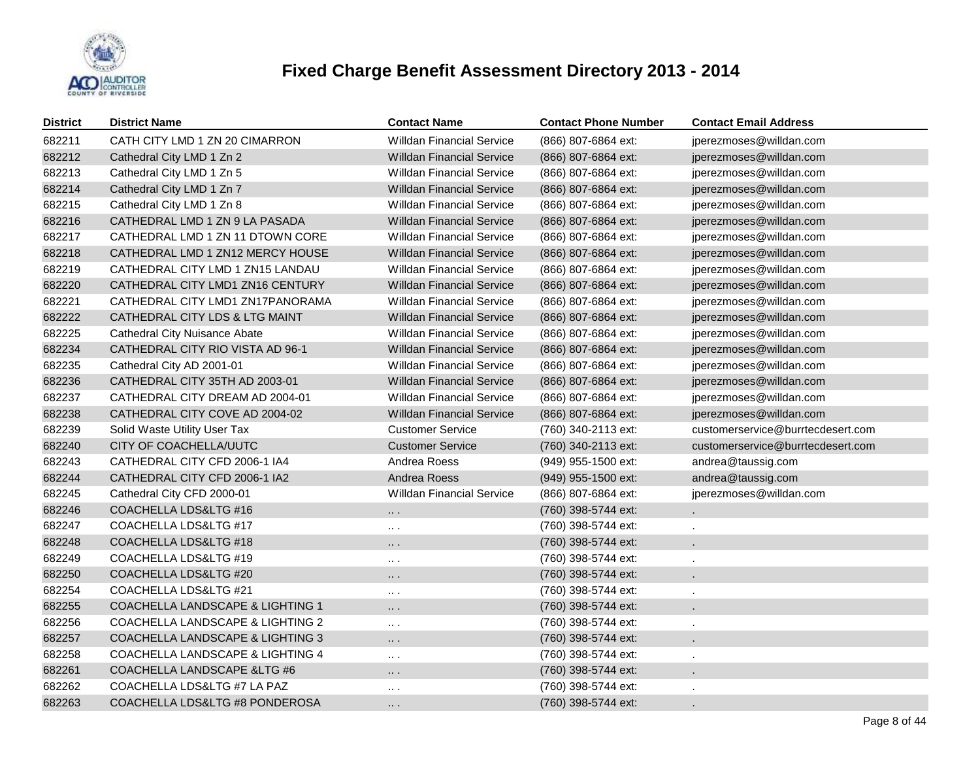

| <b>District</b> | <b>District Name</b>                        | <b>Contact Name</b>              | <b>Contact Phone Number</b> | <b>Contact Email Address</b>      |
|-----------------|---------------------------------------------|----------------------------------|-----------------------------|-----------------------------------|
| 682211          | CATH CITY LMD 1 ZN 20 CIMARRON              | <b>Willdan Financial Service</b> | (866) 807-6864 ext:         | jperezmoses@willdan.com           |
| 682212          | Cathedral City LMD 1 Zn 2                   | <b>Willdan Financial Service</b> | (866) 807-6864 ext:         | jperezmoses@willdan.com           |
| 682213          | Cathedral City LMD 1 Zn 5                   | <b>Willdan Financial Service</b> | (866) 807-6864 ext:         | jperezmoses@willdan.com           |
| 682214          | Cathedral City LMD 1 Zn 7                   | <b>Willdan Financial Service</b> | (866) 807-6864 ext:         | jperezmoses@willdan.com           |
| 682215          | Cathedral City LMD 1 Zn 8                   | <b>Willdan Financial Service</b> | (866) 807-6864 ext:         | jperezmoses@willdan.com           |
| 682216          | CATHEDRAL LMD 1 ZN 9 LA PASADA              | <b>Willdan Financial Service</b> | (866) 807-6864 ext:         | jperezmoses@willdan.com           |
| 682217          | CATHEDRAL LMD 1 ZN 11 DTOWN CORE            | <b>Willdan Financial Service</b> | (866) 807-6864 ext:         | jperezmoses@willdan.com           |
| 682218          | CATHEDRAL LMD 1 ZN12 MERCY HOUSE            | <b>Willdan Financial Service</b> | (866) 807-6864 ext:         | jperezmoses@willdan.com           |
| 682219          | CATHEDRAL CITY LMD 1 ZN15 LANDAU            | <b>Willdan Financial Service</b> | (866) 807-6864 ext:         | jperezmoses@willdan.com           |
| 682220          | CATHEDRAL CITY LMD1 ZN16 CENTURY            | <b>Willdan Financial Service</b> | (866) 807-6864 ext:         | jperezmoses@willdan.com           |
| 682221          | CATHEDRAL CITY LMD1 ZN17PANORAMA            | <b>Willdan Financial Service</b> | (866) 807-6864 ext:         | jperezmoses@willdan.com           |
| 682222          | CATHEDRAL CITY LDS & LTG MAINT              | <b>Willdan Financial Service</b> | (866) 807-6864 ext:         | jperezmoses@willdan.com           |
| 682225          | <b>Cathedral City Nuisance Abate</b>        | <b>Willdan Financial Service</b> | (866) 807-6864 ext:         | jperezmoses@willdan.com           |
| 682234          | CATHEDRAL CITY RIO VISTA AD 96-1            | <b>Willdan Financial Service</b> | (866) 807-6864 ext:         | jperezmoses@willdan.com           |
| 682235          | Cathedral City AD 2001-01                   | <b>Willdan Financial Service</b> | (866) 807-6864 ext:         | jperezmoses@willdan.com           |
| 682236          | CATHEDRAL CITY 35TH AD 2003-01              | <b>Willdan Financial Service</b> | (866) 807-6864 ext:         | jperezmoses@willdan.com           |
| 682237          | CATHEDRAL CITY DREAM AD 2004-01             | <b>Willdan Financial Service</b> | (866) 807-6864 ext:         | jperezmoses@willdan.com           |
| 682238          | CATHEDRAL CITY COVE AD 2004-02              | <b>Willdan Financial Service</b> | (866) 807-6864 ext:         | jperezmoses@willdan.com           |
| 682239          | Solid Waste Utility User Tax                | <b>Customer Service</b>          | (760) 340-2113 ext:         | customerservice@burrtecdesert.com |
| 682240          | CITY OF COACHELLA/UUTC                      | <b>Customer Service</b>          | (760) 340-2113 ext:         | customerservice@burrtecdesert.com |
| 682243          | CATHEDRAL CITY CFD 2006-1 IA4               | Andrea Roess                     | (949) 955-1500 ext:         | andrea@taussig.com                |
| 682244          | CATHEDRAL CITY CFD 2006-1 IA2               | Andrea Roess                     | (949) 955-1500 ext:         | andrea@taussig.com                |
| 682245          | Cathedral City CFD 2000-01                  | <b>Willdan Financial Service</b> | (866) 807-6864 ext:         | jperezmoses@willdan.com           |
| 682246          | COACHELLA LDS&LTG #16                       | $\cdots$ .                       | (760) 398-5744 ext:         |                                   |
| 682247          | COACHELLA LDS&LTG #17                       | $\cdots$                         | (760) 398-5744 ext:         |                                   |
| 682248          | COACHELLA LDS&LTG #18                       | .                                | (760) 398-5744 ext:         |                                   |
| 682249          | COACHELLA LDS&LTG #19                       | $\cdots$                         | (760) 398-5744 ext:         |                                   |
| 682250          | COACHELLA LDS&LTG #20                       | $\cdots$                         | (760) 398-5744 ext:         |                                   |
| 682254          | COACHELLA LDS&LTG #21                       | $\cdots$                         | (760) 398-5744 ext:         |                                   |
| 682255          | COACHELLA LANDSCAPE & LIGHTING 1            | .                                | (760) 398-5744 ext:         |                                   |
| 682256          | <b>COACHELLA LANDSCAPE &amp; LIGHTING 2</b> | $\sim$ $\sim$                    | (760) 398-5744 ext:         |                                   |
| 682257          | COACHELLA LANDSCAPE & LIGHTING 3            | .                                | (760) 398-5744 ext:         |                                   |
| 682258          | COACHELLA LANDSCAPE & LIGHTING 4            | $\sim$ $\sim$                    | (760) 398-5744 ext:         |                                   |
| 682261          | COACHELLA LANDSCAPE & LTG #6                | $\cdots$                         | (760) 398-5744 ext:         |                                   |
| 682262          | COACHELLA LDS&LTG #7 LA PAZ                 | $\sim$ $\sim$                    | (760) 398-5744 ext:         |                                   |
| 682263          | COACHELLA LDS&LTG #8 PONDEROSA              | $\cdots$ .                       | (760) 398-5744 ext:         |                                   |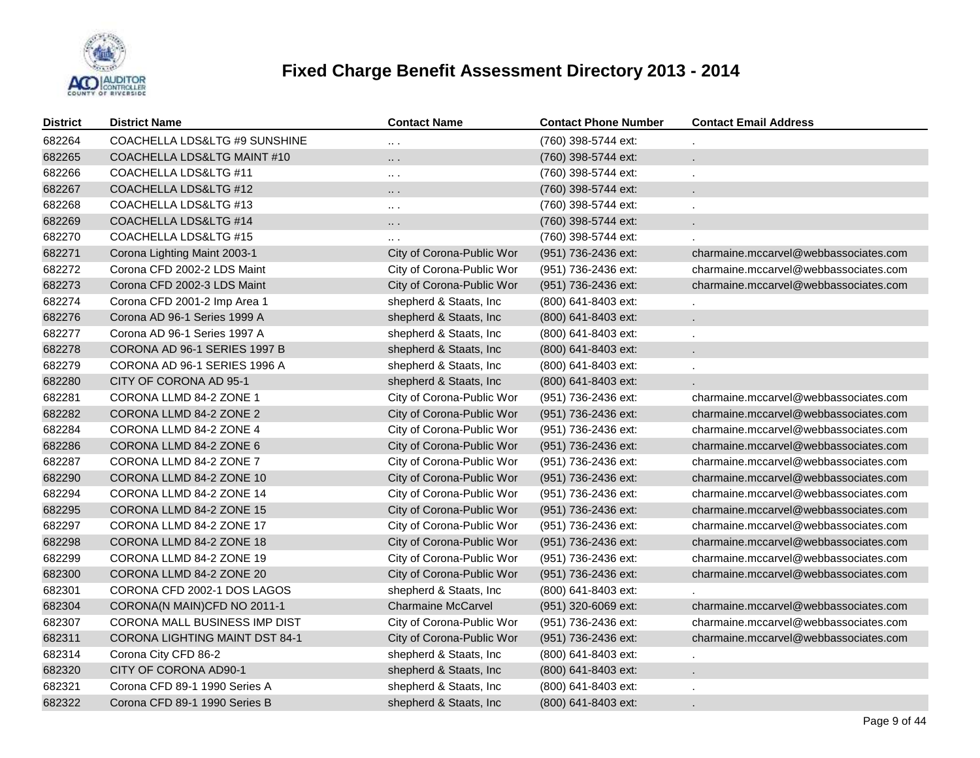

| District | <b>District Name</b>                  | <b>Contact Name</b>       | <b>Contact Phone Number</b> | <b>Contact Email Address</b>          |
|----------|---------------------------------------|---------------------------|-----------------------------|---------------------------------------|
| 682264   | COACHELLA LDS&LTG #9 SUNSHINE         | $\cdots$                  | (760) 398-5744 ext:         |                                       |
| 682265   | COACHELLA LDS&LTG MAINT #10           | .                         | (760) 398-5744 ext:         |                                       |
| 682266   | COACHELLA LDS&LTG #11                 | $\ldots$ .                | (760) 398-5744 ext:         |                                       |
| 682267   | COACHELLA LDS&LTG #12                 | .                         | (760) 398-5744 ext:         |                                       |
| 682268   | COACHELLA LDS&LTG #13                 | $\ldots$ .                | (760) 398-5744 ext:         | $\mathbf{r}$                          |
| 682269   | COACHELLA LDS&LTG #14                 | $\cdots$                  | (760) 398-5744 ext:         |                                       |
| 682270   | COACHELLA LDS&LTG #15                 | $\ddotsc$                 | (760) 398-5744 ext:         |                                       |
| 682271   | Corona Lighting Maint 2003-1          | City of Corona-Public Wor | (951) 736-2436 ext:         | charmaine.mccarvel@webbassociates.com |
| 682272   | Corona CFD 2002-2 LDS Maint           | City of Corona-Public Wor | (951) 736-2436 ext:         | charmaine.mccarvel@webbassociates.com |
| 682273   | Corona CFD 2002-3 LDS Maint           | City of Corona-Public Wor | (951) 736-2436 ext:         | charmaine.mccarvel@webbassociates.com |
| 682274   | Corona CFD 2001-2 Imp Area 1          | shepherd & Staats, Inc    | (800) 641-8403 ext:         |                                       |
| 682276   | Corona AD 96-1 Series 1999 A          | shepherd & Staats, Inc    | (800) 641-8403 ext:         | $\epsilon$                            |
| 682277   | Corona AD 96-1 Series 1997 A          | shepherd & Staats, Inc.   | (800) 641-8403 ext:         | à.                                    |
| 682278   | CORONA AD 96-1 SERIES 1997 B          | shepherd & Staats, Inc    | (800) 641-8403 ext:         | $\mathcal{L}_{\mathcal{A}}$           |
| 682279   | CORONA AD 96-1 SERIES 1996 A          | shepherd & Staats, Inc    | (800) 641-8403 ext:         | $\mathbf{r}$                          |
| 682280   | CITY OF CORONA AD 95-1                | shepherd & Staats, Inc    | (800) 641-8403 ext:         |                                       |
| 682281   | CORONA LLMD 84-2 ZONE 1               | City of Corona-Public Wor | (951) 736-2436 ext:         | charmaine.mccarvel@webbassociates.com |
| 682282   | CORONA LLMD 84-2 ZONE 2               | City of Corona-Public Wor | (951) 736-2436 ext:         | charmaine.mccarvel@webbassociates.com |
| 682284   | CORONA LLMD 84-2 ZONE 4               | City of Corona-Public Wor | (951) 736-2436 ext:         | charmaine.mccarvel@webbassociates.com |
| 682286   | CORONA LLMD 84-2 ZONE 6               | City of Corona-Public Wor | (951) 736-2436 ext:         | charmaine.mccarvel@webbassociates.com |
| 682287   | CORONA LLMD 84-2 ZONE 7               | City of Corona-Public Wor | (951) 736-2436 ext:         | charmaine.mccarvel@webbassociates.com |
| 682290   | CORONA LLMD 84-2 ZONE 10              | City of Corona-Public Wor | (951) 736-2436 ext:         | charmaine.mccarvel@webbassociates.com |
| 682294   | CORONA LLMD 84-2 ZONE 14              | City of Corona-Public Wor | (951) 736-2436 ext:         | charmaine.mccarvel@webbassociates.com |
| 682295   | CORONA LLMD 84-2 ZONE 15              | City of Corona-Public Wor | (951) 736-2436 ext:         | charmaine.mccarvel@webbassociates.com |
| 682297   | CORONA LLMD 84-2 ZONE 17              | City of Corona-Public Wor | (951) 736-2436 ext:         | charmaine.mccarvel@webbassociates.com |
| 682298   | CORONA LLMD 84-2 ZONE 18              | City of Corona-Public Wor | (951) 736-2436 ext:         | charmaine.mccarvel@webbassociates.com |
| 682299   | CORONA LLMD 84-2 ZONE 19              | City of Corona-Public Wor | (951) 736-2436 ext:         | charmaine.mccarvel@webbassociates.com |
| 682300   | CORONA LLMD 84-2 ZONE 20              | City of Corona-Public Wor | (951) 736-2436 ext:         | charmaine.mccarvel@webbassociates.com |
| 682301   | CORONA CFD 2002-1 DOS LAGOS           | shepherd & Staats, Inc    | (800) 641-8403 ext:         |                                       |
| 682304   | CORONA(N MAIN)CFD NO 2011-1           | <b>Charmaine McCarvel</b> | (951) 320-6069 ext:         | charmaine.mccarvel@webbassociates.com |
| 682307   | CORONA MALL BUSINESS IMP DIST         | City of Corona-Public Wor | (951) 736-2436 ext:         | charmaine.mccarvel@webbassociates.com |
| 682311   | <b>CORONA LIGHTING MAINT DST 84-1</b> | City of Corona-Public Wor | (951) 736-2436 ext:         | charmaine.mccarvel@webbassociates.com |
| 682314   | Corona City CFD 86-2                  | shepherd & Staats, Inc    | (800) 641-8403 ext:         | $\blacksquare$                        |
| 682320   | CITY OF CORONA AD90-1                 | shepherd & Staats, Inc.   | (800) 641-8403 ext:         |                                       |
| 682321   | Corona CFD 89-1 1990 Series A         | shepherd & Staats, Inc.   | (800) 641-8403 ext:         |                                       |
| 682322   | Corona CFD 89-1 1990 Series B         | shepherd & Staats, Inc    | (800) 641-8403 ext:         |                                       |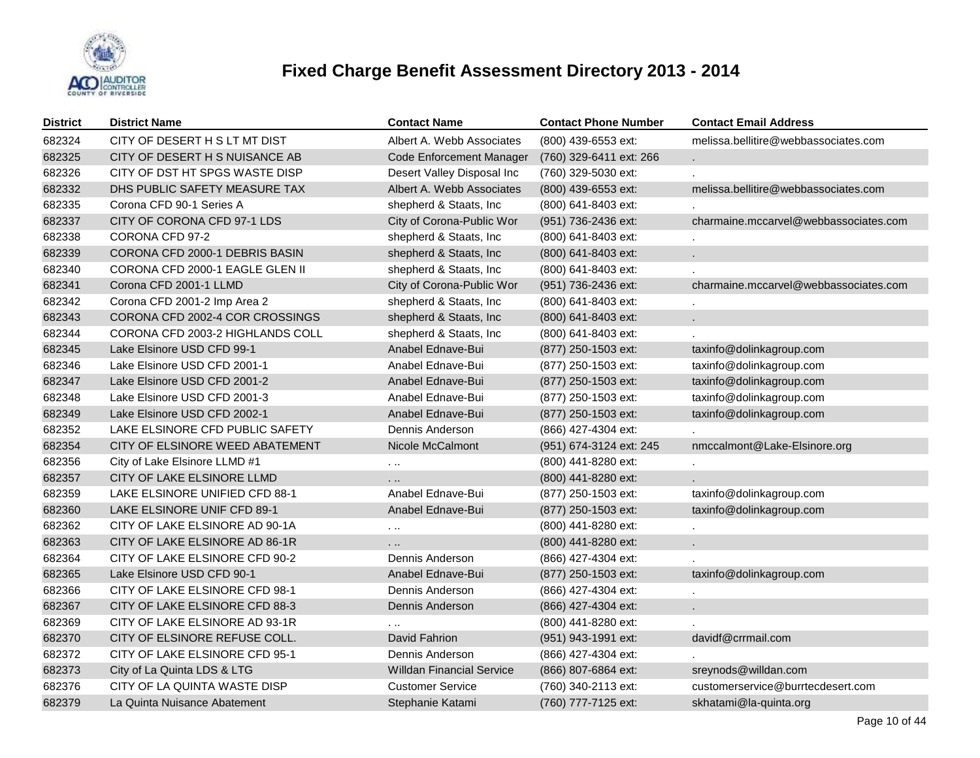

| <b>District</b> | <b>District Name</b>             | <b>Contact Name</b>              | <b>Contact Phone Number</b> | <b>Contact Email Address</b>          |
|-----------------|----------------------------------|----------------------------------|-----------------------------|---------------------------------------|
| 682324          | CITY OF DESERT H S LT MT DIST    | Albert A. Webb Associates        | (800) 439-6553 ext:         | melissa.bellitire@webbassociates.com  |
| 682325          | CITY OF DESERT H S NUISANCE AB   | <b>Code Enforcement Manager</b>  | (760) 329-6411 ext: 266     |                                       |
| 682326          | CITY OF DST HT SPGS WASTE DISP   | Desert Valley Disposal Inc       | (760) 329-5030 ext:         |                                       |
| 682332          | DHS PUBLIC SAFETY MEASURE TAX    | Albert A. Webb Associates        | (800) 439-6553 ext:         | melissa.bellitire@webbassociates.com  |
| 682335          | Corona CFD 90-1 Series A         | shepherd & Staats, Inc           | (800) 641-8403 ext:         |                                       |
| 682337          | CITY OF CORONA CFD 97-1 LDS      | City of Corona-Public Wor        | (951) 736-2436 ext:         | charmaine.mccarvel@webbassociates.com |
| 682338          | CORONA CFD 97-2                  | shepherd & Staats, Inc           | (800) 641-8403 ext:         |                                       |
| 682339          | CORONA CFD 2000-1 DEBRIS BASIN   | shepherd & Staats, Inc.          | (800) 641-8403 ext:         |                                       |
| 682340          | CORONA CFD 2000-1 EAGLE GLEN II  | shepherd & Staats, Inc.          | (800) 641-8403 ext:         |                                       |
| 682341          | Corona CFD 2001-1 LLMD           | City of Corona-Public Wor        | (951) 736-2436 ext:         | charmaine.mccarvel@webbassociates.com |
| 682342          | Corona CFD 2001-2 Imp Area 2     | shepherd & Staats, Inc.          | (800) 641-8403 ext:         |                                       |
| 682343          | CORONA CFD 2002-4 COR CROSSINGS  | shepherd & Staats, Inc           | (800) 641-8403 ext:         |                                       |
| 682344          | CORONA CFD 2003-2 HIGHLANDS COLL | shepherd & Staats, Inc.          | (800) 641-8403 ext:         |                                       |
| 682345          | Lake Elsinore USD CFD 99-1       | Anabel Ednave-Bui                | (877) 250-1503 ext:         | taxinfo@dolinkagroup.com              |
| 682346          | Lake Elsinore USD CFD 2001-1     | Anabel Ednave-Bui                | (877) 250-1503 ext:         | taxinfo@dolinkagroup.com              |
| 682347          | Lake Elsinore USD CFD 2001-2     | Anabel Ednave-Bui                | (877) 250-1503 ext:         | taxinfo@dolinkagroup.com              |
| 682348          | Lake Elsinore USD CFD 2001-3     | Anabel Ednave-Bui                | (877) 250-1503 ext:         | taxinfo@dolinkagroup.com              |
| 682349          | Lake Elsinore USD CFD 2002-1     | Anabel Ednave-Bui                | (877) 250-1503 ext:         | taxinfo@dolinkagroup.com              |
| 682352          | LAKE ELSINORE CFD PUBLIC SAFETY  | Dennis Anderson                  | (866) 427-4304 ext:         |                                       |
| 682354          | CITY OF ELSINORE WEED ABATEMENT  | Nicole McCalmont                 | (951) 674-3124 ext: 245     | nmccalmont@Lake-Elsinore.org          |
| 682356          | City of Lake Elsinore LLMD #1    | $\cdots$                         | (800) 441-8280 ext:         |                                       |
| 682357          | CITY OF LAKE ELSINORE LLMD       | .                                | (800) 441-8280 ext:         |                                       |
| 682359          | LAKE ELSINORE UNIFIED CFD 88-1   | Anabel Ednave-Bui                | (877) 250-1503 ext:         | taxinfo@dolinkagroup.com              |
| 682360          | LAKE ELSINORE UNIF CFD 89-1      | Anabel Ednave-Bui                | (877) 250-1503 ext:         | taxinfo@dolinkagroup.com              |
| 682362          | CITY OF LAKE ELSINORE AD 90-1A   | $\sim$ $\sim$                    | (800) 441-8280 ext:         |                                       |
| 682363          | CITY OF LAKE ELSINORE AD 86-1R   | .                                | (800) 441-8280 ext:         | a.                                    |
| 682364          | CITY OF LAKE ELSINORE CFD 90-2   | Dennis Anderson                  | (866) 427-4304 ext:         |                                       |
| 682365          | Lake Elsinore USD CFD 90-1       | Anabel Ednave-Bui                | (877) 250-1503 ext:         | taxinfo@dolinkagroup.com              |
| 682366          | CITY OF LAKE ELSINORE CFD 98-1   | Dennis Anderson                  | (866) 427-4304 ext:         |                                       |
| 682367          | CITY OF LAKE ELSINORE CFD 88-3   | Dennis Anderson                  | (866) 427-4304 ext:         | ¥.                                    |
| 682369          | CITY OF LAKE ELSINORE AD 93-1R   | .                                | (800) 441-8280 ext:         |                                       |
| 682370          | CITY OF ELSINORE REFUSE COLL.    | David Fahrion                    | (951) 943-1991 ext:         | davidf@crrmail.com                    |
| 682372          | CITY OF LAKE ELSINORE CFD 95-1   | Dennis Anderson                  | (866) 427-4304 ext:         |                                       |
| 682373          | City of La Quinta LDS & LTG      | <b>Willdan Financial Service</b> | (866) 807-6864 ext:         | sreynods@willdan.com                  |
| 682376          | CITY OF LA QUINTA WASTE DISP     | <b>Customer Service</b>          | (760) 340-2113 ext:         | customerservice@burrtecdesert.com     |
| 682379          | La Quinta Nuisance Abatement     | Stephanie Katami                 | (760) 777-7125 ext:         | skhatami@la-quinta.org                |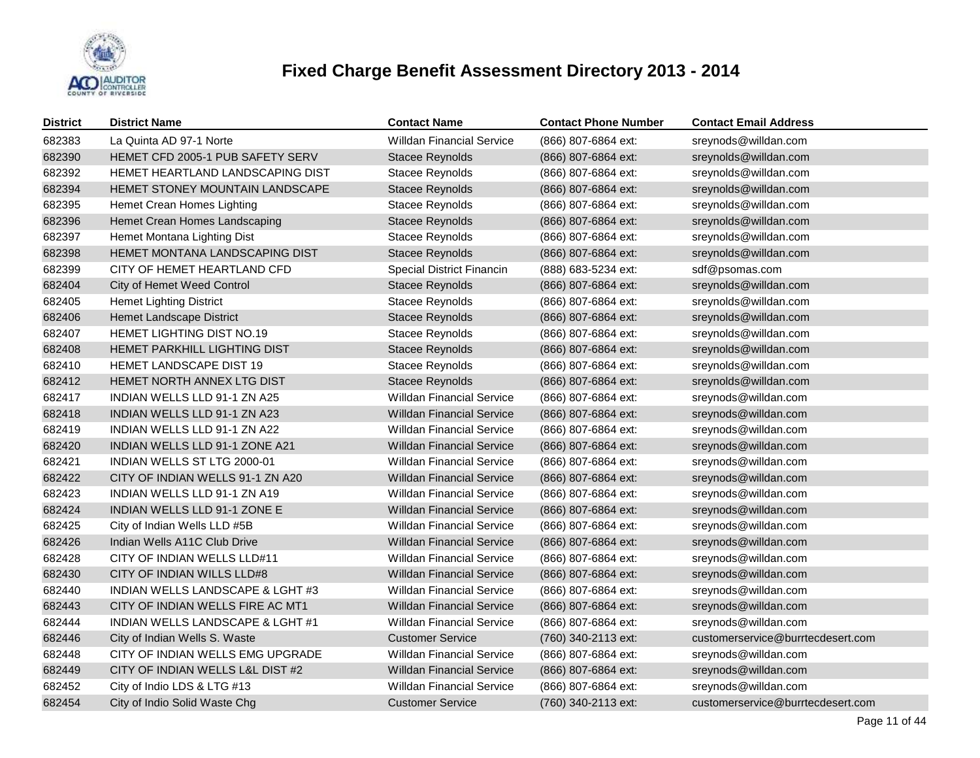

| <b>District</b> | <b>District Name</b>                    | <b>Contact Name</b>              | <b>Contact Phone Number</b> | <b>Contact Email Address</b>      |
|-----------------|-----------------------------------------|----------------------------------|-----------------------------|-----------------------------------|
| 682383          | La Quinta AD 97-1 Norte                 | <b>Willdan Financial Service</b> | (866) 807-6864 ext:         | sreynods@willdan.com              |
| 682390          | <b>HEMET CFD 2005-1 PUB SAFETY SERV</b> | Stacee Reynolds                  | (866) 807-6864 ext:         | sreynolds@willdan.com             |
| 682392          | HEMET HEARTLAND LANDSCAPING DIST        | Stacee Reynolds                  | (866) 807-6864 ext:         | sreynolds@willdan.com             |
| 682394          | <b>HEMET STONEY MOUNTAIN LANDSCAPE</b>  | Stacee Reynolds                  | (866) 807-6864 ext:         | sreynolds@willdan.com             |
| 682395          | Hemet Crean Homes Lighting              | Stacee Reynolds                  | (866) 807-6864 ext:         | sreynolds@willdan.com             |
| 682396          | Hemet Crean Homes Landscaping           | Stacee Reynolds                  | (866) 807-6864 ext:         | sreynolds@willdan.com             |
| 682397          | Hemet Montana Lighting Dist             | Stacee Reynolds                  | (866) 807-6864 ext:         | sreynolds@willdan.com             |
| 682398          | HEMET MONTANA LANDSCAPING DIST          | Stacee Reynolds                  | (866) 807-6864 ext:         | sreynolds@willdan.com             |
| 682399          | CITY OF HEMET HEARTLAND CFD             | Special District Financin        | (888) 683-5234 ext:         | sdf@psomas.com                    |
| 682404          | City of Hemet Weed Control              | <b>Stacee Reynolds</b>           | (866) 807-6864 ext:         | sreynolds@willdan.com             |
| 682405          | <b>Hemet Lighting District</b>          | Stacee Reynolds                  | (866) 807-6864 ext:         | sreynolds@willdan.com             |
| 682406          | Hemet Landscape District                | Stacee Reynolds                  | (866) 807-6864 ext:         | sreynolds@willdan.com             |
| 682407          | <b>HEMET LIGHTING DIST NO.19</b>        | Stacee Reynolds                  | (866) 807-6864 ext:         | sreynolds@willdan.com             |
| 682408          | HEMET PARKHILL LIGHTING DIST            | Stacee Reynolds                  | (866) 807-6864 ext:         | sreynolds@willdan.com             |
| 682410          | HEMET LANDSCAPE DIST 19                 | <b>Stacee Reynolds</b>           | (866) 807-6864 ext:         | sreynolds@willdan.com             |
| 682412          | <b>HEMET NORTH ANNEX LTG DIST</b>       | Stacee Reynolds                  | (866) 807-6864 ext:         | sreynolds@willdan.com             |
| 682417          | INDIAN WELLS LLD 91-1 ZN A25            | <b>Willdan Financial Service</b> | (866) 807-6864 ext:         | sreynods@willdan.com              |
| 682418          | INDIAN WELLS LLD 91-1 ZN A23            | <b>Willdan Financial Service</b> | (866) 807-6864 ext:         | sreynods@willdan.com              |
| 682419          | INDIAN WELLS LLD 91-1 ZN A22            | <b>Willdan Financial Service</b> | (866) 807-6864 ext:         | sreynods@willdan.com              |
| 682420          | INDIAN WELLS LLD 91-1 ZONE A21          | <b>Willdan Financial Service</b> | (866) 807-6864 ext:         | sreynods@willdan.com              |
| 682421          | INDIAN WELLS ST LTG 2000-01             | <b>Willdan Financial Service</b> | (866) 807-6864 ext:         | sreynods@willdan.com              |
| 682422          | CITY OF INDIAN WELLS 91-1 ZN A20        | <b>Willdan Financial Service</b> | (866) 807-6864 ext:         | sreynods@willdan.com              |
| 682423          | INDIAN WELLS LLD 91-1 ZN A19            | <b>Willdan Financial Service</b> | (866) 807-6864 ext:         | sreynods@willdan.com              |
| 682424          | INDIAN WELLS LLD 91-1 ZONE E            | <b>Willdan Financial Service</b> | (866) 807-6864 ext:         | sreynods@willdan.com              |
| 682425          | City of Indian Wells LLD #5B            | <b>Willdan Financial Service</b> | (866) 807-6864 ext:         | sreynods@willdan.com              |
| 682426          | Indian Wells A11C Club Drive            | <b>Willdan Financial Service</b> | (866) 807-6864 ext:         | sreynods@willdan.com              |
| 682428          | CITY OF INDIAN WELLS LLD#11             | <b>Willdan Financial Service</b> | (866) 807-6864 ext:         | sreynods@willdan.com              |
| 682430          | CITY OF INDIAN WILLS LLD#8              | <b>Willdan Financial Service</b> | (866) 807-6864 ext:         | sreynods@willdan.com              |
| 682440          | INDIAN WELLS LANDSCAPE & LGHT #3        | <b>Willdan Financial Service</b> | (866) 807-6864 ext:         | sreynods@willdan.com              |
| 682443          | CITY OF INDIAN WELLS FIRE AC MT1        | <b>Willdan Financial Service</b> | (866) 807-6864 ext:         | sreynods@willdan.com              |
| 682444          | INDIAN WELLS LANDSCAPE & LGHT#1         | <b>Willdan Financial Service</b> | (866) 807-6864 ext:         | sreynods@willdan.com              |
| 682446          | City of Indian Wells S. Waste           | <b>Customer Service</b>          | (760) 340-2113 ext:         | customerservice@burrtecdesert.com |
| 682448          | CITY OF INDIAN WELLS EMG UPGRADE        | <b>Willdan Financial Service</b> | (866) 807-6864 ext:         | sreynods@willdan.com              |
| 682449          | CITY OF INDIAN WELLS L&L DIST #2        | <b>Willdan Financial Service</b> | (866) 807-6864 ext:         | sreynods@willdan.com              |
| 682452          | City of Indio LDS & LTG #13             | <b>Willdan Financial Service</b> | (866) 807-6864 ext:         | sreynods@willdan.com              |
| 682454          | City of Indio Solid Waste Chg           | <b>Customer Service</b>          | (760) 340-2113 ext:         | customerservice@burrtecdesert.com |
|                 |                                         |                                  |                             |                                   |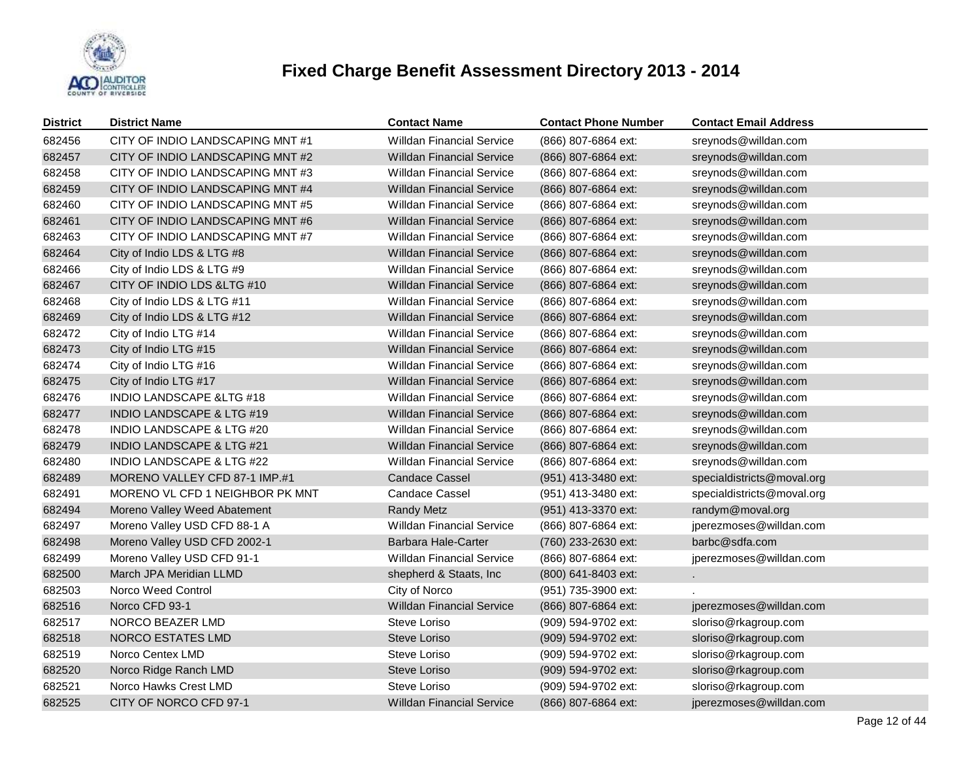

| <b>District</b> | <b>District Name</b>                 | <b>Contact Name</b>              | <b>Contact Phone Number</b> | <b>Contact Email Address</b> |
|-----------------|--------------------------------------|----------------------------------|-----------------------------|------------------------------|
| 682456          | CITY OF INDIO LANDSCAPING MNT#1      | <b>Willdan Financial Service</b> | (866) 807-6864 ext:         | sreynods@willdan.com         |
| 682457          | CITY OF INDIO LANDSCAPING MNT#2      | Willdan Financial Service        | (866) 807-6864 ext:         | sreynods@willdan.com         |
| 682458          | CITY OF INDIO LANDSCAPING MNT#3      | <b>Willdan Financial Service</b> | (866) 807-6864 ext:         | sreynods@willdan.com         |
| 682459          | CITY OF INDIO LANDSCAPING MNT #4     | Willdan Financial Service        | (866) 807-6864 ext:         | sreynods@willdan.com         |
| 682460          | CITY OF INDIO LANDSCAPING MNT#5      | <b>Willdan Financial Service</b> | (866) 807-6864 ext:         | sreynods@willdan.com         |
| 682461          | CITY OF INDIO LANDSCAPING MNT#6      | <b>Willdan Financial Service</b> | (866) 807-6864 ext:         | sreynods@willdan.com         |
| 682463          | CITY OF INDIO LANDSCAPING MNT #7     | <b>Willdan Financial Service</b> | (866) 807-6864 ext:         | sreynods@willdan.com         |
| 682464          | City of Indio LDS & LTG #8           | <b>Willdan Financial Service</b> | (866) 807-6864 ext:         | sreynods@willdan.com         |
| 682466          | City of Indio LDS & LTG #9           | <b>Willdan Financial Service</b> | (866) 807-6864 ext:         | sreynods@willdan.com         |
| 682467          | CITY OF INDIO LDS & LTG #10          | <b>Willdan Financial Service</b> | (866) 807-6864 ext:         | sreynods@willdan.com         |
| 682468          | City of Indio LDS & LTG #11          | <b>Willdan Financial Service</b> | (866) 807-6864 ext:         | sreynods@willdan.com         |
| 682469          | City of Indio LDS & LTG #12          | <b>Willdan Financial Service</b> | (866) 807-6864 ext:         | sreynods@willdan.com         |
| 682472          | City of Indio LTG #14                | <b>Willdan Financial Service</b> | (866) 807-6864 ext:         | sreynods@willdan.com         |
| 682473          | City of Indio LTG #15                | <b>Willdan Financial Service</b> | (866) 807-6864 ext:         | sreynods@willdan.com         |
| 682474          | City of Indio LTG #16                | <b>Willdan Financial Service</b> | (866) 807-6864 ext:         | sreynods@willdan.com         |
| 682475          | City of Indio LTG #17                | <b>Willdan Financial Service</b> | (866) 807-6864 ext:         | sreynods@willdan.com         |
| 682476          | <b>INDIO LANDSCAPE &amp;LTG #18</b>  | <b>Willdan Financial Service</b> | (866) 807-6864 ext:         | sreynods@willdan.com         |
| 682477          | <b>INDIO LANDSCAPE &amp; LTG #19</b> | <b>Willdan Financial Service</b> | (866) 807-6864 ext:         | sreynods@willdan.com         |
| 682478          | <b>INDIO LANDSCAPE &amp; LTG #20</b> | <b>Willdan Financial Service</b> | (866) 807-6864 ext:         | sreynods@willdan.com         |
| 682479          | INDIO LANDSCAPE & LTG #21            | <b>Willdan Financial Service</b> | (866) 807-6864 ext:         | sreynods@willdan.com         |
| 682480          | <b>INDIO LANDSCAPE &amp; LTG #22</b> | <b>Willdan Financial Service</b> | (866) 807-6864 ext:         | sreynods@willdan.com         |
| 682489          | MORENO VALLEY CFD 87-1 IMP.#1        | <b>Candace Cassel</b>            | (951) 413-3480 ext:         | specialdistricts@moval.org   |
| 682491          | MORENO VL CFD 1 NEIGHBOR PK MNT      | <b>Candace Cassel</b>            | (951) 413-3480 ext:         | specialdistricts@moval.org   |
| 682494          | Moreno Valley Weed Abatement         | <b>Randy Metz</b>                | (951) 413-3370 ext:         | randym@moval.org             |
| 682497          | Moreno Valley USD CFD 88-1 A         | <b>Willdan Financial Service</b> | (866) 807-6864 ext:         | jperezmoses@willdan.com      |
| 682498          | Moreno Valley USD CFD 2002-1         | Barbara Hale-Carter              | (760) 233-2630 ext:         | barbc@sdfa.com               |
| 682499          | Moreno Valley USD CFD 91-1           | <b>Willdan Financial Service</b> | (866) 807-6864 ext:         | jperezmoses@willdan.com      |
| 682500          | March JPA Meridian LLMD              | shepherd & Staats, Inc           | (800) 641-8403 ext:         | $\mathcal{L}^{\pm}$          |
| 682503          | Norco Weed Control                   | City of Norco                    | (951) 735-3900 ext:         |                              |
| 682516          | Norco CFD 93-1                       | <b>Willdan Financial Service</b> | (866) 807-6864 ext:         | jperezmoses@willdan.com      |
| 682517          | NORCO BEAZER LMD                     | Steve Loriso                     | (909) 594-9702 ext:         | sloriso@rkagroup.com         |
| 682518          | <b>NORCO ESTATES LMD</b>             | Steve Loriso                     | (909) 594-9702 ext:         | sloriso@rkagroup.com         |
| 682519          | Norco Centex LMD                     | Steve Loriso                     | (909) 594-9702 ext:         | sloriso@rkagroup.com         |
| 682520          | Norco Ridge Ranch LMD                | Steve Loriso                     | (909) 594-9702 ext:         | sloriso@rkagroup.com         |
| 682521          | Norco Hawks Crest LMD                | Steve Loriso                     | (909) 594-9702 ext:         | sloriso@rkagroup.com         |
| 682525          | CITY OF NORCO CFD 97-1               | <b>Willdan Financial Service</b> | (866) 807-6864 ext:         | jperezmoses@willdan.com      |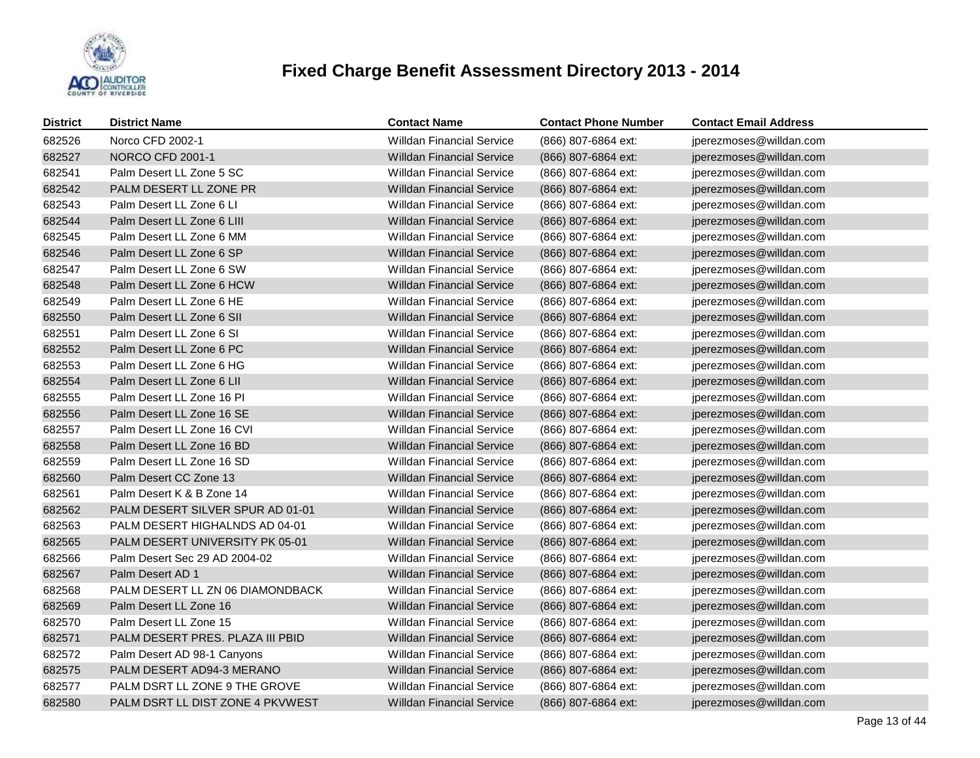

| <b>District</b> | <b>District Name</b>             | <b>Contact Name</b>              | <b>Contact Phone Number</b> | <b>Contact Email Address</b> |
|-----------------|----------------------------------|----------------------------------|-----------------------------|------------------------------|
| 682526          | Norco CFD 2002-1                 | <b>Willdan Financial Service</b> | (866) 807-6864 ext:         | jperezmoses@willdan.com      |
| 682527          | <b>NORCO CFD 2001-1</b>          | <b>Willdan Financial Service</b> | (866) 807-6864 ext:         | jperezmoses@willdan.com      |
| 682541          | Palm Desert LL Zone 5 SC         | <b>Willdan Financial Service</b> | (866) 807-6864 ext:         | jperezmoses@willdan.com      |
| 682542          | PALM DESERT LL ZONE PR           | <b>Willdan Financial Service</b> | (866) 807-6864 ext:         | jperezmoses@willdan.com      |
| 682543          | Palm Desert LL Zone 6 LI         | <b>Willdan Financial Service</b> | (866) 807-6864 ext:         | jperezmoses@willdan.com      |
| 682544          | Palm Desert LL Zone 6 LIII       | <b>Willdan Financial Service</b> | (866) 807-6864 ext:         | jperezmoses@willdan.com      |
| 682545          | Palm Desert LL Zone 6 MM         | <b>Willdan Financial Service</b> | (866) 807-6864 ext:         | jperezmoses@willdan.com      |
| 682546          | Palm Desert LL Zone 6 SP         | <b>Willdan Financial Service</b> | (866) 807-6864 ext:         | jperezmoses@willdan.com      |
| 682547          | Palm Desert LL Zone 6 SW         | <b>Willdan Financial Service</b> | (866) 807-6864 ext:         | jperezmoses@willdan.com      |
| 682548          | Palm Desert LL Zone 6 HCW        | <b>Willdan Financial Service</b> | (866) 807-6864 ext:         | jperezmoses@willdan.com      |
| 682549          | Palm Desert LL Zone 6 HE         | <b>Willdan Financial Service</b> | (866) 807-6864 ext:         | jperezmoses@willdan.com      |
| 682550          | Palm Desert LL Zone 6 SII        | <b>Willdan Financial Service</b> | (866) 807-6864 ext:         | jperezmoses@willdan.com      |
| 682551          | Palm Desert LL Zone 6 SI         | <b>Willdan Financial Service</b> | (866) 807-6864 ext:         | jperezmoses@willdan.com      |
| 682552          | Palm Desert LL Zone 6 PC         | <b>Willdan Financial Service</b> | (866) 807-6864 ext:         | jperezmoses@willdan.com      |
| 682553          | Palm Desert LL Zone 6 HG         | <b>Willdan Financial Service</b> | (866) 807-6864 ext:         | jperezmoses@willdan.com      |
| 682554          | Palm Desert LL Zone 6 LII        | <b>Willdan Financial Service</b> | (866) 807-6864 ext:         | jperezmoses@willdan.com      |
| 682555          | Palm Desert LL Zone 16 PI        | <b>Willdan Financial Service</b> | (866) 807-6864 ext:         | jperezmoses@willdan.com      |
| 682556          | Palm Desert LL Zone 16 SE        | <b>Willdan Financial Service</b> | (866) 807-6864 ext:         | jperezmoses@willdan.com      |
| 682557          | Palm Desert LL Zone 16 CVI       | <b>Willdan Financial Service</b> | (866) 807-6864 ext:         | jperezmoses@willdan.com      |
| 682558          | Palm Desert LL Zone 16 BD        | <b>Willdan Financial Service</b> | (866) 807-6864 ext:         | jperezmoses@willdan.com      |
| 682559          | Palm Desert LL Zone 16 SD        | <b>Willdan Financial Service</b> | (866) 807-6864 ext:         | jperezmoses@willdan.com      |
| 682560          | Palm Desert CC Zone 13           | <b>Willdan Financial Service</b> | (866) 807-6864 ext:         | jperezmoses@willdan.com      |
| 682561          | Palm Desert K & B Zone 14        | <b>Willdan Financial Service</b> | (866) 807-6864 ext:         | jperezmoses@willdan.com      |
| 682562          | PALM DESERT SILVER SPUR AD 01-01 | <b>Willdan Financial Service</b> | (866) 807-6864 ext:         | jperezmoses@willdan.com      |
| 682563          | PALM DESERT HIGHALNDS AD 04-01   | <b>Willdan Financial Service</b> | (866) 807-6864 ext:         | jperezmoses@willdan.com      |
| 682565          | PALM DESERT UNIVERSITY PK 05-01  | <b>Willdan Financial Service</b> | (866) 807-6864 ext:         | jperezmoses@willdan.com      |
| 682566          | Palm Desert Sec 29 AD 2004-02    | <b>Willdan Financial Service</b> | (866) 807-6864 ext:         | jperezmoses@willdan.com      |
| 682567          | Palm Desert AD 1                 | <b>Willdan Financial Service</b> | (866) 807-6864 ext:         | jperezmoses@willdan.com      |
| 682568          | PALM DESERT LL ZN 06 DIAMONDBACK | <b>Willdan Financial Service</b> | (866) 807-6864 ext:         | jperezmoses@willdan.com      |
| 682569          | Palm Desert LL Zone 16           | <b>Willdan Financial Service</b> | (866) 807-6864 ext:         | jperezmoses@willdan.com      |
| 682570          | Palm Desert LL Zone 15           | <b>Willdan Financial Service</b> | (866) 807-6864 ext:         | jperezmoses@willdan.com      |
| 682571          | PALM DESERT PRES. PLAZA III PBID | <b>Willdan Financial Service</b> | (866) 807-6864 ext:         | jperezmoses@willdan.com      |
| 682572          | Palm Desert AD 98-1 Canyons      | <b>Willdan Financial Service</b> | (866) 807-6864 ext:         | jperezmoses@willdan.com      |
| 682575          | PALM DESERT AD94-3 MERANO        | <b>Willdan Financial Service</b> | (866) 807-6864 ext:         | jperezmoses@willdan.com      |
| 682577          | PALM DSRT LL ZONE 9 THE GROVE    | <b>Willdan Financial Service</b> | (866) 807-6864 ext:         | jperezmoses@willdan.com      |
| 682580          | PALM DSRT LL DIST ZONE 4 PKVWEST | <b>Willdan Financial Service</b> | (866) 807-6864 ext:         | jperezmoses@willdan.com      |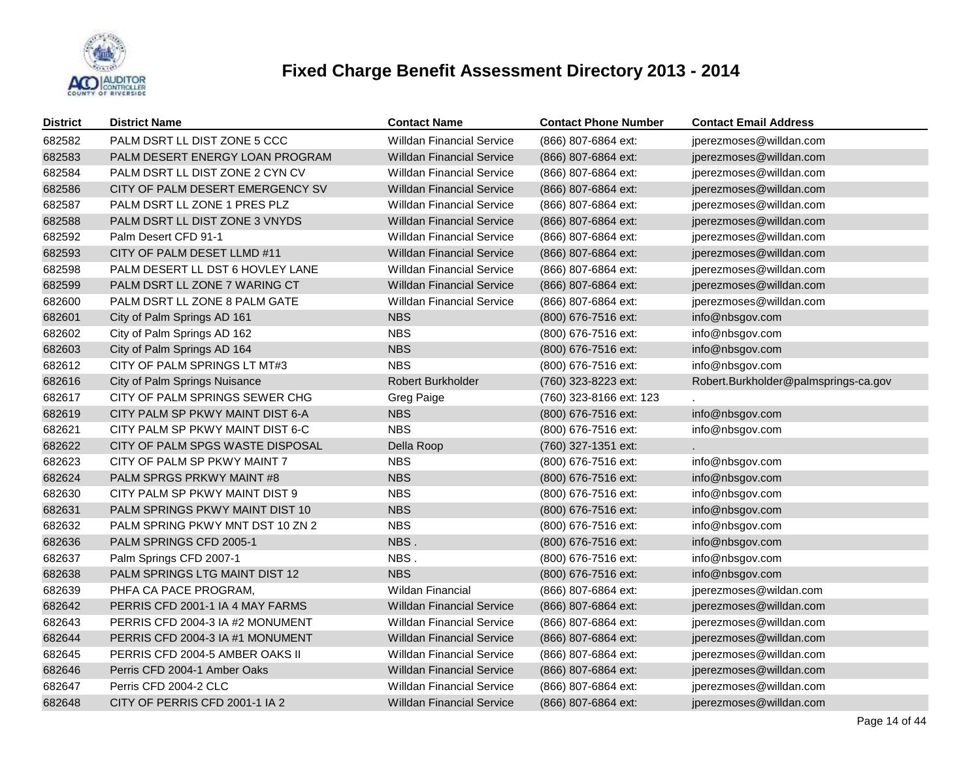

| <b>District</b> | <b>District Name</b>             | <b>Contact Name</b>              | <b>Contact Phone Number</b> | <b>Contact Email Address</b>         |
|-----------------|----------------------------------|----------------------------------|-----------------------------|--------------------------------------|
| 682582          | PALM DSRT LL DIST ZONE 5 CCC     | <b>Willdan Financial Service</b> | (866) 807-6864 ext:         | jperezmoses@willdan.com              |
| 682583          | PALM DESERT ENERGY LOAN PROGRAM  | <b>Willdan Financial Service</b> | (866) 807-6864 ext:         | jperezmoses@willdan.com              |
| 682584          | PALM DSRT LL DIST ZONE 2 CYN CV  | <b>Willdan Financial Service</b> | (866) 807-6864 ext:         | jperezmoses@willdan.com              |
| 682586          | CITY OF PALM DESERT EMERGENCY SV | <b>Willdan Financial Service</b> | (866) 807-6864 ext:         | jperezmoses@willdan.com              |
| 682587          | PALM DSRT LL ZONE 1 PRES PLZ     | <b>Willdan Financial Service</b> | (866) 807-6864 ext:         | jperezmoses@willdan.com              |
| 682588          | PALM DSRT LL DIST ZONE 3 VNYDS   | <b>Willdan Financial Service</b> | (866) 807-6864 ext:         | jperezmoses@willdan.com              |
| 682592          | Palm Desert CFD 91-1             | <b>Willdan Financial Service</b> | (866) 807-6864 ext:         | jperezmoses@willdan.com              |
| 682593          | CITY OF PALM DESET LLMD #11      | <b>Willdan Financial Service</b> | (866) 807-6864 ext:         | jperezmoses@willdan.com              |
| 682598          | PALM DESERT LL DST 6 HOVLEY LANE | <b>Willdan Financial Service</b> | (866) 807-6864 ext:         | jperezmoses@willdan.com              |
| 682599          | PALM DSRT LL ZONE 7 WARING CT    | <b>Willdan Financial Service</b> | (866) 807-6864 ext:         | jperezmoses@willdan.com              |
| 682600          | PALM DSRT LL ZONE 8 PALM GATE    | <b>Willdan Financial Service</b> | (866) 807-6864 ext:         | jperezmoses@willdan.com              |
| 682601          | City of Palm Springs AD 161      | <b>NBS</b>                       | (800) 676-7516 ext:         | info@nbsgov.com                      |
| 682602          | City of Palm Springs AD 162      | <b>NBS</b>                       | (800) 676-7516 ext:         | info@nbsgov.com                      |
| 682603          | City of Palm Springs AD 164      | <b>NBS</b>                       | (800) 676-7516 ext:         | info@nbsgov.com                      |
| 682612          | CITY OF PALM SPRINGS LT MT#3     | <b>NBS</b>                       | (800) 676-7516 ext:         | info@nbsgov.com                      |
| 682616          | City of Palm Springs Nuisance    | Robert Burkholder                | (760) 323-8223 ext:         | Robert.Burkholder@palmsprings-ca.gov |
| 682617          | CITY OF PALM SPRINGS SEWER CHG   | Greg Paige                       | (760) 323-8166 ext: 123     |                                      |
| 682619          | CITY PALM SP PKWY MAINT DIST 6-A | <b>NBS</b>                       | (800) 676-7516 ext:         | info@nbsgov.com                      |
| 682621          | CITY PALM SP PKWY MAINT DIST 6-C | <b>NBS</b>                       | (800) 676-7516 ext:         | info@nbsgov.com                      |
| 682622          | CITY OF PALM SPGS WASTE DISPOSAL | Della Roop                       | (760) 327-1351 ext:         |                                      |
| 682623          | CITY OF PALM SP PKWY MAINT 7     | <b>NBS</b>                       | (800) 676-7516 ext:         | info@nbsgov.com                      |
| 682624          | PALM SPRGS PRKWY MAINT #8        | <b>NBS</b>                       | (800) 676-7516 ext:         | info@nbsgov.com                      |
| 682630          | CITY PALM SP PKWY MAINT DIST 9   | <b>NBS</b>                       | (800) 676-7516 ext:         | info@nbsgov.com                      |
| 682631          | PALM SPRINGS PKWY MAINT DIST 10  | <b>NBS</b>                       | (800) 676-7516 ext:         | info@nbsgov.com                      |
| 682632          | PALM SPRING PKWY MNT DST 10 ZN 2 | <b>NBS</b>                       | (800) 676-7516 ext:         | info@nbsgov.com                      |
| 682636          | PALM SPRINGS CFD 2005-1          | NBS.                             | (800) 676-7516 ext:         | info@nbsgov.com                      |
| 682637          | Palm Springs CFD 2007-1          | NBS.                             | (800) 676-7516 ext:         | info@nbsgov.com                      |
| 682638          | PALM SPRINGS LTG MAINT DIST 12   | <b>NBS</b>                       | (800) 676-7516 ext:         | info@nbsgov.com                      |
| 682639          | PHFA CA PACE PROGRAM,            | <b>Wildan Financial</b>          | (866) 807-6864 ext:         | jperezmoses@wildan.com               |
| 682642          | PERRIS CFD 2001-1 IA 4 MAY FARMS | <b>Willdan Financial Service</b> | (866) 807-6864 ext:         | jperezmoses@willdan.com              |
| 682643          | PERRIS CFD 2004-3 IA #2 MONUMENT | <b>Willdan Financial Service</b> | (866) 807-6864 ext:         | jperezmoses@willdan.com              |
| 682644          | PERRIS CFD 2004-3 IA #1 MONUMENT | <b>Willdan Financial Service</b> | (866) 807-6864 ext:         | jperezmoses@willdan.com              |
| 682645          | PERRIS CFD 2004-5 AMBER OAKS II  | <b>Willdan Financial Service</b> | (866) 807-6864 ext:         | jperezmoses@willdan.com              |
| 682646          | Perris CFD 2004-1 Amber Oaks     | <b>Willdan Financial Service</b> | (866) 807-6864 ext:         | jperezmoses@willdan.com              |
| 682647          | Perris CFD 2004-2 CLC            | <b>Willdan Financial Service</b> | (866) 807-6864 ext:         | jperezmoses@willdan.com              |
| 682648          | CITY OF PERRIS CFD 2001-1 IA 2   | <b>Willdan Financial Service</b> | (866) 807-6864 ext:         | jperezmoses@willdan.com              |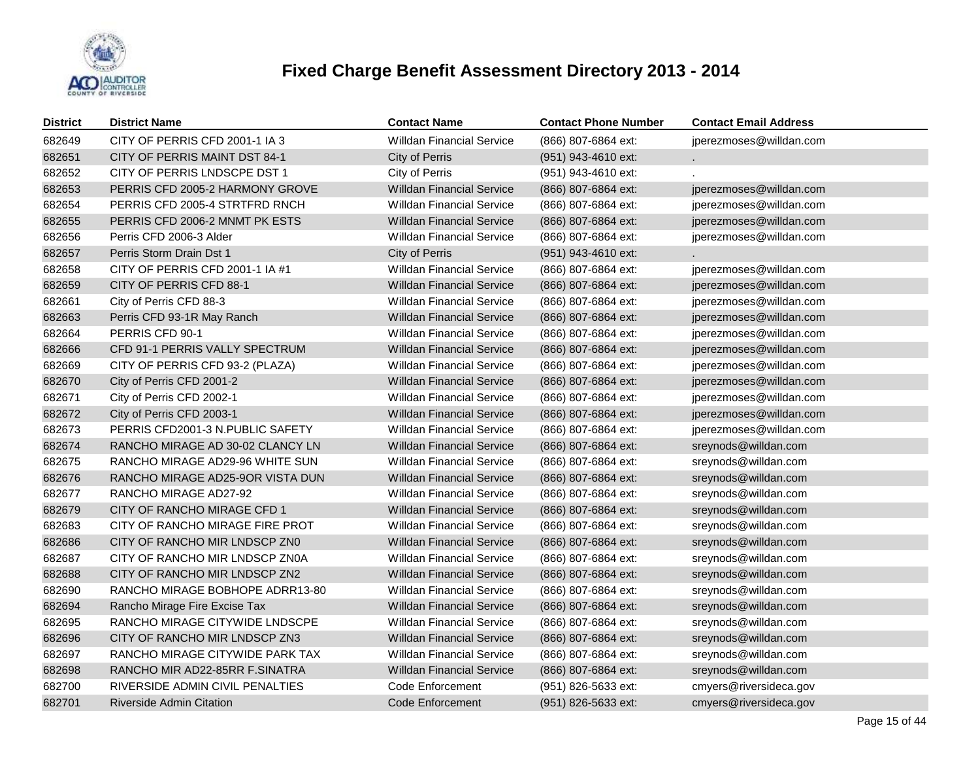

| <b>District</b> | <b>District Name</b>             | <b>Contact Name</b>              | <b>Contact Phone Number</b> | <b>Contact Email Address</b> |
|-----------------|----------------------------------|----------------------------------|-----------------------------|------------------------------|
| 682649          | CITY OF PERRIS CFD 2001-1 IA 3   | <b>Willdan Financial Service</b> | (866) 807-6864 ext:         | jperezmoses@willdan.com      |
| 682651          | CITY OF PERRIS MAINT DST 84-1    | City of Perris                   | (951) 943-4610 ext:         |                              |
| 682652          | CITY OF PERRIS LNDSCPE DST 1     | City of Perris                   | (951) 943-4610 ext:         |                              |
| 682653          | PERRIS CFD 2005-2 HARMONY GROVE  | <b>Willdan Financial Service</b> | (866) 807-6864 ext:         | jperezmoses@willdan.com      |
| 682654          | PERRIS CFD 2005-4 STRTFRD RNCH   | <b>Willdan Financial Service</b> | (866) 807-6864 ext:         | jperezmoses@willdan.com      |
| 682655          | PERRIS CFD 2006-2 MNMT PK ESTS   | <b>Willdan Financial Service</b> | (866) 807-6864 ext:         | jperezmoses@willdan.com      |
| 682656          | Perris CFD 2006-3 Alder          | <b>Willdan Financial Service</b> | (866) 807-6864 ext:         | jperezmoses@willdan.com      |
| 682657          | Perris Storm Drain Dst 1         | City of Perris                   | (951) 943-4610 ext:         |                              |
| 682658          | CITY OF PERRIS CFD 2001-1 IA #1  | <b>Willdan Financial Service</b> | (866) 807-6864 ext:         | jperezmoses@willdan.com      |
| 682659          | CITY OF PERRIS CFD 88-1          | <b>Willdan Financial Service</b> | (866) 807-6864 ext:         | jperezmoses@willdan.com      |
| 682661          | City of Perris CFD 88-3          | <b>Willdan Financial Service</b> | (866) 807-6864 ext:         | jperezmoses@willdan.com      |
| 682663          | Perris CFD 93-1R May Ranch       | <b>Willdan Financial Service</b> | (866) 807-6864 ext:         | jperezmoses@willdan.com      |
| 682664          | PERRIS CFD 90-1                  | <b>Willdan Financial Service</b> | (866) 807-6864 ext:         | jperezmoses@willdan.com      |
| 682666          | CFD 91-1 PERRIS VALLY SPECTRUM   | <b>Willdan Financial Service</b> | (866) 807-6864 ext:         | jperezmoses@willdan.com      |
| 682669          | CITY OF PERRIS CFD 93-2 (PLAZA)  | <b>Willdan Financial Service</b> | (866) 807-6864 ext:         | jperezmoses@willdan.com      |
| 682670          | City of Perris CFD 2001-2        | <b>Willdan Financial Service</b> | (866) 807-6864 ext:         | jperezmoses@willdan.com      |
| 682671          | City of Perris CFD 2002-1        | <b>Willdan Financial Service</b> | (866) 807-6864 ext:         | jperezmoses@willdan.com      |
| 682672          | City of Perris CFD 2003-1        | <b>Willdan Financial Service</b> | (866) 807-6864 ext:         | jperezmoses@willdan.com      |
| 682673          | PERRIS CFD2001-3 N.PUBLIC SAFETY | <b>Willdan Financial Service</b> | (866) 807-6864 ext:         | jperezmoses@willdan.com      |
| 682674          | RANCHO MIRAGE AD 30-02 CLANCY LN | <b>Willdan Financial Service</b> | (866) 807-6864 ext:         | sreynods@willdan.com         |
| 682675          | RANCHO MIRAGE AD29-96 WHITE SUN  | <b>Willdan Financial Service</b> | (866) 807-6864 ext:         | sreynods@willdan.com         |
| 682676          | RANCHO MIRAGE AD25-9OR VISTA DUN | <b>Willdan Financial Service</b> | (866) 807-6864 ext:         | sreynods@willdan.com         |
| 682677          | RANCHO MIRAGE AD27-92            | <b>Willdan Financial Service</b> | (866) 807-6864 ext:         | sreynods@willdan.com         |
| 682679          | CITY OF RANCHO MIRAGE CFD 1      | <b>Willdan Financial Service</b> | (866) 807-6864 ext:         | sreynods@willdan.com         |
| 682683          | CITY OF RANCHO MIRAGE FIRE PROT  | <b>Willdan Financial Service</b> | (866) 807-6864 ext:         | sreynods@willdan.com         |
| 682686          | CITY OF RANCHO MIR LNDSCP ZN0    | <b>Willdan Financial Service</b> | (866) 807-6864 ext:         | sreynods@willdan.com         |
| 682687          | CITY OF RANCHO MIR LNDSCP ZN0A   | Willdan Financial Service        | (866) 807-6864 ext:         | sreynods@willdan.com         |
| 682688          | CITY OF RANCHO MIR LNDSCP ZN2    | <b>Willdan Financial Service</b> | (866) 807-6864 ext:         | sreynods@willdan.com         |
| 682690          | RANCHO MIRAGE BOBHOPE ADRR13-80  | Willdan Financial Service        | (866) 807-6864 ext:         | sreynods@willdan.com         |
| 682694          | Rancho Mirage Fire Excise Tax    | <b>Willdan Financial Service</b> | (866) 807-6864 ext:         | sreynods@willdan.com         |
| 682695          | RANCHO MIRAGE CITYWIDE LNDSCPE   | Willdan Financial Service        | (866) 807-6864 ext:         | sreynods@willdan.com         |
| 682696          | CITY OF RANCHO MIR LNDSCP ZN3    | <b>Willdan Financial Service</b> | (866) 807-6864 ext:         | sreynods@willdan.com         |
| 682697          | RANCHO MIRAGE CITYWIDE PARK TAX  | Willdan Financial Service        | (866) 807-6864 ext:         | sreynods@willdan.com         |
| 682698          | RANCHO MIR AD22-85RR F.SINATRA   | <b>Willdan Financial Service</b> | (866) 807-6864 ext:         | sreynods@willdan.com         |
| 682700          | RIVERSIDE ADMIN CIVIL PENALTIES  | Code Enforcement                 | (951) 826-5633 ext:         | cmyers@riversideca.gov       |
| 682701          | <b>Riverside Admin Citation</b>  | Code Enforcement                 | (951) 826-5633 ext:         | cmyers@riversideca.gov       |
|                 |                                  |                                  |                             |                              |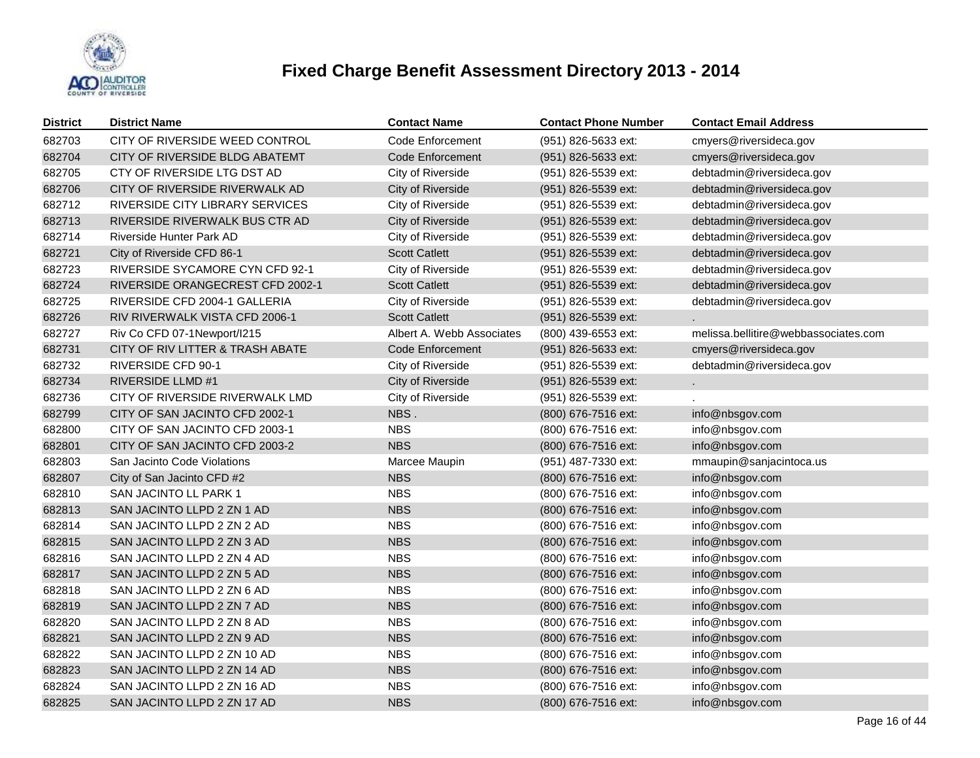

| <b>District</b> | <b>District Name</b>             | <b>Contact Name</b>       | <b>Contact Phone Number</b> | <b>Contact Email Address</b>         |
|-----------------|----------------------------------|---------------------------|-----------------------------|--------------------------------------|
| 682703          | CITY OF RIVERSIDE WEED CONTROL   | Code Enforcement          | (951) 826-5633 ext:         | cmyers@riversideca.gov               |
| 682704          | CITY OF RIVERSIDE BLDG ABATEMT   | Code Enforcement          | (951) 826-5633 ext:         | cmyers@riversideca.gov               |
| 682705          | CTY OF RIVERSIDE LTG DST AD      | City of Riverside         | (951) 826-5539 ext:         | debtadmin@riversideca.gov            |
| 682706          | CITY OF RIVERSIDE RIVERWALK AD   | <b>City of Riverside</b>  | (951) 826-5539 ext:         | debtadmin@riversideca.gov            |
| 682712          | RIVERSIDE CITY LIBRARY SERVICES  | City of Riverside         | (951) 826-5539 ext:         | debtadmin@riversideca.gov            |
| 682713          | RIVERSIDE RIVERWALK BUS CTR AD   | City of Riverside         | (951) 826-5539 ext:         | debtadmin@riversideca.gov            |
| 682714          | Riverside Hunter Park AD         | City of Riverside         | (951) 826-5539 ext:         | debtadmin@riversideca.gov            |
| 682721          | City of Riverside CFD 86-1       | <b>Scott Catlett</b>      | (951) 826-5539 ext:         | debtadmin@riversideca.gov            |
| 682723          | RIVERSIDE SYCAMORE CYN CFD 92-1  | City of Riverside         | (951) 826-5539 ext:         | debtadmin@riversideca.gov            |
| 682724          | RIVERSIDE ORANGECREST CFD 2002-1 | <b>Scott Catlett</b>      | (951) 826-5539 ext:         | debtadmin@riversideca.gov            |
| 682725          | RIVERSIDE CFD 2004-1 GALLERIA    | City of Riverside         | (951) 826-5539 ext:         | debtadmin@riversideca.gov            |
| 682726          | RIV RIVERWALK VISTA CFD 2006-1   | <b>Scott Catlett</b>      | (951) 826-5539 ext:         |                                      |
| 682727          | Riv Co CFD 07-1Newport/I215      | Albert A. Webb Associates | (800) 439-6553 ext:         | melissa.bellitire@webbassociates.com |
| 682731          | CITY OF RIV LITTER & TRASH ABATE | Code Enforcement          | (951) 826-5633 ext:         | cmyers@riversideca.gov               |
| 682732          | <b>RIVERSIDE CFD 90-1</b>        | City of Riverside         | (951) 826-5539 ext:         | debtadmin@riversideca.gov            |
| 682734          | <b>RIVERSIDE LLMD #1</b>         | City of Riverside         | (951) 826-5539 ext:         | a.                                   |
| 682736          | CITY OF RIVERSIDE RIVERWALK LMD  | City of Riverside         | (951) 826-5539 ext:         |                                      |
| 682799          | CITY OF SAN JACINTO CFD 2002-1   | NBS.                      | (800) 676-7516 ext:         | info@nbsgov.com                      |
| 682800          | CITY OF SAN JACINTO CFD 2003-1   | <b>NBS</b>                | (800) 676-7516 ext:         | info@nbsgov.com                      |
| 682801          | CITY OF SAN JACINTO CFD 2003-2   | <b>NBS</b>                | (800) 676-7516 ext:         | info@nbsgov.com                      |
| 682803          | San Jacinto Code Violations      | Marcee Maupin             | (951) 487-7330 ext:         | mmaupin@sanjacintoca.us              |
| 682807          | City of San Jacinto CFD #2       | <b>NBS</b>                | (800) 676-7516 ext:         | info@nbsgov.com                      |
| 682810          | SAN JACINTO LL PARK 1            | <b>NBS</b>                | (800) 676-7516 ext:         | info@nbsgov.com                      |
| 682813          | SAN JACINTO LLPD 2 ZN 1 AD       | <b>NBS</b>                | (800) 676-7516 ext:         | info@nbsgov.com                      |
| 682814          | SAN JACINTO LLPD 2 ZN 2 AD       | <b>NBS</b>                | (800) 676-7516 ext:         | info@nbsgov.com                      |
| 682815          | SAN JACINTO LLPD 2 ZN 3 AD       | <b>NBS</b>                | (800) 676-7516 ext:         | info@nbsgov.com                      |
| 682816          | SAN JACINTO LLPD 2 ZN 4 AD       | <b>NBS</b>                | (800) 676-7516 ext:         | info@nbsgov.com                      |
| 682817          | SAN JACINTO LLPD 2 ZN 5 AD       | <b>NBS</b>                | (800) 676-7516 ext:         | info@nbsgov.com                      |
| 682818          | SAN JACINTO LLPD 2 ZN 6 AD       | <b>NBS</b>                | (800) 676-7516 ext:         | info@nbsgov.com                      |
| 682819          | SAN JACINTO LLPD 2 ZN 7 AD       | <b>NBS</b>                | (800) 676-7516 ext:         | info@nbsgov.com                      |
| 682820          | SAN JACINTO LLPD 2 ZN 8 AD       | <b>NBS</b>                | (800) 676-7516 ext:         | info@nbsgov.com                      |
| 682821          | SAN JACINTO LLPD 2 ZN 9 AD       | <b>NBS</b>                | (800) 676-7516 ext:         | info@nbsgov.com                      |
| 682822          | SAN JACINTO LLPD 2 ZN 10 AD      | <b>NBS</b>                | (800) 676-7516 ext:         | info@nbsgov.com                      |
| 682823          | SAN JACINTO LLPD 2 ZN 14 AD      | <b>NBS</b>                | (800) 676-7516 ext:         | info@nbsgov.com                      |
| 682824          | SAN JACINTO LLPD 2 ZN 16 AD      | <b>NBS</b>                | (800) 676-7516 ext:         | info@nbsgov.com                      |
| 682825          | SAN JACINTO LLPD 2 ZN 17 AD      | <b>NBS</b>                | (800) 676-7516 ext:         | info@nbsgov.com                      |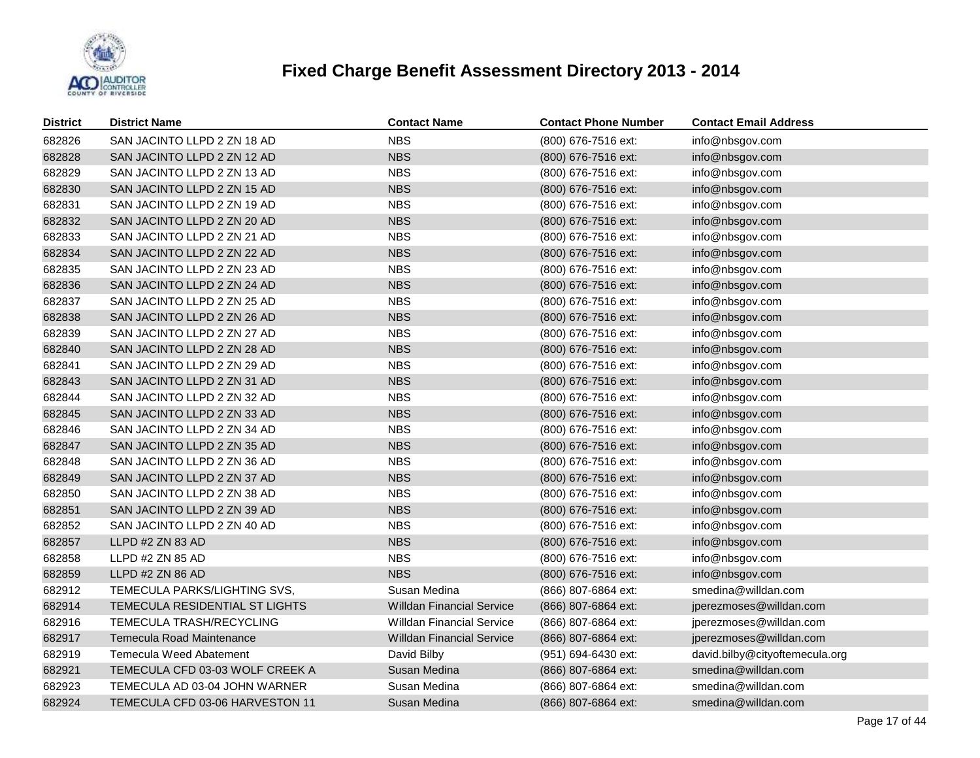

| <b>District</b> | <b>District Name</b>            | <b>Contact Name</b>              | <b>Contact Phone Number</b> | <b>Contact Email Address</b>   |
|-----------------|---------------------------------|----------------------------------|-----------------------------|--------------------------------|
| 682826          | SAN JACINTO LLPD 2 ZN 18 AD     | <b>NBS</b>                       | (800) 676-7516 ext:         | info@nbsgov.com                |
| 682828          | SAN JACINTO LLPD 2 ZN 12 AD     | <b>NBS</b>                       | (800) 676-7516 ext:         | info@nbsgov.com                |
| 682829          | SAN JACINTO LLPD 2 ZN 13 AD     | <b>NBS</b>                       | (800) 676-7516 ext:         | info@nbsgov.com                |
| 682830          | SAN JACINTO LLPD 2 ZN 15 AD     | <b>NBS</b>                       | (800) 676-7516 ext:         | info@nbsgov.com                |
| 682831          | SAN JACINTO LLPD 2 ZN 19 AD     | <b>NBS</b>                       | (800) 676-7516 ext:         | info@nbsgov.com                |
| 682832          | SAN JACINTO LLPD 2 ZN 20 AD     | <b>NBS</b>                       | (800) 676-7516 ext:         | info@nbsgov.com                |
| 682833          | SAN JACINTO LLPD 2 ZN 21 AD     | <b>NBS</b>                       | (800) 676-7516 ext:         | info@nbsgov.com                |
| 682834          | SAN JACINTO LLPD 2 ZN 22 AD     | <b>NBS</b>                       | (800) 676-7516 ext:         | info@nbsgov.com                |
| 682835          | SAN JACINTO LLPD 2 ZN 23 AD     | <b>NBS</b>                       | (800) 676-7516 ext:         | info@nbsgov.com                |
| 682836          | SAN JACINTO LLPD 2 ZN 24 AD     | <b>NBS</b>                       | (800) 676-7516 ext:         | info@nbsgov.com                |
| 682837          | SAN JACINTO LLPD 2 ZN 25 AD     | <b>NBS</b>                       | (800) 676-7516 ext:         | info@nbsgov.com                |
| 682838          | SAN JACINTO LLPD 2 ZN 26 AD     | <b>NBS</b>                       | (800) 676-7516 ext:         | info@nbsgov.com                |
| 682839          | SAN JACINTO LLPD 2 ZN 27 AD     | <b>NBS</b>                       | (800) 676-7516 ext:         | info@nbsgov.com                |
| 682840          | SAN JACINTO LLPD 2 ZN 28 AD     | <b>NBS</b>                       | (800) 676-7516 ext:         | info@nbsgov.com                |
| 682841          | SAN JACINTO LLPD 2 ZN 29 AD     | <b>NBS</b>                       | (800) 676-7516 ext:         | info@nbsgov.com                |
| 682843          | SAN JACINTO LLPD 2 ZN 31 AD     | <b>NBS</b>                       | (800) 676-7516 ext:         | info@nbsgov.com                |
| 682844          | SAN JACINTO LLPD 2 ZN 32 AD     | <b>NBS</b>                       | (800) 676-7516 ext:         | info@nbsgov.com                |
| 682845          | SAN JACINTO LLPD 2 ZN 33 AD     | <b>NBS</b>                       | (800) 676-7516 ext:         | info@nbsgov.com                |
| 682846          | SAN JACINTO LLPD 2 ZN 34 AD     | <b>NBS</b>                       | (800) 676-7516 ext:         | info@nbsgov.com                |
| 682847          | SAN JACINTO LLPD 2 ZN 35 AD     | <b>NBS</b>                       | (800) 676-7516 ext:         | info@nbsgov.com                |
| 682848          | SAN JACINTO LLPD 2 ZN 36 AD     | <b>NBS</b>                       | (800) 676-7516 ext:         | info@nbsgov.com                |
| 682849          | SAN JACINTO LLPD 2 ZN 37 AD     | <b>NBS</b>                       | (800) 676-7516 ext:         | info@nbsgov.com                |
| 682850          | SAN JACINTO LLPD 2 ZN 38 AD     | <b>NBS</b>                       | (800) 676-7516 ext:         | info@nbsgov.com                |
| 682851          | SAN JACINTO LLPD 2 ZN 39 AD     | <b>NBS</b>                       | (800) 676-7516 ext:         | info@nbsgov.com                |
| 682852          | SAN JACINTO LLPD 2 ZN 40 AD     | <b>NBS</b>                       | (800) 676-7516 ext:         | info@nbsgov.com                |
| 682857          | LLPD #2 ZN 83 AD                | <b>NBS</b>                       | (800) 676-7516 ext:         | info@nbsgov.com                |
| 682858          | LLPD #2 ZN 85 AD                | <b>NBS</b>                       | (800) 676-7516 ext:         | info@nbsgov.com                |
| 682859          | LLPD #2 ZN 86 AD                | <b>NBS</b>                       | (800) 676-7516 ext:         | info@nbsgov.com                |
| 682912          | TEMECULA PARKS/LIGHTING SVS,    | Susan Medina                     | (866) 807-6864 ext:         | smedina@willdan.com            |
| 682914          | TEMECULA RESIDENTIAL ST LIGHTS  | <b>Willdan Financial Service</b> | (866) 807-6864 ext:         | jperezmoses@willdan.com        |
| 682916          | TEMECULA TRASH/RECYCLING        | <b>Willdan Financial Service</b> | (866) 807-6864 ext:         | jperezmoses@willdan.com        |
| 682917          | Temecula Road Maintenance       | <b>Willdan Financial Service</b> | (866) 807-6864 ext:         | jperezmoses@willdan.com        |
| 682919          | Temecula Weed Abatement         | David Bilby                      | (951) 694-6430 ext:         | david.bilby@cityoftemecula.org |
| 682921          | TEMECULA CFD 03-03 WOLF CREEK A | Susan Medina                     | (866) 807-6864 ext:         | smedina@willdan.com            |
| 682923          | TEMECULA AD 03-04 JOHN WARNER   | Susan Medina                     | (866) 807-6864 ext:         | smedina@willdan.com            |
| 682924          | TEMECULA CFD 03-06 HARVESTON 11 | Susan Medina                     | (866) 807-6864 ext:         | smedina@willdan.com            |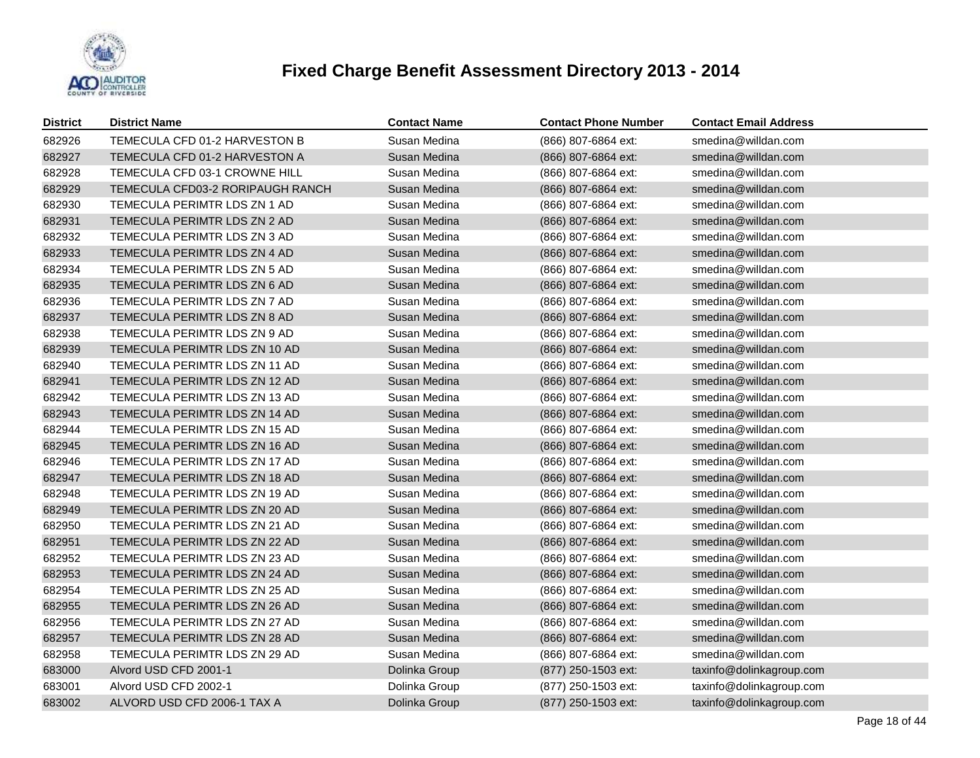

| <b>District</b> | <b>District Name</b>             | <b>Contact Name</b> | <b>Contact Phone Number</b> | <b>Contact Email Address</b> |
|-----------------|----------------------------------|---------------------|-----------------------------|------------------------------|
| 682926          | TEMECULA CFD 01-2 HARVESTON B    | Susan Medina        | (866) 807-6864 ext:         | smedina@willdan.com          |
| 682927          | TEMECULA CFD 01-2 HARVESTON A    | Susan Medina        | (866) 807-6864 ext:         | smedina@willdan.com          |
| 682928          | TEMECULA CFD 03-1 CROWNE HILL    | Susan Medina        | (866) 807-6864 ext:         | smedina@willdan.com          |
| 682929          | TEMECULA CFD03-2 RORIPAUGH RANCH | Susan Medina        | (866) 807-6864 ext:         | smedina@willdan.com          |
| 682930          | TEMECULA PERIMTR LDS ZN 1 AD     | Susan Medina        | (866) 807-6864 ext:         | smedina@willdan.com          |
| 682931          | TEMECULA PERIMTR LDS ZN 2 AD     | Susan Medina        | (866) 807-6864 ext:         | smedina@willdan.com          |
| 682932          | TEMECULA PERIMTR LDS ZN 3 AD     | Susan Medina        | (866) 807-6864 ext:         | smedina@willdan.com          |
| 682933          | TEMECULA PERIMTR LDS ZN 4 AD     | Susan Medina        | (866) 807-6864 ext:         | smedina@willdan.com          |
| 682934          | TEMECULA PERIMTR LDS ZN 5 AD     | Susan Medina        | (866) 807-6864 ext:         | smedina@willdan.com          |
| 682935          | TEMECULA PERIMTR LDS ZN 6 AD     | Susan Medina        | (866) 807-6864 ext:         | smedina@willdan.com          |
| 682936          | TEMECULA PERIMTR LDS ZN 7 AD     | Susan Medina        | (866) 807-6864 ext:         | smedina@willdan.com          |
| 682937          | TEMECULA PERIMTR LDS ZN 8 AD     | Susan Medina        | (866) 807-6864 ext:         | smedina@willdan.com          |
| 682938          | TEMECULA PERIMTR LDS ZN 9 AD     | Susan Medina        | (866) 807-6864 ext:         | smedina@willdan.com          |
| 682939          | TEMECULA PERIMTR LDS ZN 10 AD    | Susan Medina        | (866) 807-6864 ext:         | smedina@willdan.com          |
| 682940          | TEMECULA PERIMTR LDS ZN 11 AD    | Susan Medina        | (866) 807-6864 ext:         | smedina@willdan.com          |
| 682941          | TEMECULA PERIMTR LDS ZN 12 AD    | Susan Medina        | (866) 807-6864 ext:         | smedina@willdan.com          |
| 682942          | TEMECULA PERIMTR LDS ZN 13 AD    | Susan Medina        | (866) 807-6864 ext:         | smedina@willdan.com          |
| 682943          | TEMECULA PERIMTR LDS ZN 14 AD    | Susan Medina        | (866) 807-6864 ext:         | smedina@willdan.com          |
| 682944          | TEMECULA PERIMTR LDS ZN 15 AD    | Susan Medina        | (866) 807-6864 ext:         | smedina@willdan.com          |
| 682945          | TEMECULA PERIMTR LDS ZN 16 AD    | Susan Medina        | (866) 807-6864 ext:         | smedina@willdan.com          |
| 682946          | TEMECULA PERIMTR LDS ZN 17 AD    | Susan Medina        | (866) 807-6864 ext:         | smedina@willdan.com          |
| 682947          | TEMECULA PERIMTR LDS ZN 18 AD    | Susan Medina        | (866) 807-6864 ext:         | smedina@willdan.com          |
| 682948          | TEMECULA PERIMTR LDS ZN 19 AD    | Susan Medina        | (866) 807-6864 ext:         | smedina@willdan.com          |
| 682949          | TEMECULA PERIMTR LDS ZN 20 AD    | Susan Medina        | (866) 807-6864 ext:         | smedina@willdan.com          |
| 682950          | TEMECULA PERIMTR LDS ZN 21 AD    | Susan Medina        | (866) 807-6864 ext:         | smedina@willdan.com          |
| 682951          | TEMECULA PERIMTR LDS ZN 22 AD    | Susan Medina        | (866) 807-6864 ext:         | smedina@willdan.com          |
| 682952          | TEMECULA PERIMTR LDS ZN 23 AD    | Susan Medina        | (866) 807-6864 ext:         | smedina@willdan.com          |
| 682953          | TEMECULA PERIMTR LDS ZN 24 AD    | Susan Medina        | (866) 807-6864 ext:         | smedina@willdan.com          |
| 682954          | TEMECULA PERIMTR LDS ZN 25 AD    | Susan Medina        | (866) 807-6864 ext:         | smedina@willdan.com          |
| 682955          | TEMECULA PERIMTR LDS ZN 26 AD    | Susan Medina        | (866) 807-6864 ext:         | smedina@willdan.com          |
| 682956          | TEMECULA PERIMTR LDS ZN 27 AD    | Susan Medina        | (866) 807-6864 ext:         | smedina@willdan.com          |
| 682957          | TEMECULA PERIMTR LDS ZN 28 AD    | Susan Medina        | (866) 807-6864 ext:         | smedina@willdan.com          |
| 682958          | TEMECULA PERIMTR LDS ZN 29 AD    | Susan Medina        | (866) 807-6864 ext:         | smedina@willdan.com          |
| 683000          | Alvord USD CFD 2001-1            | Dolinka Group       | (877) 250-1503 ext:         | taxinfo@dolinkagroup.com     |
| 683001          | Alvord USD CFD 2002-1            | Dolinka Group       | (877) 250-1503 ext:         | taxinfo@dolinkagroup.com     |
| 683002          | ALVORD USD CFD 2006-1 TAX A      | Dolinka Group       | (877) 250-1503 ext:         | taxinfo@dolinkagroup.com     |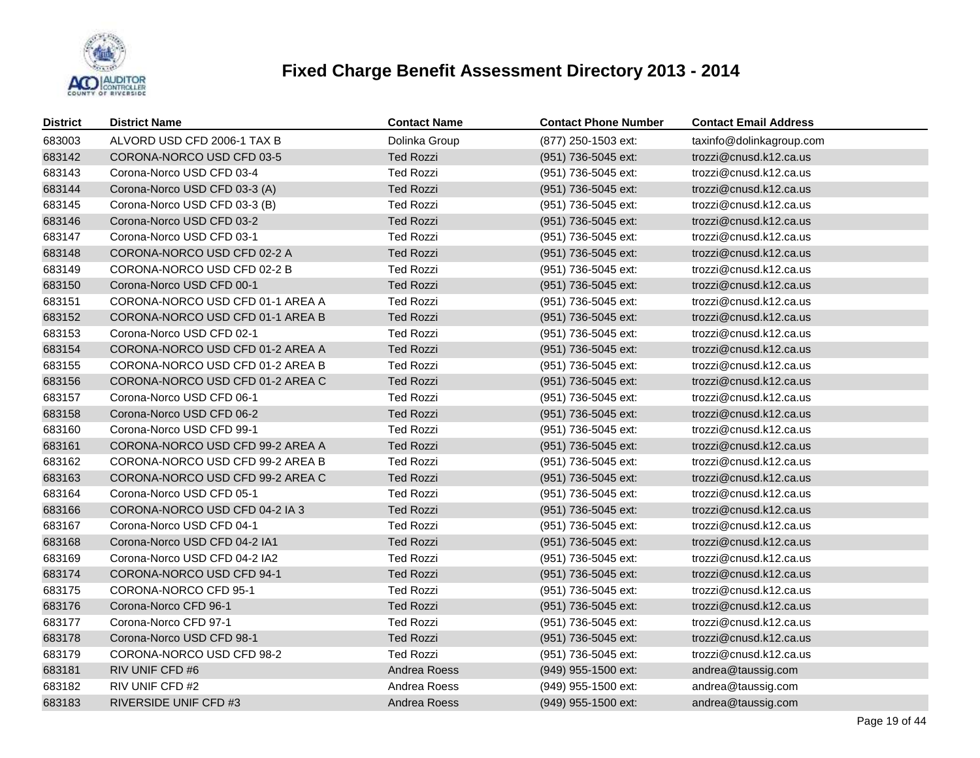

| <b>District</b> | <b>District Name</b>             | <b>Contact Name</b> | <b>Contact Phone Number</b> | <b>Contact Email Address</b> |
|-----------------|----------------------------------|---------------------|-----------------------------|------------------------------|
| 683003          | ALVORD USD CFD 2006-1 TAX B      | Dolinka Group       | (877) 250-1503 ext:         | taxinfo@dolinkagroup.com     |
| 683142          | CORONA-NORCO USD CFD 03-5        | <b>Ted Rozzi</b>    | (951) 736-5045 ext:         | trozzi@cnusd.k12.ca.us       |
| 683143          | Corona-Norco USD CFD 03-4        | <b>Ted Rozzi</b>    | (951) 736-5045 ext:         | trozzi@cnusd.k12.ca.us       |
| 683144          | Corona-Norco USD CFD 03-3 (A)    | <b>Ted Rozzi</b>    | (951) 736-5045 ext:         | trozzi@cnusd.k12.ca.us       |
| 683145          | Corona-Norco USD CFD 03-3 (B)    | <b>Ted Rozzi</b>    | (951) 736-5045 ext:         | trozzi@cnusd.k12.ca.us       |
| 683146          | Corona-Norco USD CFD 03-2        | <b>Ted Rozzi</b>    | (951) 736-5045 ext:         | trozzi@cnusd.k12.ca.us       |
| 683147          | Corona-Norco USD CFD 03-1        | <b>Ted Rozzi</b>    | (951) 736-5045 ext:         | trozzi@cnusd.k12.ca.us       |
| 683148          | CORONA-NORCO USD CFD 02-2 A      | <b>Ted Rozzi</b>    | (951) 736-5045 ext:         | trozzi@cnusd.k12.ca.us       |
| 683149          | CORONA-NORCO USD CFD 02-2 B      | Ted Rozzi           | (951) 736-5045 ext:         | trozzi@cnusd.k12.ca.us       |
| 683150          | Corona-Norco USD CFD 00-1        | <b>Ted Rozzi</b>    | (951) 736-5045 ext:         | trozzi@cnusd.k12.ca.us       |
| 683151          | CORONA-NORCO USD CFD 01-1 AREA A | <b>Ted Rozzi</b>    | (951) 736-5045 ext:         | trozzi@cnusd.k12.ca.us       |
| 683152          | CORONA-NORCO USD CFD 01-1 AREA B | <b>Ted Rozzi</b>    | (951) 736-5045 ext:         | trozzi@cnusd.k12.ca.us       |
| 683153          | Corona-Norco USD CFD 02-1        | <b>Ted Rozzi</b>    | (951) 736-5045 ext:         | trozzi@cnusd.k12.ca.us       |
| 683154          | CORONA-NORCO USD CFD 01-2 AREA A | <b>Ted Rozzi</b>    | (951) 736-5045 ext:         | trozzi@cnusd.k12.ca.us       |
| 683155          | CORONA-NORCO USD CFD 01-2 AREA B | <b>Ted Rozzi</b>    | (951) 736-5045 ext:         | trozzi@cnusd.k12.ca.us       |
| 683156          | CORONA-NORCO USD CFD 01-2 AREA C | <b>Ted Rozzi</b>    | (951) 736-5045 ext:         | trozzi@cnusd.k12.ca.us       |
| 683157          | Corona-Norco USD CFD 06-1        | <b>Ted Rozzi</b>    | (951) 736-5045 ext:         | trozzi@cnusd.k12.ca.us       |
| 683158          | Corona-Norco USD CFD 06-2        | <b>Ted Rozzi</b>    | (951) 736-5045 ext:         | trozzi@cnusd.k12.ca.us       |
| 683160          | Corona-Norco USD CFD 99-1        | <b>Ted Rozzi</b>    | (951) 736-5045 ext:         | trozzi@cnusd.k12.ca.us       |
| 683161          | CORONA-NORCO USD CFD 99-2 AREA A | <b>Ted Rozzi</b>    | (951) 736-5045 ext:         | trozzi@cnusd.k12.ca.us       |
| 683162          | CORONA-NORCO USD CFD 99-2 AREA B | <b>Ted Rozzi</b>    | (951) 736-5045 ext:         | trozzi@cnusd.k12.ca.us       |
| 683163          | CORONA-NORCO USD CFD 99-2 AREA C | <b>Ted Rozzi</b>    | (951) 736-5045 ext:         | trozzi@cnusd.k12.ca.us       |
| 683164          | Corona-Norco USD CFD 05-1        | <b>Ted Rozzi</b>    | (951) 736-5045 ext:         | trozzi@cnusd.k12.ca.us       |
| 683166          | CORONA-NORCO USD CFD 04-2 IA 3   | <b>Ted Rozzi</b>    | (951) 736-5045 ext:         | trozzi@cnusd.k12.ca.us       |
| 683167          | Corona-Norco USD CFD 04-1        | <b>Ted Rozzi</b>    | (951) 736-5045 ext:         | trozzi@cnusd.k12.ca.us       |
| 683168          | Corona-Norco USD CFD 04-2 IA1    | <b>Ted Rozzi</b>    | (951) 736-5045 ext:         | trozzi@cnusd.k12.ca.us       |
| 683169          | Corona-Norco USD CFD 04-2 IA2    | <b>Ted Rozzi</b>    | (951) 736-5045 ext:         | trozzi@cnusd.k12.ca.us       |
| 683174          | CORONA-NORCO USD CFD 94-1        | <b>Ted Rozzi</b>    | (951) 736-5045 ext:         | trozzi@cnusd.k12.ca.us       |
| 683175          | CORONA-NORCO CFD 95-1            | <b>Ted Rozzi</b>    | (951) 736-5045 ext:         | trozzi@cnusd.k12.ca.us       |
| 683176          | Corona-Norco CFD 96-1            | <b>Ted Rozzi</b>    | (951) 736-5045 ext:         | trozzi@cnusd.k12.ca.us       |
| 683177          | Corona-Norco CFD 97-1            | <b>Ted Rozzi</b>    | (951) 736-5045 ext:         | trozzi@cnusd.k12.ca.us       |
| 683178          | Corona-Norco USD CFD 98-1        | <b>Ted Rozzi</b>    | (951) 736-5045 ext:         | trozzi@cnusd.k12.ca.us       |
| 683179          | CORONA-NORCO USD CFD 98-2        | <b>Ted Rozzi</b>    | (951) 736-5045 ext:         | trozzi@cnusd.k12.ca.us       |
| 683181          | RIV UNIF CFD #6                  | Andrea Roess        | (949) 955-1500 ext:         | andrea@taussig.com           |
| 683182          | RIV UNIF CFD #2                  | Andrea Roess        | (949) 955-1500 ext:         | andrea@taussig.com           |
| 683183          | RIVERSIDE UNIF CFD #3            | Andrea Roess        | (949) 955-1500 ext:         | andrea@taussig.com           |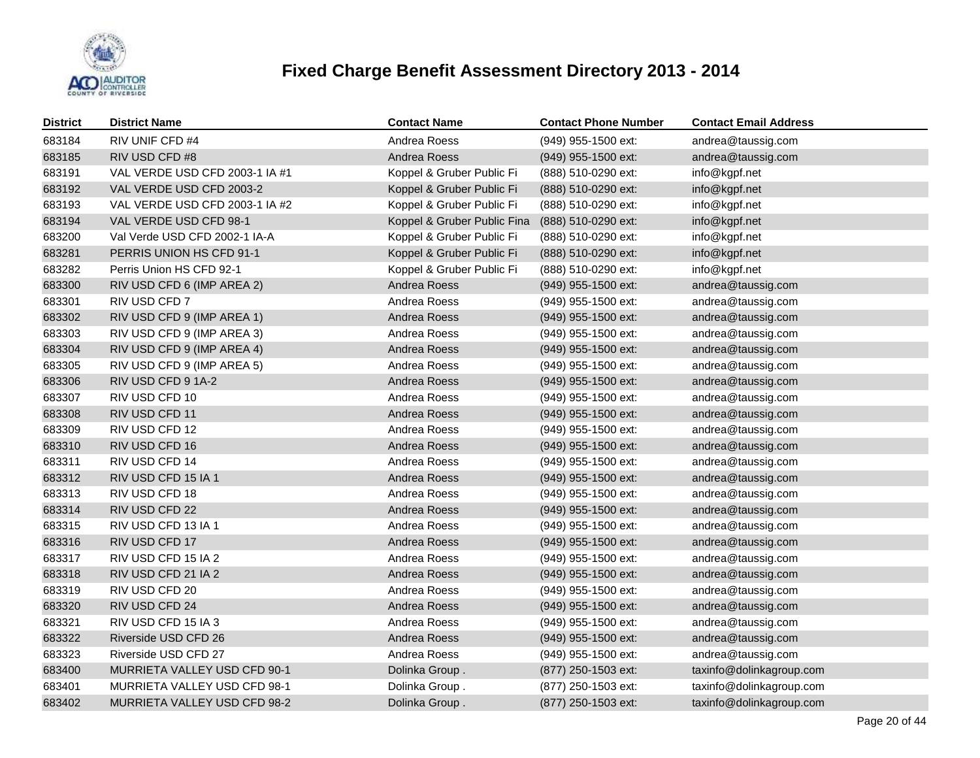

| <b>District</b> | <b>District Name</b>           | <b>Contact Name</b>         | <b>Contact Phone Number</b> | <b>Contact Email Address</b> |
|-----------------|--------------------------------|-----------------------------|-----------------------------|------------------------------|
| 683184          | RIV UNIF CFD #4                | Andrea Roess                | (949) 955-1500 ext:         | andrea@taussig.com           |
| 683185          | RIV USD CFD #8                 | Andrea Roess                | (949) 955-1500 ext:         | andrea@taussig.com           |
| 683191          | VAL VERDE USD CFD 2003-1 IA #1 | Koppel & Gruber Public Fi   | (888) 510-0290 ext:         | info@kgpf.net                |
| 683192          | VAL VERDE USD CFD 2003-2       | Koppel & Gruber Public Fi   | (888) 510-0290 ext:         | info@kgpf.net                |
| 683193          | VAL VERDE USD CFD 2003-1 IA #2 | Koppel & Gruber Public Fi   | (888) 510-0290 ext:         | info@kgpf.net                |
| 683194          | VAL VERDE USD CFD 98-1         | Koppel & Gruber Public Fina | (888) 510-0290 ext:         | info@kgpf.net                |
| 683200          | Val Verde USD CFD 2002-1 IA-A  | Koppel & Gruber Public Fi   | (888) 510-0290 ext:         | info@kgpf.net                |
| 683281          | PERRIS UNION HS CFD 91-1       | Koppel & Gruber Public Fi   | (888) 510-0290 ext:         | info@kgpf.net                |
| 683282          | Perris Union HS CFD 92-1       | Koppel & Gruber Public Fi   | (888) 510-0290 ext:         | info@kgpf.net                |
| 683300          | RIV USD CFD 6 (IMP AREA 2)     | Andrea Roess                | (949) 955-1500 ext:         | andrea@taussig.com           |
| 683301          | RIV USD CFD 7                  | Andrea Roess                | (949) 955-1500 ext:         | andrea@taussig.com           |
| 683302          | RIV USD CFD 9 (IMP AREA 1)     | Andrea Roess                | (949) 955-1500 ext:         | andrea@taussig.com           |
| 683303          | RIV USD CFD 9 (IMP AREA 3)     | Andrea Roess                | (949) 955-1500 ext:         | andrea@taussig.com           |
| 683304          | RIV USD CFD 9 (IMP AREA 4)     | Andrea Roess                | (949) 955-1500 ext:         | andrea@taussig.com           |
| 683305          | RIV USD CFD 9 (IMP AREA 5)     | Andrea Roess                | (949) 955-1500 ext:         | andrea@taussig.com           |
| 683306          | RIV USD CFD 9 1A-2             | Andrea Roess                | (949) 955-1500 ext:         | andrea@taussig.com           |
| 683307          | RIV USD CFD 10                 | Andrea Roess                | (949) 955-1500 ext:         | andrea@taussig.com           |
| 683308          | RIV USD CFD 11                 | Andrea Roess                | (949) 955-1500 ext:         | andrea@taussig.com           |
| 683309          | RIV USD CFD 12                 | Andrea Roess                | (949) 955-1500 ext:         | andrea@taussig.com           |
| 683310          | RIV USD CFD 16                 | Andrea Roess                | (949) 955-1500 ext:         | andrea@taussig.com           |
| 683311          | RIV USD CFD 14                 | Andrea Roess                | (949) 955-1500 ext:         | andrea@taussig.com           |
| 683312          | RIV USD CFD 15 IA 1            | Andrea Roess                | (949) 955-1500 ext:         | andrea@taussig.com           |
| 683313          | RIV USD CFD 18                 | Andrea Roess                | (949) 955-1500 ext:         | andrea@taussig.com           |
| 683314          | RIV USD CFD 22                 | Andrea Roess                | (949) 955-1500 ext:         | andrea@taussig.com           |
| 683315          | RIV USD CFD 13 IA 1            | Andrea Roess                | (949) 955-1500 ext:         | andrea@taussig.com           |
| 683316          | RIV USD CFD 17                 | Andrea Roess                | (949) 955-1500 ext:         | andrea@taussig.com           |
| 683317          | RIV USD CFD 15 IA 2            | Andrea Roess                | (949) 955-1500 ext:         | andrea@taussig.com           |
| 683318          | RIV USD CFD 21 IA 2            | Andrea Roess                | (949) 955-1500 ext:         | andrea@taussig.com           |
| 683319          | RIV USD CFD 20                 | Andrea Roess                | (949) 955-1500 ext:         | andrea@taussig.com           |
| 683320          | RIV USD CFD 24                 | Andrea Roess                | (949) 955-1500 ext:         | andrea@taussig.com           |
| 683321          | RIV USD CFD 15 IA 3            | Andrea Roess                | (949) 955-1500 ext:         | andrea@taussig.com           |
| 683322          | Riverside USD CFD 26           | Andrea Roess                | (949) 955-1500 ext:         | andrea@taussig.com           |
| 683323          | Riverside USD CFD 27           | Andrea Roess                | (949) 955-1500 ext:         | andrea@taussig.com           |
| 683400          | MURRIETA VALLEY USD CFD 90-1   | Dolinka Group.              | (877) 250-1503 ext:         | taxinfo@dolinkagroup.com     |
| 683401          | MURRIETA VALLEY USD CFD 98-1   | Dolinka Group.              | (877) 250-1503 ext:         | taxinfo@dolinkagroup.com     |
| 683402          | MURRIETA VALLEY USD CFD 98-2   | Dolinka Group.              | (877) 250-1503 ext:         | taxinfo@dolinkagroup.com     |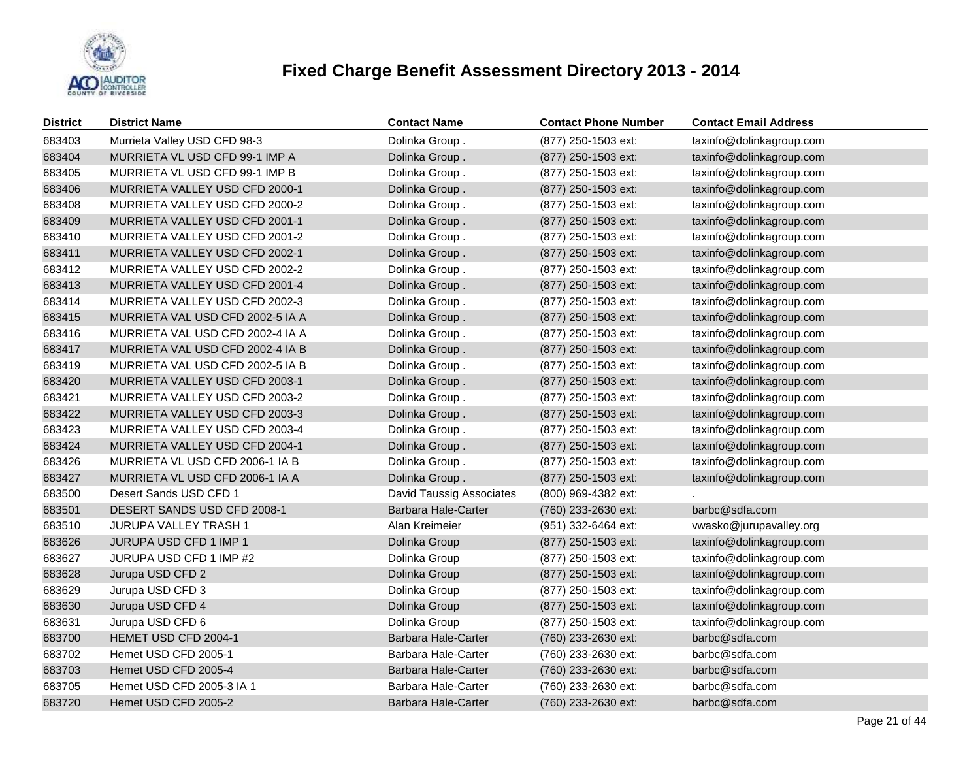

| <b>District</b> | <b>District Name</b>             | <b>Contact Name</b>        | <b>Contact Phone Number</b> | <b>Contact Email Address</b> |
|-----------------|----------------------------------|----------------------------|-----------------------------|------------------------------|
| 683403          | Murrieta Valley USD CFD 98-3     | Dolinka Group.             | (877) 250-1503 ext:         | taxinfo@dolinkagroup.com     |
| 683404          | MURRIETA VL USD CFD 99-1 IMP A   | Dolinka Group.             | (877) 250-1503 ext:         | taxinfo@dolinkagroup.com     |
| 683405          | MURRIETA VL USD CFD 99-1 IMP B   | Dolinka Group.             | (877) 250-1503 ext:         | taxinfo@dolinkagroup.com     |
| 683406          | MURRIETA VALLEY USD CFD 2000-1   | Dolinka Group.             | (877) 250-1503 ext:         | taxinfo@dolinkagroup.com     |
| 683408          | MURRIETA VALLEY USD CFD 2000-2   | Dolinka Group.             | (877) 250-1503 ext:         | taxinfo@dolinkagroup.com     |
| 683409          | MURRIETA VALLEY USD CFD 2001-1   | Dolinka Group.             | (877) 250-1503 ext:         | taxinfo@dolinkagroup.com     |
| 683410          | MURRIETA VALLEY USD CFD 2001-2   | Dolinka Group.             | (877) 250-1503 ext:         | taxinfo@dolinkagroup.com     |
| 683411          | MURRIETA VALLEY USD CFD 2002-1   | Dolinka Group.             | (877) 250-1503 ext:         | taxinfo@dolinkagroup.com     |
| 683412          | MURRIETA VALLEY USD CFD 2002-2   | Dolinka Group.             | (877) 250-1503 ext:         | taxinfo@dolinkagroup.com     |
| 683413          | MURRIETA VALLEY USD CFD 2001-4   | Dolinka Group.             | (877) 250-1503 ext:         | taxinfo@dolinkagroup.com     |
| 683414          | MURRIETA VALLEY USD CFD 2002-3   | Dolinka Group.             | (877) 250-1503 ext:         | taxinfo@dolinkagroup.com     |
| 683415          | MURRIETA VAL USD CFD 2002-5 IA A | Dolinka Group.             | (877) 250-1503 ext:         | taxinfo@dolinkagroup.com     |
| 683416          | MURRIETA VAL USD CFD 2002-4 IA A | Dolinka Group.             | (877) 250-1503 ext:         | taxinfo@dolinkagroup.com     |
| 683417          | MURRIETA VAL USD CFD 2002-4 IA B | Dolinka Group.             | (877) 250-1503 ext:         | taxinfo@dolinkagroup.com     |
| 683419          | MURRIETA VAL USD CFD 2002-5 IA B | Dolinka Group.             | (877) 250-1503 ext:         | taxinfo@dolinkagroup.com     |
| 683420          | MURRIETA VALLEY USD CFD 2003-1   | Dolinka Group.             | (877) 250-1503 ext:         | taxinfo@dolinkagroup.com     |
| 683421          | MURRIETA VALLEY USD CFD 2003-2   | Dolinka Group.             | (877) 250-1503 ext:         | taxinfo@dolinkagroup.com     |
| 683422          | MURRIETA VALLEY USD CFD 2003-3   | Dolinka Group.             | (877) 250-1503 ext:         | taxinfo@dolinkagroup.com     |
| 683423          | MURRIETA VALLEY USD CFD 2003-4   | Dolinka Group.             | (877) 250-1503 ext:         | taxinfo@dolinkagroup.com     |
| 683424          | MURRIETA VALLEY USD CFD 2004-1   | Dolinka Group.             | (877) 250-1503 ext:         | taxinfo@dolinkagroup.com     |
| 683426          | MURRIETA VL USD CFD 2006-1 IA B  | Dolinka Group.             | (877) 250-1503 ext:         | taxinfo@dolinkagroup.com     |
| 683427          | MURRIETA VL USD CFD 2006-1 IA A  | Dolinka Group.             | (877) 250-1503 ext:         | taxinfo@dolinkagroup.com     |
| 683500          | Desert Sands USD CFD 1           | David Taussig Associates   | (800) 969-4382 ext:         |                              |
| 683501          | DESERT SANDS USD CFD 2008-1      | Barbara Hale-Carter        | (760) 233-2630 ext:         | barbc@sdfa.com               |
| 683510          | <b>JURUPA VALLEY TRASH 1</b>     | Alan Kreimeier             | (951) 332-6464 ext:         | vwasko@jurupavalley.org      |
| 683626          | JURUPA USD CFD 1 IMP 1           | Dolinka Group              | (877) 250-1503 ext:         | taxinfo@dolinkagroup.com     |
| 683627          | JURUPA USD CFD 1 IMP #2          | Dolinka Group              | (877) 250-1503 ext:         | taxinfo@dolinkagroup.com     |
| 683628          | Jurupa USD CFD 2                 | Dolinka Group              | (877) 250-1503 ext:         | taxinfo@dolinkagroup.com     |
| 683629          | Jurupa USD CFD 3                 | Dolinka Group              | (877) 250-1503 ext:         | taxinfo@dolinkagroup.com     |
| 683630          | Jurupa USD CFD 4                 | Dolinka Group              | (877) 250-1503 ext:         | taxinfo@dolinkagroup.com     |
| 683631          | Jurupa USD CFD 6                 | Dolinka Group              | (877) 250-1503 ext:         | taxinfo@dolinkagroup.com     |
| 683700          | HEMET USD CFD 2004-1             | <b>Barbara Hale-Carter</b> | (760) 233-2630 ext:         | barbc@sdfa.com               |
| 683702          | Hemet USD CFD 2005-1             | Barbara Hale-Carter        | (760) 233-2630 ext:         | barbc@sdfa.com               |
| 683703          | Hemet USD CFD 2005-4             | Barbara Hale-Carter        | (760) 233-2630 ext:         | barbc@sdfa.com               |
| 683705          | Hemet USD CFD 2005-3 IA 1        | Barbara Hale-Carter        | (760) 233-2630 ext:         | barbc@sdfa.com               |
| 683720          | Hemet USD CFD 2005-2             | Barbara Hale-Carter        | (760) 233-2630 ext:         | barbc@sdfa.com               |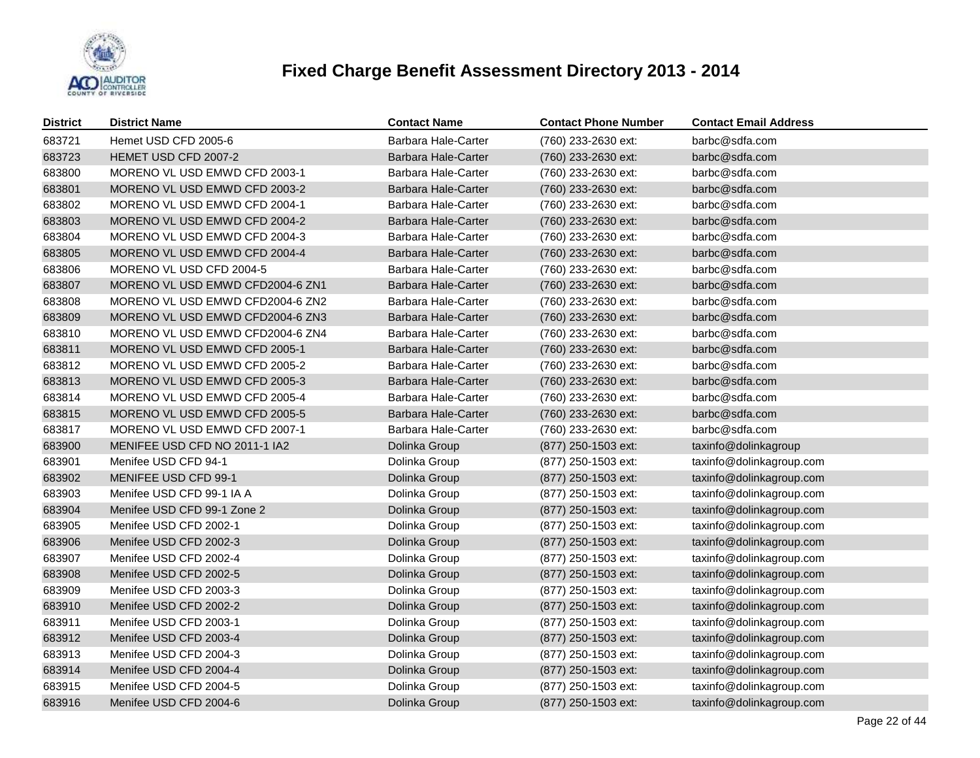

| <b>District</b> | <b>District Name</b>             | <b>Contact Name</b>        | <b>Contact Phone Number</b> | <b>Contact Email Address</b> |
|-----------------|----------------------------------|----------------------------|-----------------------------|------------------------------|
| 683721          | Hemet USD CFD 2005-6             | Barbara Hale-Carter        | (760) 233-2630 ext:         | barbc@sdfa.com               |
| 683723          | HEMET USD CFD 2007-2             | Barbara Hale-Carter        | (760) 233-2630 ext:         | barbc@sdfa.com               |
| 683800          | MORENO VL USD EMWD CFD 2003-1    | Barbara Hale-Carter        | (760) 233-2630 ext:         | barbc@sdfa.com               |
| 683801          | MORENO VL USD EMWD CFD 2003-2    | Barbara Hale-Carter        | (760) 233-2630 ext:         | barbc@sdfa.com               |
| 683802          | MORENO VL USD EMWD CFD 2004-1    | Barbara Hale-Carter        | (760) 233-2630 ext:         | barbc@sdfa.com               |
| 683803          | MORENO VL USD EMWD CFD 2004-2    | <b>Barbara Hale-Carter</b> | (760) 233-2630 ext:         | barbc@sdfa.com               |
| 683804          | MORENO VL USD EMWD CFD 2004-3    | Barbara Hale-Carter        | (760) 233-2630 ext:         | barbc@sdfa.com               |
| 683805          | MORENO VL USD EMWD CFD 2004-4    | Barbara Hale-Carter        | (760) 233-2630 ext:         | barbc@sdfa.com               |
| 683806          | MORENO VL USD CFD 2004-5         | Barbara Hale-Carter        | (760) 233-2630 ext:         | barbc@sdfa.com               |
| 683807          | MORENO VL USD EMWD CFD2004-6 ZN1 | Barbara Hale-Carter        | (760) 233-2630 ext:         | barbc@sdfa.com               |
| 683808          | MORENO VL USD EMWD CFD2004-6 ZN2 | Barbara Hale-Carter        | (760) 233-2630 ext:         | barbc@sdfa.com               |
| 683809          | MORENO VL USD EMWD CFD2004-6 ZN3 | Barbara Hale-Carter        | (760) 233-2630 ext:         | barbc@sdfa.com               |
| 683810          | MORENO VL USD EMWD CFD2004-6 ZN4 | Barbara Hale-Carter        | (760) 233-2630 ext:         | barbc@sdfa.com               |
| 683811          | MORENO VL USD EMWD CFD 2005-1    | Barbara Hale-Carter        | (760) 233-2630 ext:         | barbc@sdfa.com               |
| 683812          | MORENO VL USD EMWD CFD 2005-2    | Barbara Hale-Carter        | (760) 233-2630 ext:         | barbc@sdfa.com               |
| 683813          | MORENO VL USD EMWD CFD 2005-3    | Barbara Hale-Carter        | (760) 233-2630 ext:         | barbc@sdfa.com               |
| 683814          | MORENO VL USD EMWD CFD 2005-4    | Barbara Hale-Carter        | (760) 233-2630 ext:         | barbc@sdfa.com               |
| 683815          | MORENO VL USD EMWD CFD 2005-5    | Barbara Hale-Carter        | (760) 233-2630 ext:         | barbc@sdfa.com               |
| 683817          | MORENO VL USD EMWD CFD 2007-1    | Barbara Hale-Carter        | (760) 233-2630 ext:         | barbc@sdfa.com               |
| 683900          | MENIFEE USD CFD NO 2011-1 IA2    | Dolinka Group              | (877) 250-1503 ext:         | taxinfo@dolinkagroup         |
| 683901          | Menifee USD CFD 94-1             | Dolinka Group              | (877) 250-1503 ext:         | taxinfo@dolinkagroup.com     |
| 683902          | MENIFEE USD CFD 99-1             | Dolinka Group              | (877) 250-1503 ext:         | taxinfo@dolinkagroup.com     |
| 683903          | Menifee USD CFD 99-1 IA A        | Dolinka Group              | (877) 250-1503 ext:         | taxinfo@dolinkagroup.com     |
| 683904          | Menifee USD CFD 99-1 Zone 2      | Dolinka Group              | (877) 250-1503 ext:         | taxinfo@dolinkagroup.com     |
| 683905          | Menifee USD CFD 2002-1           | Dolinka Group              | (877) 250-1503 ext:         | taxinfo@dolinkagroup.com     |
| 683906          | Menifee USD CFD 2002-3           | Dolinka Group              | (877) 250-1503 ext:         | taxinfo@dolinkagroup.com     |
| 683907          | Menifee USD CFD 2002-4           | Dolinka Group              | (877) 250-1503 ext:         | taxinfo@dolinkagroup.com     |
| 683908          | Menifee USD CFD 2002-5           | Dolinka Group              | (877) 250-1503 ext:         | taxinfo@dolinkagroup.com     |
| 683909          | Menifee USD CFD 2003-3           | Dolinka Group              | (877) 250-1503 ext:         | taxinfo@dolinkagroup.com     |
| 683910          | Menifee USD CFD 2002-2           | Dolinka Group              | (877) 250-1503 ext:         | taxinfo@dolinkagroup.com     |
| 683911          | Menifee USD CFD 2003-1           | Dolinka Group              | (877) 250-1503 ext:         | taxinfo@dolinkagroup.com     |
| 683912          | Menifee USD CFD 2003-4           | Dolinka Group              | (877) 250-1503 ext:         | taxinfo@dolinkagroup.com     |
| 683913          | Menifee USD CFD 2004-3           | Dolinka Group              | (877) 250-1503 ext:         | taxinfo@dolinkagroup.com     |
| 683914          | Menifee USD CFD 2004-4           | Dolinka Group              | (877) 250-1503 ext:         | taxinfo@dolinkagroup.com     |
| 683915          | Menifee USD CFD 2004-5           | Dolinka Group              | (877) 250-1503 ext:         | taxinfo@dolinkagroup.com     |
| 683916          | Menifee USD CFD 2004-6           | Dolinka Group              | (877) 250-1503 ext:         | taxinfo@dolinkagroup.com     |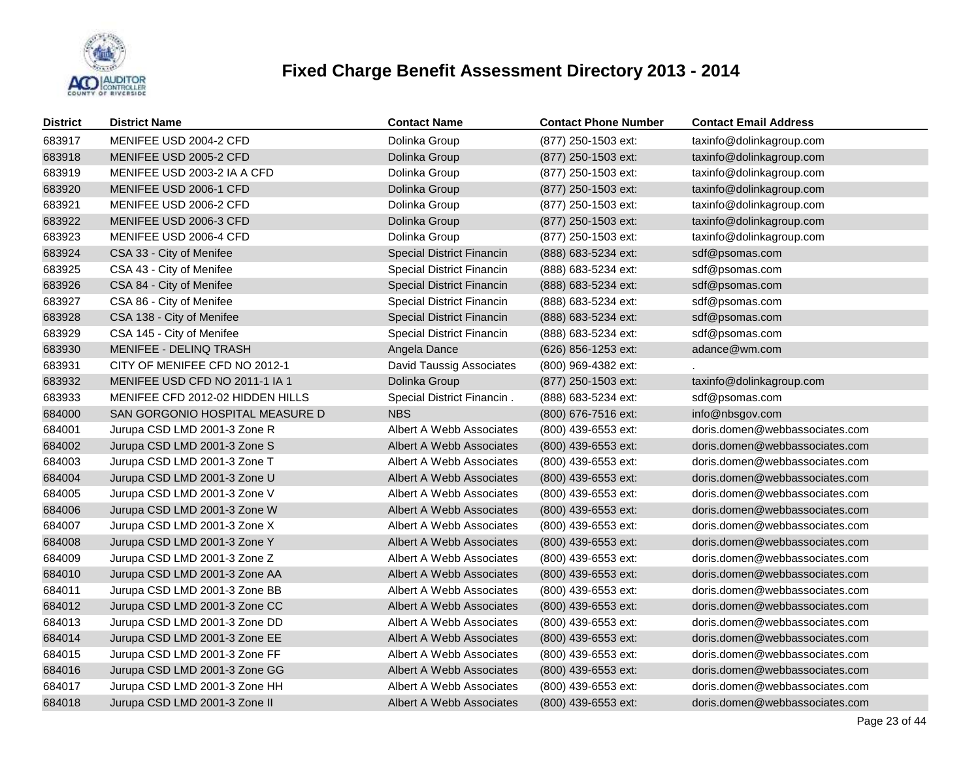

| <b>District</b> | <b>District Name</b>             | <b>Contact Name</b>              | <b>Contact Phone Number</b> | <b>Contact Email Address</b>   |
|-----------------|----------------------------------|----------------------------------|-----------------------------|--------------------------------|
| 683917          | MENIFEE USD 2004-2 CFD           | Dolinka Group                    | (877) 250-1503 ext:         | taxinfo@dolinkagroup.com       |
| 683918          | MENIFEE USD 2005-2 CFD           | Dolinka Group                    | (877) 250-1503 ext:         | taxinfo@dolinkagroup.com       |
| 683919          | MENIFEE USD 2003-2 IA A CFD      | Dolinka Group                    | (877) 250-1503 ext:         | taxinfo@dolinkagroup.com       |
| 683920          | MENIFEE USD 2006-1 CFD           | Dolinka Group                    | (877) 250-1503 ext:         | taxinfo@dolinkagroup.com       |
| 683921          | MENIFEE USD 2006-2 CFD           | Dolinka Group                    | (877) 250-1503 ext:         | taxinfo@dolinkagroup.com       |
| 683922          | MENIFEE USD 2006-3 CFD           | Dolinka Group                    | (877) 250-1503 ext:         | taxinfo@dolinkagroup.com       |
| 683923          | MENIFEE USD 2006-4 CFD           | Dolinka Group                    | (877) 250-1503 ext:         | taxinfo@dolinkagroup.com       |
| 683924          | CSA 33 - City of Menifee         | <b>Special District Financin</b> | (888) 683-5234 ext:         | sdf@psomas.com                 |
| 683925          | CSA 43 - City of Menifee         | Special District Financin        | (888) 683-5234 ext:         | sdf@psomas.com                 |
| 683926          | CSA 84 - City of Menifee         | <b>Special District Financin</b> | (888) 683-5234 ext:         | sdf@psomas.com                 |
| 683927          | CSA 86 - City of Menifee         | Special District Financin        | (888) 683-5234 ext:         | sdf@psomas.com                 |
| 683928          | CSA 138 - City of Menifee        | <b>Special District Financin</b> | (888) 683-5234 ext:         | sdf@psomas.com                 |
| 683929          | CSA 145 - City of Menifee        | Special District Financin        | (888) 683-5234 ext:         | sdf@psomas.com                 |
| 683930          | <b>MENIFEE - DELINQ TRASH</b>    | Angela Dance                     | (626) 856-1253 ext:         | adance@wm.com                  |
| 683931          | CITY OF MENIFEE CFD NO 2012-1    | David Taussig Associates         | (800) 969-4382 ext:         |                                |
| 683932          | MENIFEE USD CFD NO 2011-1 IA 1   | Dolinka Group                    | (877) 250-1503 ext:         | taxinfo@dolinkagroup.com       |
| 683933          | MENIFEE CFD 2012-02 HIDDEN HILLS | Special District Financin.       | (888) 683-5234 ext:         | sdf@psomas.com                 |
| 684000          | SAN GORGONIO HOSPITAL MEASURE D  | <b>NBS</b>                       | (800) 676-7516 ext:         | info@nbsgov.com                |
| 684001          | Jurupa CSD LMD 2001-3 Zone R     | Albert A Webb Associates         | (800) 439-6553 ext:         | doris.domen@webbassociates.com |
| 684002          | Jurupa CSD LMD 2001-3 Zone S     | Albert A Webb Associates         | (800) 439-6553 ext:         | doris.domen@webbassociates.com |
| 684003          | Jurupa CSD LMD 2001-3 Zone T     | Albert A Webb Associates         | (800) 439-6553 ext:         | doris.domen@webbassociates.com |
| 684004          | Jurupa CSD LMD 2001-3 Zone U     | Albert A Webb Associates         | (800) 439-6553 ext:         | doris.domen@webbassociates.com |
| 684005          | Jurupa CSD LMD 2001-3 Zone V     | Albert A Webb Associates         | (800) 439-6553 ext:         | doris.domen@webbassociates.com |
| 684006          | Jurupa CSD LMD 2001-3 Zone W     | Albert A Webb Associates         | $(800)$ 439-6553 ext:       | doris.domen@webbassociates.com |
| 684007          | Jurupa CSD LMD 2001-3 Zone X     | Albert A Webb Associates         | (800) 439-6553 ext:         | doris.domen@webbassociates.com |
| 684008          | Jurupa CSD LMD 2001-3 Zone Y     | Albert A Webb Associates         | (800) 439-6553 ext:         | doris.domen@webbassociates.com |
| 684009          | Jurupa CSD LMD 2001-3 Zone Z     | Albert A Webb Associates         | (800) 439-6553 ext:         | doris.domen@webbassociates.com |
| 684010          | Jurupa CSD LMD 2001-3 Zone AA    | Albert A Webb Associates         | $(800)$ 439-6553 ext:       | doris.domen@webbassociates.com |
| 684011          | Jurupa CSD LMD 2001-3 Zone BB    | Albert A Webb Associates         | (800) 439-6553 ext:         | doris.domen@webbassociates.com |
| 684012          | Jurupa CSD LMD 2001-3 Zone CC    | Albert A Webb Associates         | (800) 439-6553 ext:         | doris.domen@webbassociates.com |
| 684013          | Jurupa CSD LMD 2001-3 Zone DD    | Albert A Webb Associates         | (800) 439-6553 ext:         | doris.domen@webbassociates.com |
| 684014          | Jurupa CSD LMD 2001-3 Zone EE    | Albert A Webb Associates         | (800) 439-6553 ext:         | doris.domen@webbassociates.com |
| 684015          | Jurupa CSD LMD 2001-3 Zone FF    | Albert A Webb Associates         | (800) 439-6553 ext:         | doris.domen@webbassociates.com |
| 684016          | Jurupa CSD LMD 2001-3 Zone GG    | Albert A Webb Associates         | (800) 439-6553 ext:         | doris.domen@webbassociates.com |
| 684017          | Jurupa CSD LMD 2001-3 Zone HH    | Albert A Webb Associates         | (800) 439-6553 ext:         | doris.domen@webbassociates.com |
| 684018          | Jurupa CSD LMD 2001-3 Zone II    | Albert A Webb Associates         | (800) 439-6553 ext:         | doris.domen@webbassociates.com |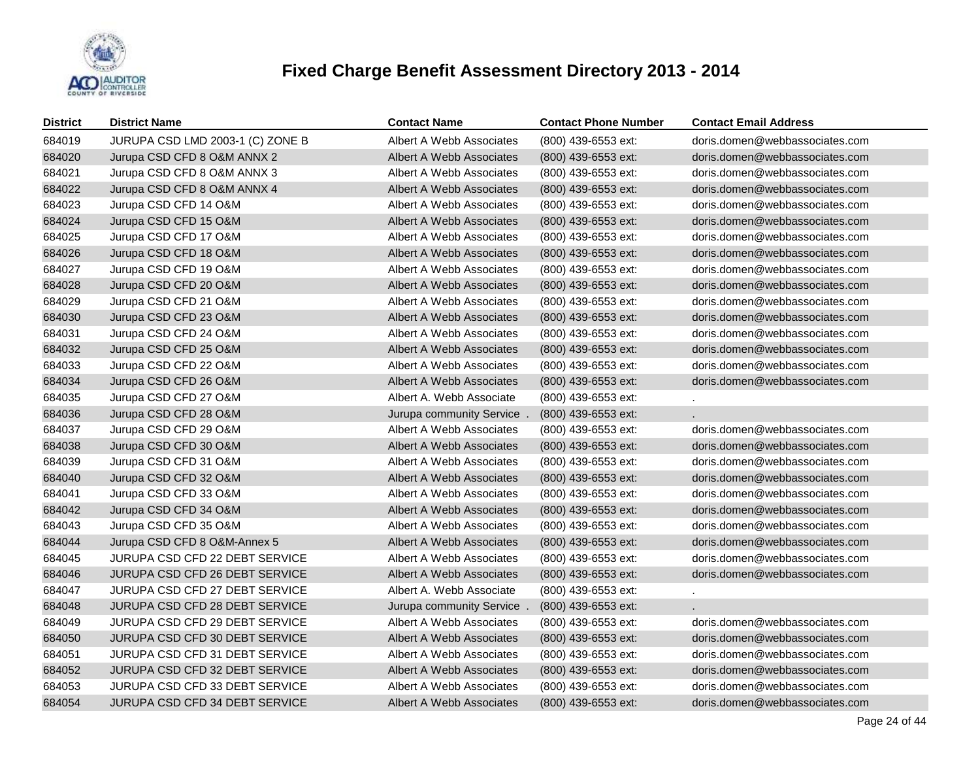

| <b>District</b> | <b>District Name</b>                  | <b>Contact Name</b>      | <b>Contact Phone Number</b> | <b>Contact Email Address</b>   |
|-----------------|---------------------------------------|--------------------------|-----------------------------|--------------------------------|
| 684019          | JURUPA CSD LMD 2003-1 (C) ZONE B      | Albert A Webb Associates | (800) 439-6553 ext:         | doris.domen@webbassociates.com |
| 684020          | Jurupa CSD CFD 8 O&M ANNX 2           | Albert A Webb Associates | (800) 439-6553 ext:         | doris.domen@webbassociates.com |
| 684021          | Jurupa CSD CFD 8 O&M ANNX 3           | Albert A Webb Associates | (800) 439-6553 ext:         | doris.domen@webbassociates.com |
| 684022          | Jurupa CSD CFD 8 O&M ANNX 4           | Albert A Webb Associates | (800) 439-6553 ext:         | doris.domen@webbassociates.com |
| 684023          | Jurupa CSD CFD 14 O&M                 | Albert A Webb Associates | (800) 439-6553 ext:         | doris.domen@webbassociates.com |
| 684024          | Jurupa CSD CFD 15 O&M                 | Albert A Webb Associates | (800) 439-6553 ext:         | doris.domen@webbassociates.com |
| 684025          | Jurupa CSD CFD 17 O&M                 | Albert A Webb Associates | (800) 439-6553 ext:         | doris.domen@webbassociates.com |
| 684026          | Jurupa CSD CFD 18 O&M                 | Albert A Webb Associates | $(800)$ 439-6553 ext:       | doris.domen@webbassociates.com |
| 684027          | Jurupa CSD CFD 19 O&M                 | Albert A Webb Associates | (800) 439-6553 ext:         | doris.domen@webbassociates.com |
| 684028          | Jurupa CSD CFD 20 O&M                 | Albert A Webb Associates | (800) 439-6553 ext:         | doris.domen@webbassociates.com |
| 684029          | Jurupa CSD CFD 21 O&M                 | Albert A Webb Associates | (800) 439-6553 ext:         | doris.domen@webbassociates.com |
| 684030          | Jurupa CSD CFD 23 O&M                 | Albert A Webb Associates | $(800)$ 439-6553 ext:       | doris.domen@webbassociates.com |
| 684031          | Jurupa CSD CFD 24 O&M                 | Albert A Webb Associates | (800) 439-6553 ext:         | doris.domen@webbassociates.com |
| 684032          | Jurupa CSD CFD 25 O&M                 | Albert A Webb Associates | $(800)$ 439-6553 ext:       | doris.domen@webbassociates.com |
| 684033          | Jurupa CSD CFD 22 O&M                 | Albert A Webb Associates | (800) 439-6553 ext:         | doris.domen@webbassociates.com |
| 684034          | Jurupa CSD CFD 26 O&M                 | Albert A Webb Associates | $(800)$ 439-6553 ext:       | doris.domen@webbassociates.com |
| 684035          | Jurupa CSD CFD 27 O&M                 | Albert A. Webb Associate | (800) 439-6553 ext:         |                                |
| 684036          | Jurupa CSD CFD 28 O&M                 | Jurupa community Service | (800) 439-6553 ext:         |                                |
| 684037          | Jurupa CSD CFD 29 O&M                 | Albert A Webb Associates | (800) 439-6553 ext:         | doris.domen@webbassociates.com |
| 684038          | Jurupa CSD CFD 30 O&M                 | Albert A Webb Associates | (800) 439-6553 ext:         | doris.domen@webbassociates.com |
| 684039          | Jurupa CSD CFD 31 O&M                 | Albert A Webb Associates | (800) 439-6553 ext:         | doris.domen@webbassociates.com |
| 684040          | Jurupa CSD CFD 32 O&M                 | Albert A Webb Associates | (800) 439-6553 ext:         | doris.domen@webbassociates.com |
| 684041          | Jurupa CSD CFD 33 O&M                 | Albert A Webb Associates | (800) 439-6553 ext:         | doris.domen@webbassociates.com |
| 684042          | Jurupa CSD CFD 34 O&M                 | Albert A Webb Associates | (800) 439-6553 ext:         | doris.domen@webbassociates.com |
| 684043          | Jurupa CSD CFD 35 O&M                 | Albert A Webb Associates | (800) 439-6553 ext:         | doris.domen@webbassociates.com |
| 684044          | Jurupa CSD CFD 8 O&M-Annex 5          | Albert A Webb Associates | (800) 439-6553 ext:         | doris.domen@webbassociates.com |
| 684045          | JURUPA CSD CFD 22 DEBT SERVICE        | Albert A Webb Associates | (800) 439-6553 ext:         | doris.domen@webbassociates.com |
| 684046          | <b>JURUPA CSD CFD 26 DEBT SERVICE</b> | Albert A Webb Associates | (800) 439-6553 ext:         | doris.domen@webbassociates.com |
| 684047          | JURUPA CSD CFD 27 DEBT SERVICE        | Albert A. Webb Associate | (800) 439-6553 ext:         |                                |
| 684048          | JURUPA CSD CFD 28 DEBT SERVICE        | Jurupa community Service | (800) 439-6553 ext:         |                                |
| 684049          | JURUPA CSD CFD 29 DEBT SERVICE        | Albert A Webb Associates | (800) 439-6553 ext:         | doris.domen@webbassociates.com |
| 684050          | <b>JURUPA CSD CFD 30 DEBT SERVICE</b> | Albert A Webb Associates | (800) 439-6553 ext:         | doris.domen@webbassociates.com |
| 684051          | JURUPA CSD CFD 31 DEBT SERVICE        | Albert A Webb Associates | (800) 439-6553 ext:         | doris.domen@webbassociates.com |
| 684052          | JURUPA CSD CFD 32 DEBT SERVICE        | Albert A Webb Associates | (800) 439-6553 ext:         | doris.domen@webbassociates.com |
| 684053          | JURUPA CSD CFD 33 DEBT SERVICE        | Albert A Webb Associates | (800) 439-6553 ext:         | doris.domen@webbassociates.com |
| 684054          | JURUPA CSD CFD 34 DEBT SERVICE        | Albert A Webb Associates | (800) 439-6553 ext:         | doris.domen@webbassociates.com |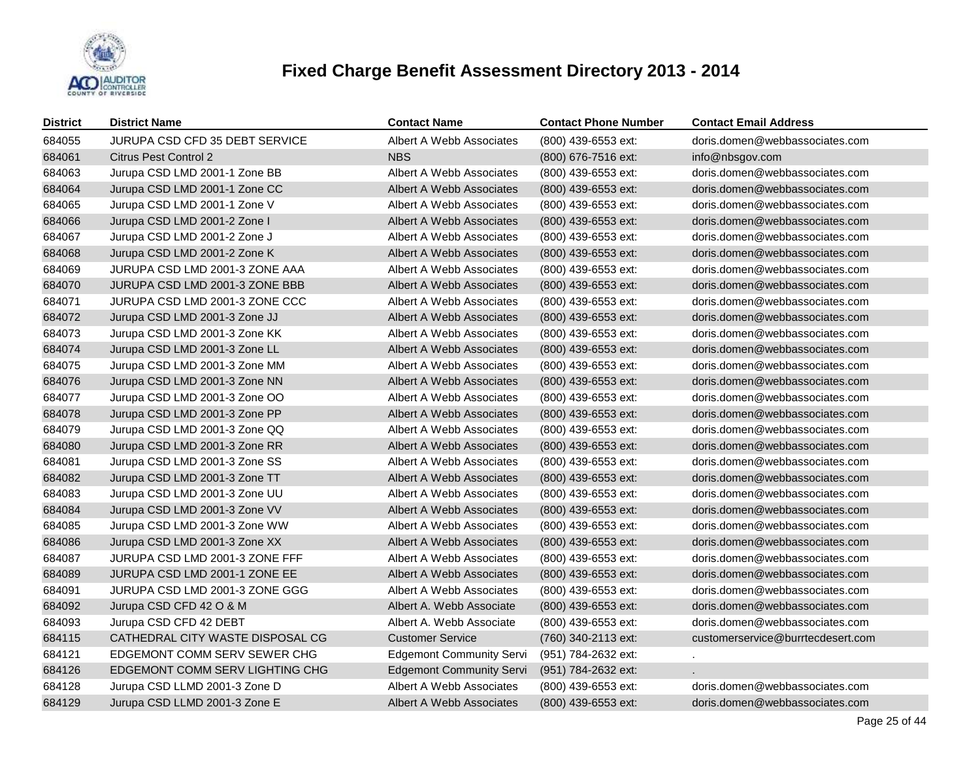

| <b>District</b> | <b>District Name</b>                  | <b>Contact Name</b>             | <b>Contact Phone Number</b> | <b>Contact Email Address</b>      |
|-----------------|---------------------------------------|---------------------------------|-----------------------------|-----------------------------------|
| 684055          | <b>JURUPA CSD CFD 35 DEBT SERVICE</b> | Albert A Webb Associates        | (800) 439-6553 ext:         | doris.domen@webbassociates.com    |
| 684061          | Citrus Pest Control 2                 | <b>NBS</b>                      | (800) 676-7516 ext:         | info@nbsgov.com                   |
| 684063          | Jurupa CSD LMD 2001-1 Zone BB         | Albert A Webb Associates        | (800) 439-6553 ext:         | doris.domen@webbassociates.com    |
| 684064          | Jurupa CSD LMD 2001-1 Zone CC         | Albert A Webb Associates        | (800) 439-6553 ext:         | doris.domen@webbassociates.com    |
| 684065          | Jurupa CSD LMD 2001-1 Zone V          | Albert A Webb Associates        | (800) 439-6553 ext:         | doris.domen@webbassociates.com    |
| 684066          | Jurupa CSD LMD 2001-2 Zone I          | Albert A Webb Associates        | (800) 439-6553 ext:         | doris.domen@webbassociates.com    |
| 684067          | Jurupa CSD LMD 2001-2 Zone J          | Albert A Webb Associates        | (800) 439-6553 ext:         | doris.domen@webbassociates.com    |
| 684068          | Jurupa CSD LMD 2001-2 Zone K          | Albert A Webb Associates        | (800) 439-6553 ext:         | doris.domen@webbassociates.com    |
| 684069          | JURUPA CSD LMD 2001-3 ZONE AAA        | Albert A Webb Associates        | (800) 439-6553 ext:         | doris.domen@webbassociates.com    |
| 684070          | JURUPA CSD LMD 2001-3 ZONE BBB        | Albert A Webb Associates        | (800) 439-6553 ext:         | doris.domen@webbassociates.com    |
| 684071          | JURUPA CSD LMD 2001-3 ZONE CCC        | Albert A Webb Associates        | (800) 439-6553 ext:         | doris.domen@webbassociates.com    |
| 684072          | Jurupa CSD LMD 2001-3 Zone JJ         | Albert A Webb Associates        | (800) 439-6553 ext:         | doris.domen@webbassociates.com    |
| 684073          | Jurupa CSD LMD 2001-3 Zone KK         | Albert A Webb Associates        | (800) 439-6553 ext:         | doris.domen@webbassociates.com    |
| 684074          | Jurupa CSD LMD 2001-3 Zone LL         | Albert A Webb Associates        | (800) 439-6553 ext:         | doris.domen@webbassociates.com    |
| 684075          | Jurupa CSD LMD 2001-3 Zone MM         | Albert A Webb Associates        | (800) 439-6553 ext:         | doris.domen@webbassociates.com    |
| 684076          | Jurupa CSD LMD 2001-3 Zone NN         | Albert A Webb Associates        | (800) 439-6553 ext:         | doris.domen@webbassociates.com    |
| 684077          | Jurupa CSD LMD 2001-3 Zone OO         | Albert A Webb Associates        | (800) 439-6553 ext:         | doris.domen@webbassociates.com    |
| 684078          | Jurupa CSD LMD 2001-3 Zone PP         | Albert A Webb Associates        | (800) 439-6553 ext:         | doris.domen@webbassociates.com    |
| 684079          | Jurupa CSD LMD 2001-3 Zone QQ         | Albert A Webb Associates        | (800) 439-6553 ext:         | doris.domen@webbassociates.com    |
| 684080          | Jurupa CSD LMD 2001-3 Zone RR         | Albert A Webb Associates        | (800) 439-6553 ext:         | doris.domen@webbassociates.com    |
| 684081          | Jurupa CSD LMD 2001-3 Zone SS         | Albert A Webb Associates        | (800) 439-6553 ext:         | doris.domen@webbassociates.com    |
| 684082          | Jurupa CSD LMD 2001-3 Zone TT         | Albert A Webb Associates        | (800) 439-6553 ext:         | doris.domen@webbassociates.com    |
| 684083          | Jurupa CSD LMD 2001-3 Zone UU         | Albert A Webb Associates        | (800) 439-6553 ext:         | doris.domen@webbassociates.com    |
| 684084          | Jurupa CSD LMD 2001-3 Zone VV         | Albert A Webb Associates        | (800) 439-6553 ext:         | doris.domen@webbassociates.com    |
| 684085          | Jurupa CSD LMD 2001-3 Zone WW         | Albert A Webb Associates        | (800) 439-6553 ext:         | doris.domen@webbassociates.com    |
| 684086          | Jurupa CSD LMD 2001-3 Zone XX         | Albert A Webb Associates        | (800) 439-6553 ext:         | doris.domen@webbassociates.com    |
| 684087          | JURUPA CSD LMD 2001-3 ZONE FFF        | Albert A Webb Associates        | (800) 439-6553 ext:         | doris.domen@webbassociates.com    |
| 684089          | JURUPA CSD LMD 2001-1 ZONE EE         | Albert A Webb Associates        | (800) 439-6553 ext:         | doris.domen@webbassociates.com    |
| 684091          | JURUPA CSD LMD 2001-3 ZONE GGG        | Albert A Webb Associates        | (800) 439-6553 ext:         | doris.domen@webbassociates.com    |
| 684092          | Jurupa CSD CFD 42 O & M               | Albert A. Webb Associate        | (800) 439-6553 ext:         | doris.domen@webbassociates.com    |
| 684093          | Jurupa CSD CFD 42 DEBT                | Albert A. Webb Associate        | (800) 439-6553 ext:         | doris.domen@webbassociates.com    |
| 684115          | CATHEDRAL CITY WASTE DISPOSAL CG      | <b>Customer Service</b>         | (760) 340-2113 ext:         | customerservice@burrtecdesert.com |
| 684121          | EDGEMONT COMM SERV SEWER CHG          | <b>Edgemont Community Servi</b> | (951) 784-2632 ext:         | $\mathcal{L}_{\mathcal{A}}$       |
| 684126          | EDGEMONT COMM SERV LIGHTING CHG       | <b>Edgemont Community Servi</b> | (951) 784-2632 ext:         |                                   |
| 684128          | Jurupa CSD LLMD 2001-3 Zone D         | Albert A Webb Associates        | (800) 439-6553 ext:         | doris.domen@webbassociates.com    |
| 684129          | Jurupa CSD LLMD 2001-3 Zone E         | Albert A Webb Associates        | (800) 439-6553 ext:         | doris.domen@webbassociates.com    |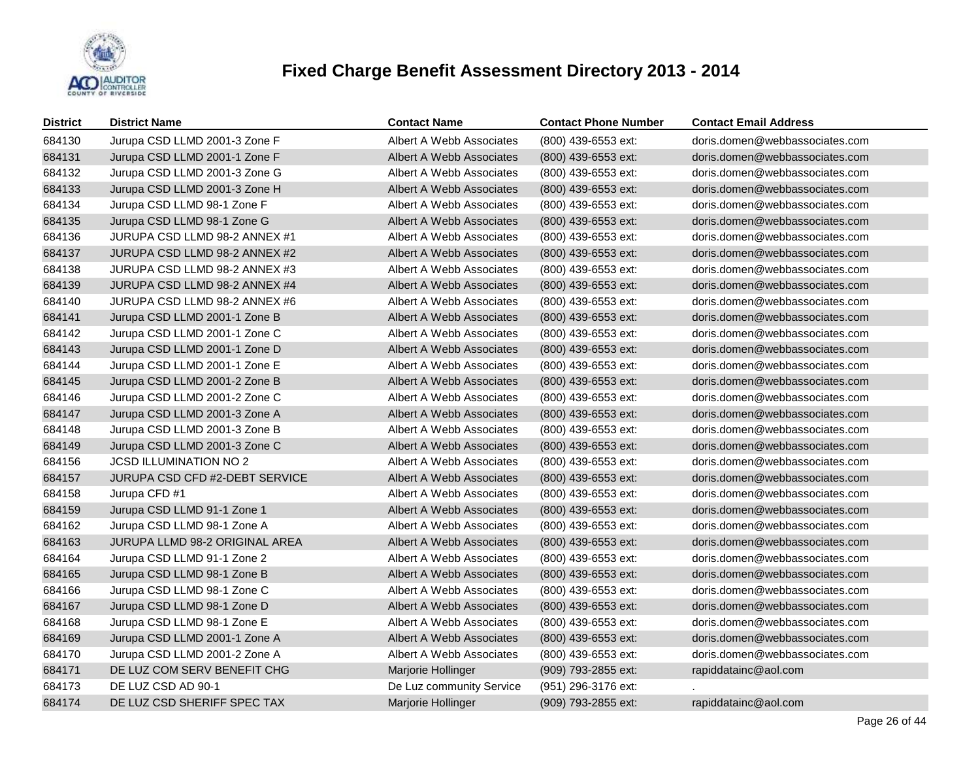

| <b>District</b> | <b>District Name</b>           | <b>Contact Name</b>      | <b>Contact Phone Number</b> | <b>Contact Email Address</b>   |
|-----------------|--------------------------------|--------------------------|-----------------------------|--------------------------------|
| 684130          | Jurupa CSD LLMD 2001-3 Zone F  | Albert A Webb Associates | (800) 439-6553 ext:         | doris.domen@webbassociates.com |
| 684131          | Jurupa CSD LLMD 2001-1 Zone F  | Albert A Webb Associates | (800) 439-6553 ext:         | doris.domen@webbassociates.com |
| 684132          | Jurupa CSD LLMD 2001-3 Zone G  | Albert A Webb Associates | (800) 439-6553 ext:         | doris.domen@webbassociates.com |
| 684133          | Jurupa CSD LLMD 2001-3 Zone H  | Albert A Webb Associates | (800) 439-6553 ext:         | doris.domen@webbassociates.com |
| 684134          | Jurupa CSD LLMD 98-1 Zone F    | Albert A Webb Associates | (800) 439-6553 ext:         | doris.domen@webbassociates.com |
| 684135          | Jurupa CSD LLMD 98-1 Zone G    | Albert A Webb Associates | (800) 439-6553 ext:         | doris.domen@webbassociates.com |
| 684136          | JURUPA CSD LLMD 98-2 ANNEX #1  | Albert A Webb Associates | (800) 439-6553 ext:         | doris.domen@webbassociates.com |
| 684137          | JURUPA CSD LLMD 98-2 ANNEX #2  | Albert A Webb Associates | (800) 439-6553 ext:         | doris.domen@webbassociates.com |
| 684138          | JURUPA CSD LLMD 98-2 ANNEX #3  | Albert A Webb Associates | (800) 439-6553 ext:         | doris.domen@webbassociates.com |
| 684139          | JURUPA CSD LLMD 98-2 ANNEX #4  | Albert A Webb Associates | (800) 439-6553 ext:         | doris.domen@webbassociates.com |
| 684140          | JURUPA CSD LLMD 98-2 ANNEX #6  | Albert A Webb Associates | (800) 439-6553 ext:         | doris.domen@webbassociates.com |
| 684141          | Jurupa CSD LLMD 2001-1 Zone B  | Albert A Webb Associates | (800) 439-6553 ext:         | doris.domen@webbassociates.com |
| 684142          | Jurupa CSD LLMD 2001-1 Zone C  | Albert A Webb Associates | (800) 439-6553 ext:         | doris.domen@webbassociates.com |
| 684143          | Jurupa CSD LLMD 2001-1 Zone D  | Albert A Webb Associates | (800) 439-6553 ext:         | doris.domen@webbassociates.com |
| 684144          | Jurupa CSD LLMD 2001-1 Zone E  | Albert A Webb Associates | (800) 439-6553 ext:         | doris.domen@webbassociates.com |
| 684145          | Jurupa CSD LLMD 2001-2 Zone B  | Albert A Webb Associates | (800) 439-6553 ext:         | doris.domen@webbassociates.com |
| 684146          | Jurupa CSD LLMD 2001-2 Zone C  | Albert A Webb Associates | (800) 439-6553 ext:         | doris.domen@webbassociates.com |
| 684147          | Jurupa CSD LLMD 2001-3 Zone A  | Albert A Webb Associates | $(800)$ 439-6553 ext:       | doris.domen@webbassociates.com |
| 684148          | Jurupa CSD LLMD 2001-3 Zone B  | Albert A Webb Associates | (800) 439-6553 ext:         | doris.domen@webbassociates.com |
| 684149          | Jurupa CSD LLMD 2001-3 Zone C  | Albert A Webb Associates | (800) 439-6553 ext:         | doris.domen@webbassociates.com |
| 684156          | <b>JCSD ILLUMINATION NO 2</b>  | Albert A Webb Associates | (800) 439-6553 ext:         | doris.domen@webbassociates.com |
| 684157          | JURUPA CSD CFD #2-DEBT SERVICE | Albert A Webb Associates | (800) 439-6553 ext:         | doris.domen@webbassociates.com |
| 684158          | Jurupa CFD #1                  | Albert A Webb Associates | (800) 439-6553 ext:         | doris.domen@webbassociates.com |
| 684159          | Jurupa CSD LLMD 91-1 Zone 1    | Albert A Webb Associates | (800) 439-6553 ext:         | doris.domen@webbassociates.com |
| 684162          | Jurupa CSD LLMD 98-1 Zone A    | Albert A Webb Associates | (800) 439-6553 ext:         | doris.domen@webbassociates.com |
| 684163          | JURUPA LLMD 98-2 ORIGINAL AREA | Albert A Webb Associates | (800) 439-6553 ext:         | doris.domen@webbassociates.com |
| 684164          | Jurupa CSD LLMD 91-1 Zone 2    | Albert A Webb Associates | (800) 439-6553 ext:         | doris.domen@webbassociates.com |
| 684165          | Jurupa CSD LLMD 98-1 Zone B    | Albert A Webb Associates | (800) 439-6553 ext:         | doris.domen@webbassociates.com |
| 684166          | Jurupa CSD LLMD 98-1 Zone C    | Albert A Webb Associates | (800) 439-6553 ext:         | doris.domen@webbassociates.com |
| 684167          | Jurupa CSD LLMD 98-1 Zone D    | Albert A Webb Associates | (800) 439-6553 ext:         | doris.domen@webbassociates.com |
| 684168          | Jurupa CSD LLMD 98-1 Zone E    | Albert A Webb Associates | (800) 439-6553 ext:         | doris.domen@webbassociates.com |
| 684169          | Jurupa CSD LLMD 2001-1 Zone A  | Albert A Webb Associates | (800) 439-6553 ext:         | doris.domen@webbassociates.com |
| 684170          | Jurupa CSD LLMD 2001-2 Zone A  | Albert A Webb Associates | (800) 439-6553 ext:         | doris.domen@webbassociates.com |
| 684171          | DE LUZ COM SERV BENEFIT CHG    | Marjorie Hollinger       | (909) 793-2855 ext:         | rapiddatainc@aol.com           |
| 684173          | DE LUZ CSD AD 90-1             | De Luz community Service | (951) 296-3176 ext:         |                                |
| 684174          | DE LUZ CSD SHERIFF SPEC TAX    | Marjorie Hollinger       | (909) 793-2855 ext:         | rapiddatainc@aol.com           |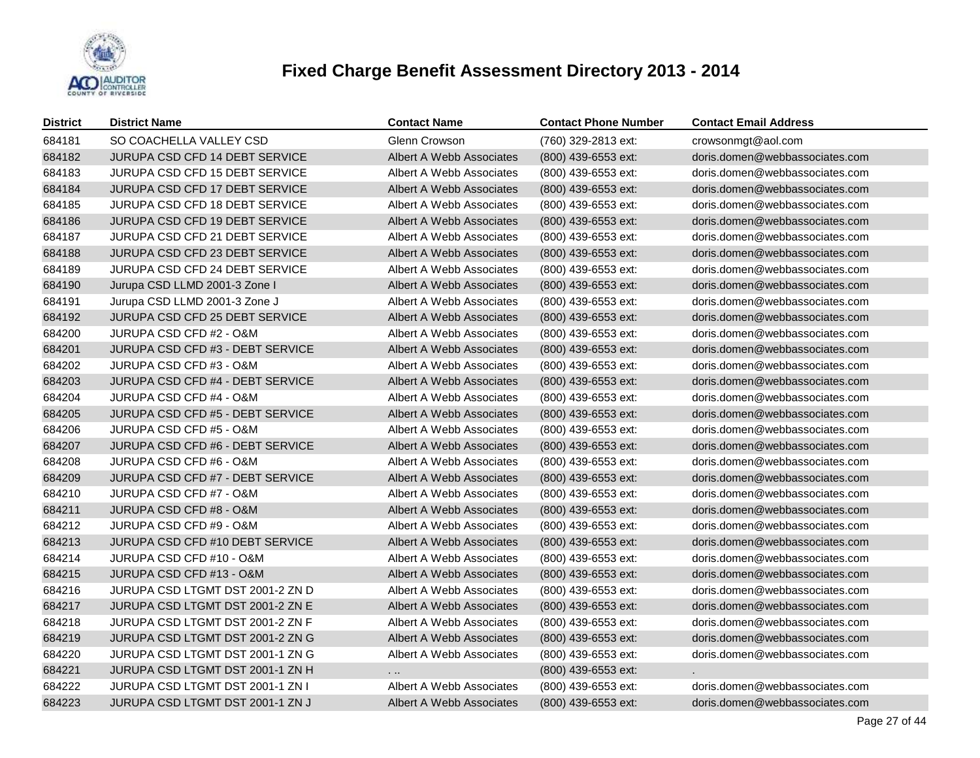

| <b>District</b> | <b>District Name</b>             | <b>Contact Name</b>      | <b>Contact Phone Number</b> | <b>Contact Email Address</b>   |
|-----------------|----------------------------------|--------------------------|-----------------------------|--------------------------------|
| 684181          | SO COACHELLA VALLEY CSD          | Glenn Crowson            | (760) 329-2813 ext:         | crowsonmgt@aol.com             |
| 684182          | JURUPA CSD CFD 14 DEBT SERVICE   | Albert A Webb Associates | (800) 439-6553 ext:         | doris.domen@webbassociates.com |
| 684183          | JURUPA CSD CFD 15 DEBT SERVICE   | Albert A Webb Associates | (800) 439-6553 ext:         | doris.domen@webbassociates.com |
| 684184          | JURUPA CSD CFD 17 DEBT SERVICE   | Albert A Webb Associates | (800) 439-6553 ext:         | doris.domen@webbassociates.com |
| 684185          | JURUPA CSD CFD 18 DEBT SERVICE   | Albert A Webb Associates | (800) 439-6553 ext:         | doris.domen@webbassociates.com |
| 684186          | JURUPA CSD CFD 19 DEBT SERVICE   | Albert A Webb Associates | (800) 439-6553 ext:         | doris.domen@webbassociates.com |
| 684187          | JURUPA CSD CFD 21 DEBT SERVICE   | Albert A Webb Associates | (800) 439-6553 ext:         | doris.domen@webbassociates.com |
| 684188          | JURUPA CSD CFD 23 DEBT SERVICE   | Albert A Webb Associates | (800) 439-6553 ext:         | doris.domen@webbassociates.com |
| 684189          | JURUPA CSD CFD 24 DEBT SERVICE   | Albert A Webb Associates | (800) 439-6553 ext:         | doris.domen@webbassociates.com |
| 684190          | Jurupa CSD LLMD 2001-3 Zone I    | Albert A Webb Associates | (800) 439-6553 ext:         | doris.domen@webbassociates.com |
| 684191          | Jurupa CSD LLMD 2001-3 Zone J    | Albert A Webb Associates | (800) 439-6553 ext:         | doris.domen@webbassociates.com |
| 684192          | JURUPA CSD CFD 25 DEBT SERVICE   | Albert A Webb Associates | (800) 439-6553 ext:         | doris.domen@webbassociates.com |
| 684200          | JURUPA CSD CFD #2 - O&M          | Albert A Webb Associates | (800) 439-6553 ext:         | doris.domen@webbassociates.com |
| 684201          | JURUPA CSD CFD #3 - DEBT SERVICE | Albert A Webb Associates | (800) 439-6553 ext:         | doris.domen@webbassociates.com |
| 684202          | JURUPA CSD CFD #3 - O&M          | Albert A Webb Associates | (800) 439-6553 ext:         | doris.domen@webbassociates.com |
| 684203          | JURUPA CSD CFD #4 - DEBT SERVICE | Albert A Webb Associates | (800) 439-6553 ext:         | doris.domen@webbassociates.com |
| 684204          | JURUPA CSD CFD #4 - O&M          | Albert A Webb Associates | (800) 439-6553 ext:         | doris.domen@webbassociates.com |
| 684205          | JURUPA CSD CFD #5 - DEBT SERVICE | Albert A Webb Associates | (800) 439-6553 ext:         | doris.domen@webbassociates.com |
| 684206          | JURUPA CSD CFD #5 - O&M          | Albert A Webb Associates | (800) 439-6553 ext:         | doris.domen@webbassociates.com |
| 684207          | JURUPA CSD CFD #6 - DEBT SERVICE | Albert A Webb Associates | (800) 439-6553 ext:         | doris.domen@webbassociates.com |
| 684208          | JURUPA CSD CFD #6 - O&M          | Albert A Webb Associates | (800) 439-6553 ext:         | doris.domen@webbassociates.com |
| 684209          | JURUPA CSD CFD #7 - DEBT SERVICE | Albert A Webb Associates | (800) 439-6553 ext:         | doris.domen@webbassociates.com |
| 684210          | JURUPA CSD CFD #7 - O&M          | Albert A Webb Associates | (800) 439-6553 ext:         | doris.domen@webbassociates.com |
| 684211          | JURUPA CSD CFD #8 - O&M          | Albert A Webb Associates | (800) 439-6553 ext:         | doris.domen@webbassociates.com |
| 684212          | JURUPA CSD CFD #9 - O&M          | Albert A Webb Associates | (800) 439-6553 ext:         | doris.domen@webbassociates.com |
| 684213          | JURUPA CSD CFD #10 DEBT SERVICE  | Albert A Webb Associates | (800) 439-6553 ext:         | doris.domen@webbassociates.com |
| 684214          | JURUPA CSD CFD #10 - O&M         | Albert A Webb Associates | (800) 439-6553 ext:         | doris.domen@webbassociates.com |
| 684215          | JURUPA CSD CFD #13 - O&M         | Albert A Webb Associates | (800) 439-6553 ext:         | doris.domen@webbassociates.com |
| 684216          | JURUPA CSD LTGMT DST 2001-2 ZN D | Albert A Webb Associates | (800) 439-6553 ext:         | doris.domen@webbassociates.com |
| 684217          | JURUPA CSD LTGMT DST 2001-2 ZN E | Albert A Webb Associates | (800) 439-6553 ext:         | doris.domen@webbassociates.com |
| 684218          | JURUPA CSD LTGMT DST 2001-2 ZN F | Albert A Webb Associates | (800) 439-6553 ext:         | doris.domen@webbassociates.com |
| 684219          | JURUPA CSD LTGMT DST 2001-2 ZN G | Albert A Webb Associates | (800) 439-6553 ext:         | doris.domen@webbassociates.com |
| 684220          | JURUPA CSD LTGMT DST 2001-1 ZN G | Albert A Webb Associates | (800) 439-6553 ext:         | doris.domen@webbassociates.com |
| 684221          | JURUPA CSD LTGMT DST 2001-1 ZN H | $\cdot$ $\cdot$          | (800) 439-6553 ext:         |                                |
| 684222          | JURUPA CSD LTGMT DST 2001-1 ZN I | Albert A Webb Associates | (800) 439-6553 ext:         | doris.domen@webbassociates.com |
| 684223          | JURUPA CSD LTGMT DST 2001-1 ZN J | Albert A Webb Associates | (800) 439-6553 ext:         | doris.domen@webbassociates.com |
|                 |                                  |                          |                             |                                |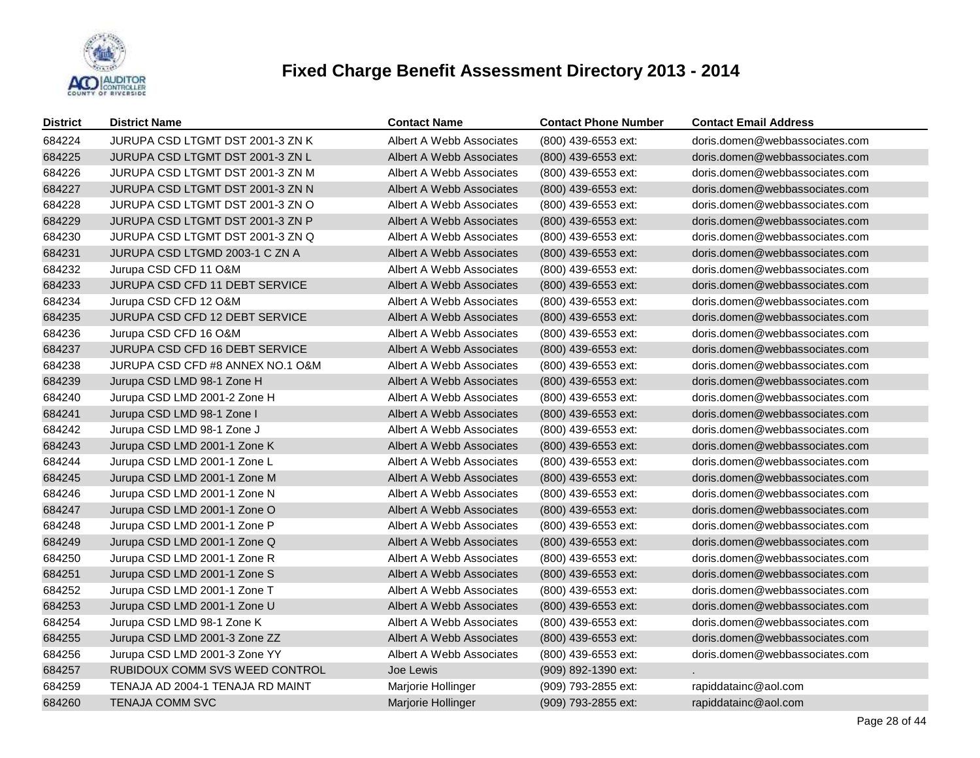

| <b>District</b> | <b>District Name</b>                  | <b>Contact Name</b>      | <b>Contact Phone Number</b> | <b>Contact Email Address</b>   |
|-----------------|---------------------------------------|--------------------------|-----------------------------|--------------------------------|
| 684224          | JURUPA CSD LTGMT DST 2001-3 ZN K      | Albert A Webb Associates | (800) 439-6553 ext:         | doris.domen@webbassociates.com |
| 684225          | JURUPA CSD LTGMT DST 2001-3 ZN L      | Albert A Webb Associates | (800) 439-6553 ext:         | doris.domen@webbassociates.com |
| 684226          | JURUPA CSD LTGMT DST 2001-3 ZN M      | Albert A Webb Associates | (800) 439-6553 ext:         | doris.domen@webbassociates.com |
| 684227          | JURUPA CSD LTGMT DST 2001-3 ZN N      | Albert A Webb Associates | (800) 439-6553 ext:         | doris.domen@webbassociates.com |
| 684228          | JURUPA CSD LTGMT DST 2001-3 ZN O      | Albert A Webb Associates | (800) 439-6553 ext:         | doris.domen@webbassociates.com |
| 684229          | JURUPA CSD LTGMT DST 2001-3 ZN P      | Albert A Webb Associates | (800) 439-6553 ext:         | doris.domen@webbassociates.com |
| 684230          | JURUPA CSD LTGMT DST 2001-3 ZN Q      | Albert A Webb Associates | (800) 439-6553 ext:         | doris.domen@webbassociates.com |
| 684231          | JURUPA CSD LTGMD 2003-1 C ZN A        | Albert A Webb Associates | (800) 439-6553 ext:         | doris.domen@webbassociates.com |
| 684232          | Jurupa CSD CFD 11 O&M                 | Albert A Webb Associates | (800) 439-6553 ext:         | doris.domen@webbassociates.com |
| 684233          | JURUPA CSD CFD 11 DEBT SERVICE        | Albert A Webb Associates | (800) 439-6553 ext:         | doris.domen@webbassociates.com |
| 684234          | Jurupa CSD CFD 12 O&M                 | Albert A Webb Associates | (800) 439-6553 ext:         | doris.domen@webbassociates.com |
| 684235          | JURUPA CSD CFD 12 DEBT SERVICE        | Albert A Webb Associates | (800) 439-6553 ext:         | doris.domen@webbassociates.com |
| 684236          | Jurupa CSD CFD 16 O&M                 | Albert A Webb Associates | (800) 439-6553 ext:         | doris.domen@webbassociates.com |
| 684237          | <b>JURUPA CSD CFD 16 DEBT SERVICE</b> | Albert A Webb Associates | (800) 439-6553 ext:         | doris.domen@webbassociates.com |
| 684238          | JURUPA CSD CFD #8 ANNEX NO.1 O&M      | Albert A Webb Associates | (800) 439-6553 ext:         | doris.domen@webbassociates.com |
| 684239          | Jurupa CSD LMD 98-1 Zone H            | Albert A Webb Associates | (800) 439-6553 ext:         | doris.domen@webbassociates.com |
| 684240          | Jurupa CSD LMD 2001-2 Zone H          | Albert A Webb Associates | (800) 439-6553 ext:         | doris.domen@webbassociates.com |
| 684241          | Jurupa CSD LMD 98-1 Zone I            | Albert A Webb Associates | (800) 439-6553 ext:         | doris.domen@webbassociates.com |
| 684242          | Jurupa CSD LMD 98-1 Zone J            | Albert A Webb Associates | (800) 439-6553 ext:         | doris.domen@webbassociates.com |
| 684243          | Jurupa CSD LMD 2001-1 Zone K          | Albert A Webb Associates | (800) 439-6553 ext:         | doris.domen@webbassociates.com |
| 684244          | Jurupa CSD LMD 2001-1 Zone L          | Albert A Webb Associates | (800) 439-6553 ext:         | doris.domen@webbassociates.com |
| 684245          | Jurupa CSD LMD 2001-1 Zone M          | Albert A Webb Associates | (800) 439-6553 ext:         | doris.domen@webbassociates.com |
| 684246          | Jurupa CSD LMD 2001-1 Zone N          | Albert A Webb Associates | (800) 439-6553 ext:         | doris.domen@webbassociates.com |
| 684247          | Jurupa CSD LMD 2001-1 Zone O          | Albert A Webb Associates | (800) 439-6553 ext:         | doris.domen@webbassociates.com |
| 684248          | Jurupa CSD LMD 2001-1 Zone P          | Albert A Webb Associates | (800) 439-6553 ext:         | doris.domen@webbassociates.com |
| 684249          | Jurupa CSD LMD 2001-1 Zone Q          | Albert A Webb Associates | (800) 439-6553 ext:         | doris.domen@webbassociates.com |
| 684250          | Jurupa CSD LMD 2001-1 Zone R          | Albert A Webb Associates | (800) 439-6553 ext:         | doris.domen@webbassociates.com |
| 684251          | Jurupa CSD LMD 2001-1 Zone S          | Albert A Webb Associates | $(800)$ 439-6553 ext:       | doris.domen@webbassociates.com |
| 684252          | Jurupa CSD LMD 2001-1 Zone T          | Albert A Webb Associates | (800) 439-6553 ext:         | doris.domen@webbassociates.com |
| 684253          | Jurupa CSD LMD 2001-1 Zone U          | Albert A Webb Associates | (800) 439-6553 ext:         | doris.domen@webbassociates.com |
| 684254          | Jurupa CSD LMD 98-1 Zone K            | Albert A Webb Associates | (800) 439-6553 ext:         | doris.domen@webbassociates.com |
| 684255          | Jurupa CSD LMD 2001-3 Zone ZZ         | Albert A Webb Associates | (800) 439-6553 ext:         | doris.domen@webbassociates.com |
| 684256          | Jurupa CSD LMD 2001-3 Zone YY         | Albert A Webb Associates | (800) 439-6553 ext:         | doris.domen@webbassociates.com |
| 684257          | RUBIDOUX COMM SVS WEED CONTROL        | Joe Lewis                | (909) 892-1390 ext:         |                                |
| 684259          | TENAJA AD 2004-1 TENAJA RD MAINT      | Marjorie Hollinger       | (909) 793-2855 ext:         | rapiddatainc@aol.com           |
| 684260          | TENAJA COMM SVC                       | Marjorie Hollinger       | (909) 793-2855 ext:         | rapiddatainc@aol.com           |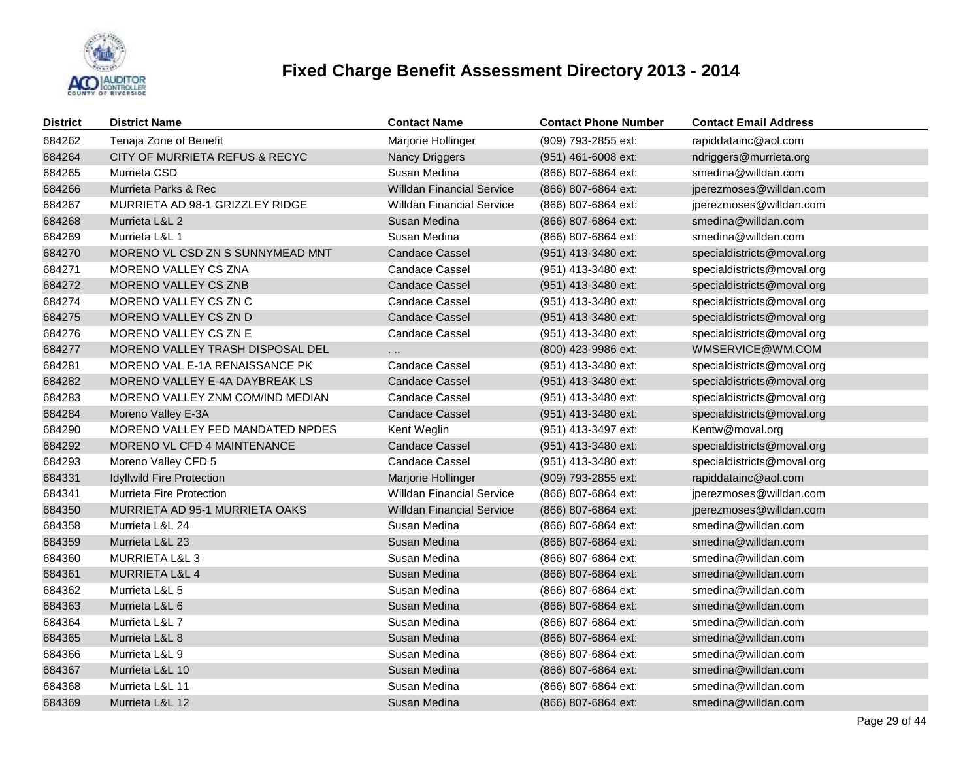

| <b>District</b> | <b>District Name</b>             | <b>Contact Name</b>              | <b>Contact Phone Number</b> | <b>Contact Email Address</b> |
|-----------------|----------------------------------|----------------------------------|-----------------------------|------------------------------|
| 684262          | Tenaja Zone of Benefit           | Marjorie Hollinger               | (909) 793-2855 ext:         | rapiddatainc@aol.com         |
| 684264          | CITY OF MURRIETA REFUS & RECYC   | <b>Nancy Driggers</b>            | (951) 461-6008 ext:         | ndriggers@murrieta.org       |
| 684265          | Murrieta CSD                     | Susan Medina                     | (866) 807-6864 ext:         | smedina@willdan.com          |
| 684266          | Murrieta Parks & Rec             | <b>Willdan Financial Service</b> | (866) 807-6864 ext:         | jperezmoses@willdan.com      |
| 684267          | MURRIETA AD 98-1 GRIZZLEY RIDGE  | <b>Willdan Financial Service</b> | (866) 807-6864 ext:         | jperezmoses@willdan.com      |
| 684268          | Murrieta L&L 2                   | Susan Medina                     | (866) 807-6864 ext:         | smedina@willdan.com          |
| 684269          | Murrieta L&L 1                   | Susan Medina                     | (866) 807-6864 ext:         | smedina@willdan.com          |
| 684270          | MORENO VL CSD ZN S SUNNYMEAD MNT | <b>Candace Cassel</b>            | (951) 413-3480 ext:         | specialdistricts@moval.org   |
| 684271          | MORENO VALLEY CS ZNA             | <b>Candace Cassel</b>            | (951) 413-3480 ext:         | specialdistricts@moval.org   |
| 684272          | MORENO VALLEY CS ZNB             | <b>Candace Cassel</b>            | (951) 413-3480 ext:         | specialdistricts@moval.org   |
| 684274          | MORENO VALLEY CS ZN C            | <b>Candace Cassel</b>            | (951) 413-3480 ext:         | specialdistricts@moval.org   |
| 684275          | MORENO VALLEY CS ZN D            | <b>Candace Cassel</b>            | (951) 413-3480 ext:         | specialdistricts@moval.org   |
| 684276          | MORENO VALLEY CS ZN E            | <b>Candace Cassel</b>            | (951) 413-3480 ext:         | specialdistricts@moval.org   |
| 684277          | MORENO VALLEY TRASH DISPOSAL DEL | .                                | (800) 423-9986 ext:         | WMSERVICE@WM.COM             |
| 684281          | MORENO VAL E-1A RENAISSANCE PK   | <b>Candace Cassel</b>            | (951) 413-3480 ext:         | specialdistricts@moval.org   |
| 684282          | MORENO VALLEY E-4A DAYBREAK LS   | <b>Candace Cassel</b>            | (951) 413-3480 ext:         | specialdistricts@moval.org   |
| 684283          | MORENO VALLEY ZNM COM/IND MEDIAN | <b>Candace Cassel</b>            | (951) 413-3480 ext:         | specialdistricts@moval.org   |
| 684284          | Moreno Valley E-3A               | <b>Candace Cassel</b>            | (951) 413-3480 ext:         | specialdistricts@moval.org   |
| 684290          | MORENO VALLEY FED MANDATED NPDES | Kent Weglin                      | (951) 413-3497 ext:         | Kentw@moval.org              |
| 684292          | MORENO VL CFD 4 MAINTENANCE      | <b>Candace Cassel</b>            | (951) 413-3480 ext:         | specialdistricts@moval.org   |
| 684293          | Moreno Valley CFD 5              | Candace Cassel                   | (951) 413-3480 ext:         | specialdistricts@moval.org   |
| 684331          | <b>Idyllwild Fire Protection</b> | Marjorie Hollinger               | (909) 793-2855 ext:         | rapiddatainc@aol.com         |
| 684341          | <b>Murrieta Fire Protection</b>  | <b>Willdan Financial Service</b> | (866) 807-6864 ext:         | jperezmoses@willdan.com      |
| 684350          | MURRIETA AD 95-1 MURRIETA OAKS   | <b>Willdan Financial Service</b> | (866) 807-6864 ext:         | jperezmoses@willdan.com      |
| 684358          | Murrieta L&L 24                  | Susan Medina                     | (866) 807-6864 ext:         | smedina@willdan.com          |
| 684359          | Murrieta L&L 23                  | Susan Medina                     | (866) 807-6864 ext:         | smedina@willdan.com          |
| 684360          | <b>MURRIETA L&amp;L 3</b>        | Susan Medina                     | (866) 807-6864 ext:         | smedina@willdan.com          |
| 684361          | MURRIETA L&L 4                   | Susan Medina                     | (866) 807-6864 ext:         | smedina@willdan.com          |
| 684362          | Murrieta L&L 5                   | Susan Medina                     | (866) 807-6864 ext:         | smedina@willdan.com          |
| 684363          | Murrieta L&L 6                   | Susan Medina                     | (866) 807-6864 ext:         | smedina@willdan.com          |
| 684364          | Murrieta L&L 7                   | Susan Medina                     | (866) 807-6864 ext:         | smedina@willdan.com          |
| 684365          | Murrieta L&L 8                   | Susan Medina                     | (866) 807-6864 ext:         | smedina@willdan.com          |
| 684366          | Murrieta L&L 9                   | Susan Medina                     | (866) 807-6864 ext:         | smedina@willdan.com          |
| 684367          | Murrieta L&L 10                  | Susan Medina                     | (866) 807-6864 ext:         | smedina@willdan.com          |
| 684368          | Murrieta L&L 11                  | Susan Medina                     | (866) 807-6864 ext:         | smedina@willdan.com          |
| 684369          | Murrieta L&L 12                  | Susan Medina                     | (866) 807-6864 ext:         | smedina@willdan.com          |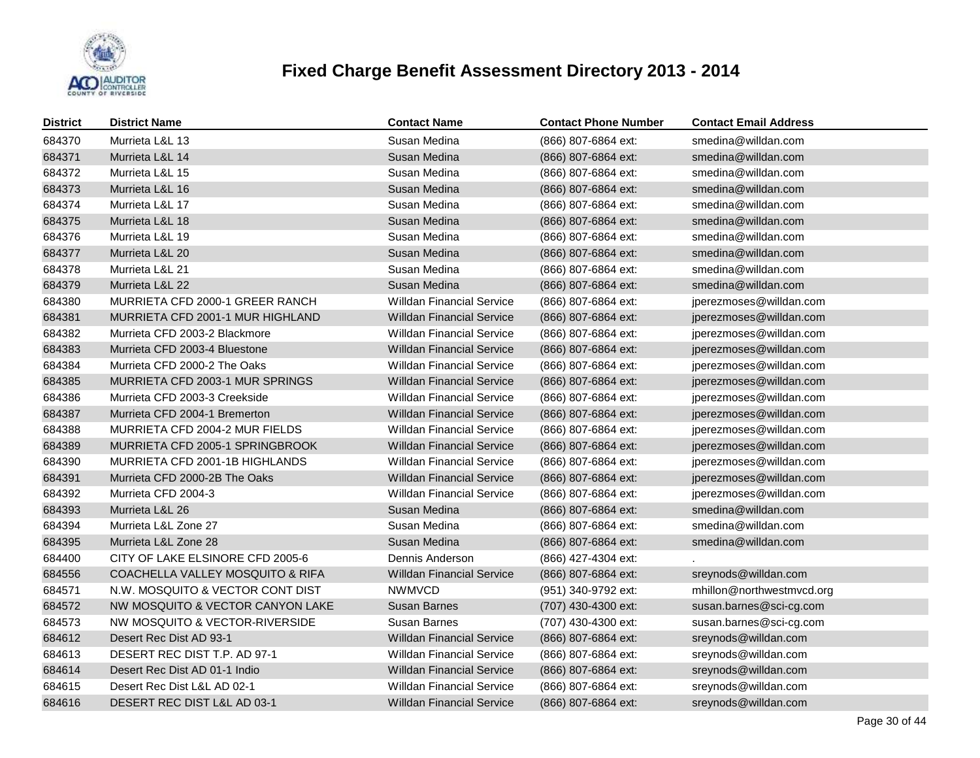

| <b>District</b> | <b>District Name</b>             | <b>Contact Name</b>              | <b>Contact Phone Number</b> | <b>Contact Email Address</b> |
|-----------------|----------------------------------|----------------------------------|-----------------------------|------------------------------|
| 684370          | Murrieta L&L 13                  | Susan Medina                     | (866) 807-6864 ext:         | smedina@willdan.com          |
| 684371          | Murrieta L&L 14                  | Susan Medina                     | (866) 807-6864 ext:         | smedina@willdan.com          |
| 684372          | Murrieta L&L 15                  | Susan Medina                     | (866) 807-6864 ext:         | smedina@willdan.com          |
| 684373          | Murrieta L&L 16                  | Susan Medina                     | (866) 807-6864 ext:         | smedina@willdan.com          |
| 684374          | Murrieta L&L 17                  | Susan Medina                     | (866) 807-6864 ext:         | smedina@willdan.com          |
| 684375          | Murrieta L&L 18                  | Susan Medina                     | (866) 807-6864 ext:         | smedina@willdan.com          |
| 684376          | Murrieta L&L 19                  | Susan Medina                     | (866) 807-6864 ext:         | smedina@willdan.com          |
| 684377          | Murrieta L&L 20                  | Susan Medina                     | (866) 807-6864 ext:         | smedina@willdan.com          |
| 684378          | Murrieta L&L 21                  | Susan Medina                     | (866) 807-6864 ext:         | smedina@willdan.com          |
| 684379          | Murrieta L&L 22                  | Susan Medina                     | (866) 807-6864 ext:         | smedina@willdan.com          |
| 684380          | MURRIETA CFD 2000-1 GREER RANCH  | <b>Willdan Financial Service</b> | (866) 807-6864 ext:         | jperezmoses@willdan.com      |
| 684381          | MURRIETA CFD 2001-1 MUR HIGHLAND | <b>Willdan Financial Service</b> | (866) 807-6864 ext:         | jperezmoses@willdan.com      |
| 684382          | Murrieta CFD 2003-2 Blackmore    | <b>Willdan Financial Service</b> | (866) 807-6864 ext:         | jperezmoses@willdan.com      |
| 684383          | Murrieta CFD 2003-4 Bluestone    | <b>Willdan Financial Service</b> | (866) 807-6864 ext:         | jperezmoses@willdan.com      |
| 684384          | Murrieta CFD 2000-2 The Oaks     | <b>Willdan Financial Service</b> | (866) 807-6864 ext:         | jperezmoses@willdan.com      |
| 684385          | MURRIETA CFD 2003-1 MUR SPRINGS  | <b>Willdan Financial Service</b> | (866) 807-6864 ext:         | jperezmoses@willdan.com      |
| 684386          | Murrieta CFD 2003-3 Creekside    | <b>Willdan Financial Service</b> | (866) 807-6864 ext:         | jperezmoses@willdan.com      |
| 684387          | Murrieta CFD 2004-1 Bremerton    | <b>Willdan Financial Service</b> | (866) 807-6864 ext:         | jperezmoses@willdan.com      |
| 684388          | MURRIETA CFD 2004-2 MUR FIELDS   | <b>Willdan Financial Service</b> | (866) 807-6864 ext:         | jperezmoses@willdan.com      |
| 684389          | MURRIETA CFD 2005-1 SPRINGBROOK  | <b>Willdan Financial Service</b> | (866) 807-6864 ext:         | jperezmoses@willdan.com      |
| 684390          | MURRIETA CFD 2001-1B HIGHLANDS   | <b>Willdan Financial Service</b> | (866) 807-6864 ext:         | jperezmoses@willdan.com      |
| 684391          | Murrieta CFD 2000-2B The Oaks    | <b>Willdan Financial Service</b> | (866) 807-6864 ext:         | jperezmoses@willdan.com      |
| 684392          | Murrieta CFD 2004-3              | <b>Willdan Financial Service</b> | (866) 807-6864 ext:         | jperezmoses@willdan.com      |
| 684393          | Murrieta L&L 26                  | Susan Medina                     | (866) 807-6864 ext:         | smedina@willdan.com          |
| 684394          | Murrieta L&L Zone 27             | Susan Medina                     | (866) 807-6864 ext:         | smedina@willdan.com          |
| 684395          | Murrieta L&L Zone 28             | Susan Medina                     | (866) 807-6864 ext:         | smedina@willdan.com          |
| 684400          | CITY OF LAKE ELSINORE CFD 2005-6 | Dennis Anderson                  | (866) 427-4304 ext:         |                              |
| 684556          | COACHELLA VALLEY MOSQUITO & RIFA | <b>Willdan Financial Service</b> | (866) 807-6864 ext:         | sreynods@willdan.com         |
| 684571          | N.W. MOSQUITO & VECTOR CONT DIST | <b>NWMVCD</b>                    | (951) 340-9792 ext:         | mhillon@northwestmvcd.org    |
| 684572          | NW MOSQUITO & VECTOR CANYON LAKE | <b>Susan Barnes</b>              | (707) 430-4300 ext:         | susan.barnes@sci-cg.com      |
| 684573          | NW MOSQUITO & VECTOR-RIVERSIDE   | <b>Susan Barnes</b>              | (707) 430-4300 ext:         | susan.barnes@sci-cg.com      |
| 684612          | Desert Rec Dist AD 93-1          | <b>Willdan Financial Service</b> | (866) 807-6864 ext:         | sreynods@willdan.com         |
| 684613          | DESERT REC DIST T.P. AD 97-1     | <b>Willdan Financial Service</b> | (866) 807-6864 ext:         | sreynods@willdan.com         |
| 684614          | Desert Rec Dist AD 01-1 Indio    | <b>Willdan Financial Service</b> | (866) 807-6864 ext:         | sreynods@willdan.com         |
| 684615          | Desert Rec Dist L&L AD 02-1      | <b>Willdan Financial Service</b> | (866) 807-6864 ext:         | sreynods@willdan.com         |
| 684616          | DESERT REC DIST L&L AD 03-1      | <b>Willdan Financial Service</b> | (866) 807-6864 ext:         | sreynods@willdan.com         |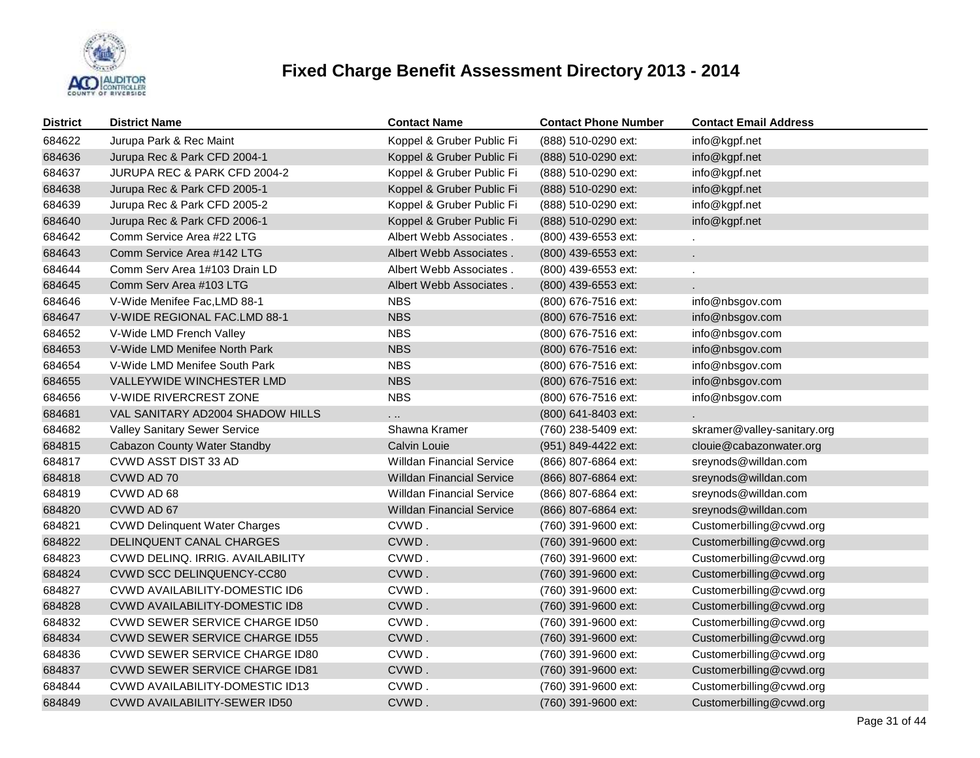

| <b>District</b> | <b>District Name</b>                  | <b>Contact Name</b>              | <b>Contact Phone Number</b> | <b>Contact Email Address</b> |
|-----------------|---------------------------------------|----------------------------------|-----------------------------|------------------------------|
| 684622          | Jurupa Park & Rec Maint               | Koppel & Gruber Public Fi        | (888) 510-0290 ext:         | info@kgpf.net                |
| 684636          | Jurupa Rec & Park CFD 2004-1          | Koppel & Gruber Public Fi        | (888) 510-0290 ext:         | info@kgpf.net                |
| 684637          | JURUPA REC & PARK CFD 2004-2          | Koppel & Gruber Public Fi        | (888) 510-0290 ext:         | info@kgpf.net                |
| 684638          | Jurupa Rec & Park CFD 2005-1          | Koppel & Gruber Public Fi        | (888) 510-0290 ext:         | info@kgpf.net                |
| 684639          | Jurupa Rec & Park CFD 2005-2          | Koppel & Gruber Public Fi        | (888) 510-0290 ext:         | info@kgpf.net                |
| 684640          | Jurupa Rec & Park CFD 2006-1          | Koppel & Gruber Public Fi        | (888) 510-0290 ext:         | info@kgpf.net                |
| 684642          | Comm Service Area #22 LTG             | Albert Webb Associates.          | (800) 439-6553 ext:         |                              |
| 684643          | Comm Service Area #142 LTG            | Albert Webb Associates.          | (800) 439-6553 ext:         |                              |
| 684644          | Comm Serv Area 1#103 Drain LD         | Albert Webb Associates.          | (800) 439-6553 ext:         | $\mathbf{r}$                 |
| 684645          | Comm Serv Area #103 LTG               | Albert Webb Associates.          | (800) 439-6553 ext:         |                              |
| 684646          | V-Wide Menifee Fac, LMD 88-1          | <b>NBS</b>                       | (800) 676-7516 ext:         | info@nbsgov.com              |
| 684647          | V-WIDE REGIONAL FAC.LMD 88-1          | <b>NBS</b>                       | (800) 676-7516 ext:         | info@nbsgov.com              |
| 684652          | V-Wide LMD French Valley              | <b>NBS</b>                       | (800) 676-7516 ext:         | info@nbsgov.com              |
| 684653          | V-Wide LMD Menifee North Park         | <b>NBS</b>                       | (800) 676-7516 ext:         | info@nbsgov.com              |
| 684654          | V-Wide LMD Menifee South Park         | <b>NBS</b>                       | (800) 676-7516 ext:         | info@nbsgov.com              |
| 684655          | VALLEYWIDE WINCHESTER LMD             | <b>NBS</b>                       | (800) 676-7516 ext:         | info@nbsgov.com              |
| 684656          | V-WIDE RIVERCREST ZONE                | <b>NBS</b>                       | (800) 676-7516 ext:         | info@nbsgov.com              |
| 684681          | VAL SANITARY AD2004 SHADOW HILLS      | .                                | (800) 641-8403 ext:         |                              |
| 684682          | Valley Sanitary Sewer Service         | Shawna Kramer                    | (760) 238-5409 ext:         | skramer@valley-sanitary.org  |
| 684815          | Cabazon County Water Standby          | Calvin Louie                     | (951) 849-4422 ext:         | clouie@cabazonwater.org      |
| 684817          | CVWD ASST DIST 33 AD                  | <b>Willdan Financial Service</b> | (866) 807-6864 ext:         | sreynods@willdan.com         |
| 684818          | CVWD AD 70                            | <b>Willdan Financial Service</b> | (866) 807-6864 ext:         | sreynods@willdan.com         |
| 684819          | CVWD AD 68                            | <b>Willdan Financial Service</b> | (866) 807-6864 ext:         | sreynods@willdan.com         |
| 684820          | CVWD AD 67                            | <b>Willdan Financial Service</b> | (866) 807-6864 ext:         | sreynods@willdan.com         |
| 684821          | <b>CVWD Delinquent Water Charges</b>  | CVWD.                            | (760) 391-9600 ext:         | Customerbilling@cvwd.org     |
| 684822          | DELINQUENT CANAL CHARGES              | CVWD.                            | (760) 391-9600 ext:         | Customerbilling@cvwd.org     |
| 684823          | CVWD DELINQ. IRRIG. AVAILABILITY      | CVWD.                            | (760) 391-9600 ext:         | Customerbilling@cvwd.org     |
| 684824          | CVWD SCC DELINQUENCY-CC80             | CVWD.                            | (760) 391-9600 ext:         | Customerbilling@cvwd.org     |
| 684827          | <b>CVWD AVAILABILITY-DOMESTIC ID6</b> | CVWD.                            | (760) 391-9600 ext:         | Customerbilling@cvwd.org     |
| 684828          | CVWD AVAILABILITY-DOMESTIC ID8        | CVWD.                            | (760) 391-9600 ext:         | Customerbilling@cvwd.org     |
| 684832          | <b>CVWD SEWER SERVICE CHARGE ID50</b> | CVWD.                            | (760) 391-9600 ext:         | Customerbilling@cvwd.org     |
| 684834          | <b>CVWD SEWER SERVICE CHARGE ID55</b> | CVWD.                            | (760) 391-9600 ext:         | Customerbilling@cvwd.org     |
| 684836          | CVWD SEWER SERVICE CHARGE ID80        | CVWD.                            | (760) 391-9600 ext:         | Customerbilling@cvwd.org     |
| 684837          | CVWD SEWER SERVICE CHARGE ID81        | CVWD.                            | (760) 391-9600 ext:         | Customerbilling@cvwd.org     |
| 684844          | CVWD AVAILABILITY-DOMESTIC ID13       | CVWD.                            | (760) 391-9600 ext:         | Customerbilling@cvwd.org     |
| 684849          | CVWD AVAILABILITY-SEWER ID50          | CVWD.                            | (760) 391-9600 ext:         | Customerbilling@cvwd.org     |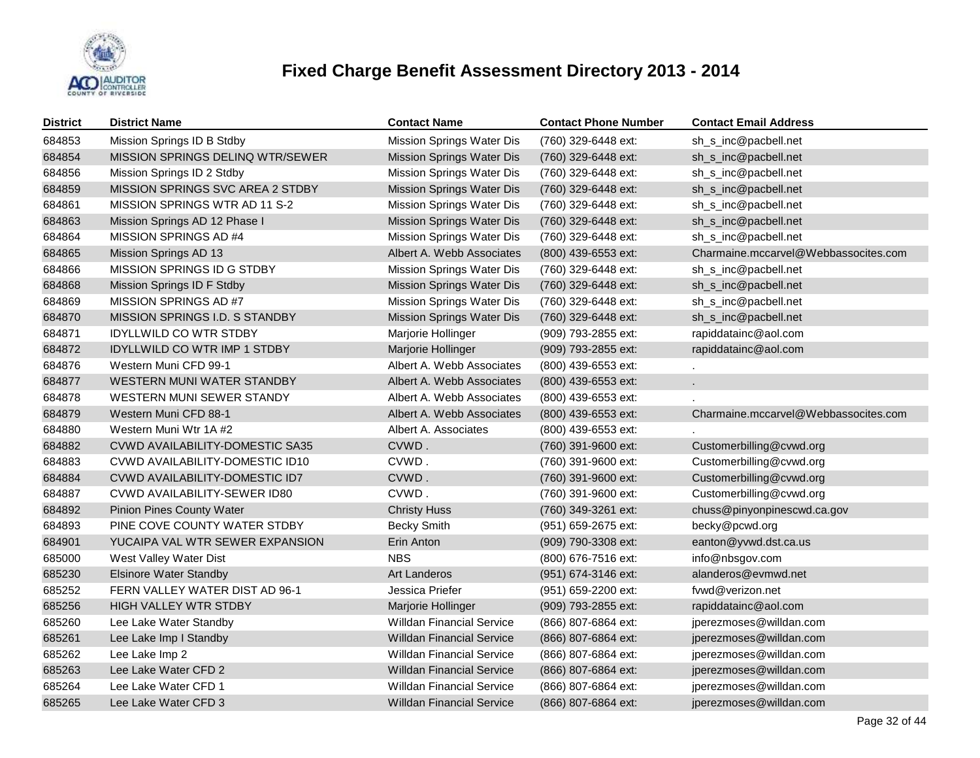

| <b>District</b> | <b>District Name</b>                | <b>Contact Name</b>              | <b>Contact Phone Number</b> | <b>Contact Email Address</b>         |
|-----------------|-------------------------------------|----------------------------------|-----------------------------|--------------------------------------|
| 684853          | Mission Springs ID B Stdby          | Mission Springs Water Dis        | (760) 329-6448 ext:         | sh_s_inc@pacbell.net                 |
| 684854          | MISSION SPRINGS DELINQ WTR/SEWER    | Mission Springs Water Dis        | (760) 329-6448 ext:         | sh_s_inc@pacbell.net                 |
| 684856          | Mission Springs ID 2 Stdby          | Mission Springs Water Dis        | (760) 329-6448 ext:         | sh_s_inc@pacbell.net                 |
| 684859          | MISSION SPRINGS SVC AREA 2 STDBY    | Mission Springs Water Dis        | (760) 329-6448 ext:         | sh_s_inc@pacbell.net                 |
| 684861          | MISSION SPRINGS WTR AD 11 S-2       | <b>Mission Springs Water Dis</b> | (760) 329-6448 ext:         | sh_s_inc@pacbell.net                 |
| 684863          | Mission Springs AD 12 Phase I       | <b>Mission Springs Water Dis</b> | (760) 329-6448 ext:         | sh_s_inc@pacbell.net                 |
| 684864          | MISSION SPRINGS AD #4               | Mission Springs Water Dis        | (760) 329-6448 ext:         | sh_s_inc@pacbell.net                 |
| 684865          | Mission Springs AD 13               | Albert A. Webb Associates        | (800) 439-6553 ext:         | Charmaine.mccarvel@Webbassocites.com |
| 684866          | MISSION SPRINGS ID G STDBY          | Mission Springs Water Dis        | (760) 329-6448 ext:         | sh_s_inc@pacbell.net                 |
| 684868          | Mission Springs ID F Stdby          | <b>Mission Springs Water Dis</b> | (760) 329-6448 ext:         | sh_s_inc@pacbell.net                 |
| 684869          | MISSION SPRINGS AD #7               | Mission Springs Water Dis        | (760) 329-6448 ext:         | sh_s_inc@pacbell.net                 |
| 684870          | MISSION SPRINGS I.D. S STANDBY      | Mission Springs Water Dis        | (760) 329-6448 ext:         | sh_s_inc@pacbell.net                 |
| 684871          | <b>IDYLLWILD CO WTR STDBY</b>       | Marjorie Hollinger               | (909) 793-2855 ext:         | rapiddatainc@aol.com                 |
| 684872          | <b>IDYLLWILD CO WTR IMP 1 STDBY</b> | Marjorie Hollinger               | (909) 793-2855 ext:         | rapiddatainc@aol.com                 |
| 684876          | Western Muni CFD 99-1               | Albert A. Webb Associates        | (800) 439-6553 ext:         |                                      |
| 684877          | WESTERN MUNI WATER STANDBY          | Albert A. Webb Associates        | (800) 439-6553 ext:         | ¥.                                   |
| 684878          | WESTERN MUNI SEWER STANDY           | Albert A. Webb Associates        | (800) 439-6553 ext:         |                                      |
| 684879          | Western Muni CFD 88-1               | Albert A. Webb Associates        | (800) 439-6553 ext:         | Charmaine.mccarvel@Webbassocites.com |
| 684880          | Western Muni Wtr 1A #2              | Albert A. Associates             | (800) 439-6553 ext:         |                                      |
| 684882          | CVWD AVAILABILITY-DOMESTIC SA35     | CVWD.                            | (760) 391-9600 ext:         | Customerbilling@cvwd.org             |
| 684883          | CVWD AVAILABILITY-DOMESTIC ID10     | CVWD.                            | (760) 391-9600 ext:         | Customerbilling@cvwd.org             |
| 684884          | CVWD AVAILABILITY-DOMESTIC ID7      | CVWD.                            | (760) 391-9600 ext:         | Customerbilling@cvwd.org             |
| 684887          | CVWD AVAILABILITY-SEWER ID80        | CVWD.                            | (760) 391-9600 ext:         | Customerbilling@cvwd.org             |
| 684892          | <b>Pinion Pines County Water</b>    | <b>Christy Huss</b>              | (760) 349-3261 ext:         | chuss@pinyonpinescwd.ca.gov          |
| 684893          | PINE COVE COUNTY WATER STDBY        | <b>Becky Smith</b>               | (951) 659-2675 ext:         | becky@pcwd.org                       |
| 684901          | YUCAIPA VAL WTR SEWER EXPANSION     | Erin Anton                       | (909) 790-3308 ext:         | eanton@yvwd.dst.ca.us                |
| 685000          | West Valley Water Dist              | <b>NBS</b>                       | (800) 676-7516 ext:         | info@nbsgov.com                      |
| 685230          | <b>Elsinore Water Standby</b>       | <b>Art Landeros</b>              | (951) 674-3146 ext:         | alanderos@evmwd.net                  |
| 685252          | FERN VALLEY WATER DIST AD 96-1      | Jessica Priefer                  | (951) 659-2200 ext:         | fywd@yerizon.net                     |
| 685256          | <b>HIGH VALLEY WTR STDBY</b>        | Marjorie Hollinger               | (909) 793-2855 ext:         | rapiddatainc@aol.com                 |
| 685260          | Lee Lake Water Standby              | <b>Willdan Financial Service</b> | (866) 807-6864 ext:         | jperezmoses@willdan.com              |
| 685261          | Lee Lake Imp I Standby              | <b>Willdan Financial Service</b> | (866) 807-6864 ext:         | jperezmoses@willdan.com              |
| 685262          | Lee Lake Imp 2                      | Willdan Financial Service        | (866) 807-6864 ext:         | jperezmoses@willdan.com              |
| 685263          | Lee Lake Water CFD 2                | <b>Willdan Financial Service</b> | (866) 807-6864 ext:         | jperezmoses@willdan.com              |
| 685264          | Lee Lake Water CFD 1                | <b>Willdan Financial Service</b> | (866) 807-6864 ext:         | jperezmoses@willdan.com              |
| 685265          | Lee Lake Water CFD 3                | <b>Willdan Financial Service</b> | (866) 807-6864 ext:         | jperezmoses@willdan.com              |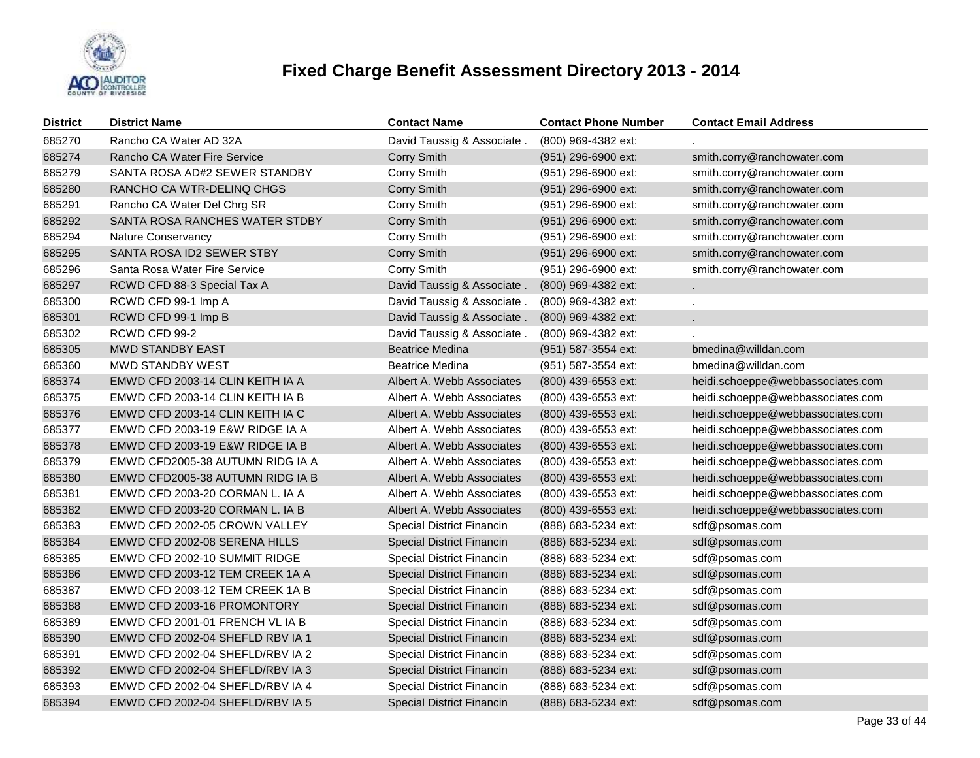

| <b>District</b> | <b>District Name</b>             | <b>Contact Name</b>              | <b>Contact Phone Number</b> | <b>Contact Email Address</b>      |
|-----------------|----------------------------------|----------------------------------|-----------------------------|-----------------------------------|
| 685270          | Rancho CA Water AD 32A           | David Taussig & Associate.       | (800) 969-4382 ext:         |                                   |
| 685274          | Rancho CA Water Fire Service     | <b>Corry Smith</b>               | (951) 296-6900 ext:         | smith.corry@ranchowater.com       |
| 685279          | SANTA ROSA AD#2 SEWER STANDBY    | Corry Smith                      | (951) 296-6900 ext:         | smith.corry@ranchowater.com       |
| 685280          | RANCHO CA WTR-DELINQ CHGS        | <b>Corry Smith</b>               | (951) 296-6900 ext:         | smith.corry@ranchowater.com       |
| 685291          | Rancho CA Water Del Chrg SR      | Corry Smith                      | (951) 296-6900 ext:         | smith.corry@ranchowater.com       |
| 685292          | SANTA ROSA RANCHES WATER STDBY   | <b>Corry Smith</b>               | (951) 296-6900 ext:         | smith.corry@ranchowater.com       |
| 685294          | Nature Conservancy               | Corry Smith                      | (951) 296-6900 ext:         | smith.corry@ranchowater.com       |
| 685295          | SANTA ROSA ID2 SEWER STBY        | <b>Corry Smith</b>               | (951) 296-6900 ext:         | smith.corry@ranchowater.com       |
| 685296          | Santa Rosa Water Fire Service    | Corry Smith                      | (951) 296-6900 ext:         | smith.corry@ranchowater.com       |
| 685297          | RCWD CFD 88-3 Special Tax A      | David Taussig & Associate        | (800) 969-4382 ext:         | $\mathbf{r}$                      |
| 685300          | RCWD CFD 99-1 Imp A              | David Taussig & Associate.       | (800) 969-4382 ext:         |                                   |
| 685301          | RCWD CFD 99-1 Imp B              | David Taussig & Associate.       | (800) 969-4382 ext:         |                                   |
| 685302          | RCWD CFD 99-2                    | David Taussig & Associate.       | (800) 969-4382 ext:         |                                   |
| 685305          | <b>MWD STANDBY EAST</b>          | <b>Beatrice Medina</b>           | (951) 587-3554 ext:         | bmedina@willdan.com               |
| 685360          | MWD STANDBY WEST                 | <b>Beatrice Medina</b>           | (951) 587-3554 ext:         | bmedina@willdan.com               |
| 685374          | EMWD CFD 2003-14 CLIN KEITH IA A | Albert A. Webb Associates        | (800) 439-6553 ext:         | heidi.schoeppe@webbassociates.com |
| 685375          | EMWD CFD 2003-14 CLIN KEITH IA B | Albert A. Webb Associates        | (800) 439-6553 ext:         | heidi.schoeppe@webbassociates.com |
| 685376          | EMWD CFD 2003-14 CLIN KEITH IA C | Albert A. Webb Associates        | (800) 439-6553 ext:         | heidi.schoeppe@webbassociates.com |
| 685377          | EMWD CFD 2003-19 E&W RIDGE IA A  | Albert A. Webb Associates        | (800) 439-6553 ext:         | heidi.schoeppe@webbassociates.com |
| 685378          | EMWD CFD 2003-19 E&W RIDGE IA B  | Albert A. Webb Associates        | (800) 439-6553 ext:         | heidi.schoeppe@webbassociates.com |
| 685379          | EMWD CFD2005-38 AUTUMN RIDG IA A | Albert A. Webb Associates        | (800) 439-6553 ext:         | heidi.schoeppe@webbassociates.com |
| 685380          | EMWD CFD2005-38 AUTUMN RIDG IA B | Albert A. Webb Associates        | (800) 439-6553 ext:         | heidi.schoeppe@webbassociates.com |
| 685381          | EMWD CFD 2003-20 CORMAN L. IA A  | Albert A. Webb Associates        | (800) 439-6553 ext:         | heidi.schoeppe@webbassociates.com |
| 685382          | EMWD CFD 2003-20 CORMAN L. IA B  | Albert A. Webb Associates        | (800) 439-6553 ext:         | heidi.schoeppe@webbassociates.com |
| 685383          | EMWD CFD 2002-05 CROWN VALLEY    | Special District Financin        | (888) 683-5234 ext:         | sdf@psomas.com                    |
| 685384          | EMWD CFD 2002-08 SERENA HILLS    | Special District Financin        | (888) 683-5234 ext:         | sdf@psomas.com                    |
| 685385          | EMWD CFD 2002-10 SUMMIT RIDGE    | Special District Financin        | (888) 683-5234 ext:         | sdf@psomas.com                    |
| 685386          | EMWD CFD 2003-12 TEM CREEK 1A A  | Special District Financin        | (888) 683-5234 ext:         | sdf@psomas.com                    |
| 685387          | EMWD CFD 2003-12 TEM CREEK 1A B  | Special District Financin        | (888) 683-5234 ext:         | sdf@psomas.com                    |
| 685388          | EMWD CFD 2003-16 PROMONTORY      | Special District Financin        | (888) 683-5234 ext:         | sdf@psomas.com                    |
| 685389          | EMWD CFD 2001-01 FRENCH VL IA B  | Special District Financin        | (888) 683-5234 ext:         | sdf@psomas.com                    |
| 685390          | EMWD CFD 2002-04 SHEFLD RBV IA 1 | Special District Financin        | (888) 683-5234 ext:         | sdf@psomas.com                    |
| 685391          | EMWD CFD 2002-04 SHEFLD/RBV IA 2 | Special District Financin        | (888) 683-5234 ext:         | sdf@psomas.com                    |
| 685392          | EMWD CFD 2002-04 SHEFLD/RBV IA 3 | Special District Financin        | (888) 683-5234 ext:         | sdf@psomas.com                    |
| 685393          | EMWD CFD 2002-04 SHEFLD/RBV IA 4 | Special District Financin        | (888) 683-5234 ext:         | sdf@psomas.com                    |
| 685394          | EMWD CFD 2002-04 SHEFLD/RBV IA 5 | <b>Special District Financin</b> | (888) 683-5234 ext:         | sdf@psomas.com                    |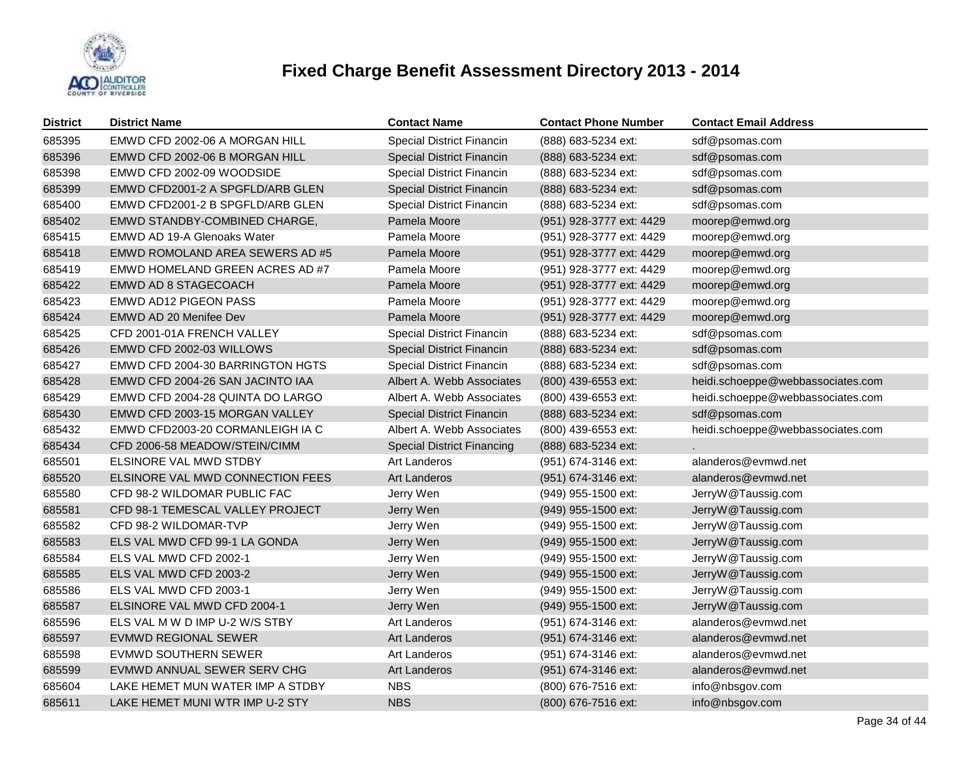

| <b>District</b> | <b>District Name</b>             | <b>Contact Name</b>               | <b>Contact Phone Number</b> | <b>Contact Email Address</b>      |
|-----------------|----------------------------------|-----------------------------------|-----------------------------|-----------------------------------|
| 685395          | EMWD CFD 2002-06 A MORGAN HILL   | Special District Financin         | (888) 683-5234 ext:         | sdf@psomas.com                    |
| 685396          | EMWD CFD 2002-06 B MORGAN HILL   | Special District Financin         | (888) 683-5234 ext:         | sdf@psomas.com                    |
| 685398          | EMWD CFD 2002-09 WOODSIDE        | Special District Financin         | (888) 683-5234 ext:         | sdf@psomas.com                    |
| 685399          | EMWD CFD2001-2 A SPGFLD/ARB GLEN | Special District Financin         | (888) 683-5234 ext:         | sdf@psomas.com                    |
| 685400          | EMWD CFD2001-2 B SPGFLD/ARB GLEN | Special District Financin         | (888) 683-5234 ext:         | sdf@psomas.com                    |
| 685402          | EMWD STANDBY-COMBINED CHARGE,    | Pamela Moore                      | (951) 928-3777 ext: 4429    | moorep@emwd.org                   |
| 685415          | EMWD AD 19-A Glenoaks Water      | Pamela Moore                      | (951) 928-3777 ext: 4429    | moorep@emwd.org                   |
| 685418          | EMWD ROMOLAND AREA SEWERS AD #5  | Pamela Moore                      | (951) 928-3777 ext: 4429    | moorep@emwd.org                   |
| 685419          | EMWD HOMELAND GREEN ACRES AD #7  | Pamela Moore                      | (951) 928-3777 ext: 4429    | moorep@emwd.org                   |
| 685422          | <b>EMWD AD 8 STAGECOACH</b>      | Pamela Moore                      | (951) 928-3777 ext: 4429    | moorep@emwd.org                   |
| 685423          | <b>EMWD AD12 PIGEON PASS</b>     | Pamela Moore                      | (951) 928-3777 ext: 4429    | moorep@emwd.org                   |
| 685424          | EMWD AD 20 Menifee Dev           | Pamela Moore                      | (951) 928-3777 ext: 4429    | moorep@emwd.org                   |
| 685425          | CFD 2001-01A FRENCH VALLEY       | Special District Financin         | (888) 683-5234 ext:         | sdf@psomas.com                    |
| 685426          | EMWD CFD 2002-03 WILLOWS         | <b>Special District Financin</b>  | (888) 683-5234 ext:         | sdf@psomas.com                    |
| 685427          | EMWD CFD 2004-30 BARRINGTON HGTS | Special District Financin         | (888) 683-5234 ext:         | sdf@psomas.com                    |
| 685428          | EMWD CFD 2004-26 SAN JACINTO IAA | Albert A. Webb Associates         | (800) 439-6553 ext:         | heidi.schoeppe@webbassociates.com |
| 685429          | EMWD CFD 2004-28 QUINTA DO LARGO | Albert A. Webb Associates         | (800) 439-6553 ext:         | heidi.schoeppe@webbassociates.com |
| 685430          | EMWD CFD 2003-15 MORGAN VALLEY   | <b>Special District Financin</b>  | (888) 683-5234 ext:         | sdf@psomas.com                    |
| 685432          | EMWD CFD2003-20 CORMANLEIGH IA C | Albert A. Webb Associates         | (800) 439-6553 ext:         | heidi.schoeppe@webbassociates.com |
| 685434          | CFD 2006-58 MEADOW/STEIN/CIMM    | <b>Special District Financing</b> | (888) 683-5234 ext:         |                                   |
| 685501          | ELSINORE VAL MWD STDBY           | <b>Art Landeros</b>               | (951) 674-3146 ext:         | alanderos@evmwd.net               |
| 685520          | ELSINORE VAL MWD CONNECTION FEES | Art Landeros                      | (951) 674-3146 ext:         | alanderos@evmwd.net               |
| 685580          | CFD 98-2 WILDOMAR PUBLIC FAC     | Jerry Wen                         | (949) 955-1500 ext:         | JerryW@Taussig.com                |
| 685581          | CFD 98-1 TEMESCAL VALLEY PROJECT | Jerry Wen                         | (949) 955-1500 ext:         | JerryW@Taussig.com                |
| 685582          | CFD 98-2 WILDOMAR-TVP            | Jerry Wen                         | (949) 955-1500 ext:         | JerryW@Taussig.com                |
| 685583          | ELS VAL MWD CFD 99-1 LA GONDA    | Jerry Wen                         | (949) 955-1500 ext:         | JerryW@Taussig.com                |
| 685584          | ELS VAL MWD CFD 2002-1           | Jerry Wen                         | (949) 955-1500 ext:         | JerryW@Taussig.com                |
| 685585          | ELS VAL MWD CFD 2003-2           | Jerry Wen                         | (949) 955-1500 ext:         | JerryW@Taussig.com                |
| 685586          | ELS VAL MWD CFD 2003-1           | Jerry Wen                         | (949) 955-1500 ext:         | JerryW@Taussig.com                |
| 685587          | ELSINORE VAL MWD CFD 2004-1      | Jerry Wen                         | (949) 955-1500 ext:         | JerryW@Taussig.com                |
| 685596          | ELS VAL M W D IMP U-2 W/S STBY   | Art Landeros                      | (951) 674-3146 ext:         | alanderos@evmwd.net               |
| 685597          | <b>EVMWD REGIONAL SEWER</b>      | Art Landeros                      | (951) 674-3146 ext:         | alanderos@evmwd.net               |
| 685598          | EVMWD SOUTHERN SEWER             | Art Landeros                      | (951) 674-3146 ext:         | alanderos@evmwd.net               |
| 685599          | EVMWD ANNUAL SEWER SERV CHG      | <b>Art Landeros</b>               | (951) 674-3146 ext:         | alanderos@evmwd.net               |
| 685604          | LAKE HEMET MUN WATER IMP A STDBY | <b>NBS</b>                        | (800) 676-7516 ext:         | info@nbsgov.com                   |
| 685611          | LAKE HEMET MUNI WTR IMP U-2 STY  | <b>NBS</b>                        | (800) 676-7516 ext:         | info@nbsgov.com                   |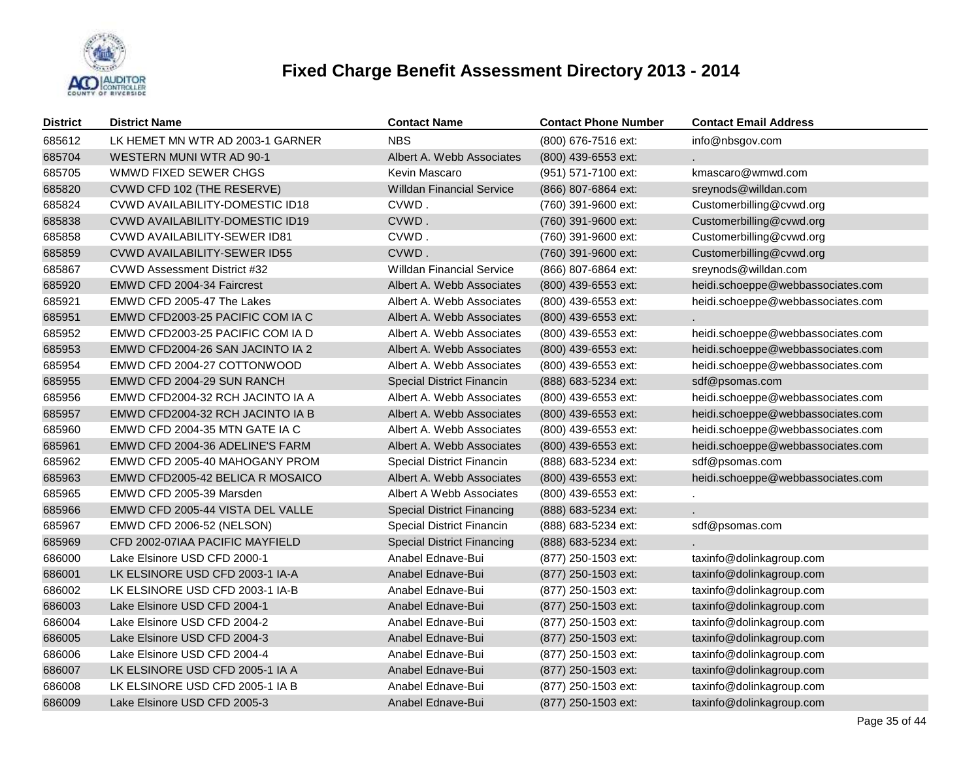

| <b>District</b> | <b>District Name</b>                   | <b>Contact Name</b>               | <b>Contact Phone Number</b> | <b>Contact Email Address</b>      |
|-----------------|----------------------------------------|-----------------------------------|-----------------------------|-----------------------------------|
| 685612          | LK HEMET MN WTR AD 2003-1 GARNER       | <b>NBS</b>                        | (800) 676-7516 ext:         | info@nbsgov.com                   |
| 685704          | WESTERN MUNI WTR AD 90-1               | Albert A. Webb Associates         | (800) 439-6553 ext:         |                                   |
| 685705          | WMWD FIXED SEWER CHGS                  | Kevin Mascaro                     | (951) 571-7100 ext:         | kmascaro@wmwd.com                 |
| 685820          | CVWD CFD 102 (THE RESERVE)             | <b>Willdan Financial Service</b>  | (866) 807-6864 ext:         | sreynods@willdan.com              |
| 685824          | <b>CVWD AVAILABILITY-DOMESTIC ID18</b> | CVWD.                             | (760) 391-9600 ext:         | Customerbilling@cvwd.org          |
| 685838          | CVWD AVAILABILITY-DOMESTIC ID19        | CVWD.                             | (760) 391-9600 ext:         | Customerbilling@cvwd.org          |
| 685858          | <b>CVWD AVAILABILITY-SEWER ID81</b>    | CVWD.                             | (760) 391-9600 ext:         | Customerbilling@cvwd.org          |
| 685859          | <b>CVWD AVAILABILITY-SEWER ID55</b>    | CVWD.                             | (760) 391-9600 ext:         | Customerbilling@cvwd.org          |
| 685867          | CVWD Assessment District #32           | <b>Willdan Financial Service</b>  | (866) 807-6864 ext:         | sreynods@willdan.com              |
| 685920          | EMWD CFD 2004-34 Faircrest             | Albert A. Webb Associates         | (800) 439-6553 ext:         | heidi.schoeppe@webbassociates.com |
| 685921          | EMWD CFD 2005-47 The Lakes             | Albert A. Webb Associates         | (800) 439-6553 ext:         | heidi.schoeppe@webbassociates.com |
| 685951          | EMWD CFD2003-25 PACIFIC COM IA C       | Albert A. Webb Associates         | (800) 439-6553 ext:         |                                   |
| 685952          | EMWD CFD2003-25 PACIFIC COM IA D       | Albert A. Webb Associates         | (800) 439-6553 ext:         | heidi.schoeppe@webbassociates.com |
| 685953          | EMWD CFD2004-26 SAN JACINTO IA 2       | Albert A. Webb Associates         | (800) 439-6553 ext:         | heidi.schoeppe@webbassociates.com |
| 685954          | EMWD CFD 2004-27 COTTONWOOD            | Albert A. Webb Associates         | (800) 439-6553 ext:         | heidi.schoeppe@webbassociates.com |
| 685955          | EMWD CFD 2004-29 SUN RANCH             | <b>Special District Financin</b>  | (888) 683-5234 ext:         | sdf@psomas.com                    |
| 685956          | EMWD CFD2004-32 RCH JACINTO IA A       | Albert A. Webb Associates         | (800) 439-6553 ext:         | heidi.schoeppe@webbassociates.com |
| 685957          | EMWD CFD2004-32 RCH JACINTO IA B       | Albert A. Webb Associates         | (800) 439-6553 ext:         | heidi.schoeppe@webbassociates.com |
| 685960          | EMWD CFD 2004-35 MTN GATE IA C         | Albert A. Webb Associates         | (800) 439-6553 ext:         | heidi.schoeppe@webbassociates.com |
| 685961          | EMWD CFD 2004-36 ADELINE'S FARM        | Albert A. Webb Associates         | (800) 439-6553 ext:         | heidi.schoeppe@webbassociates.com |
| 685962          | EMWD CFD 2005-40 MAHOGANY PROM         | Special District Financin         | (888) 683-5234 ext:         | sdf@psomas.com                    |
| 685963          | EMWD CFD2005-42 BELICA R MOSAICO       | Albert A. Webb Associates         | (800) 439-6553 ext:         | heidi.schoeppe@webbassociates.com |
| 685965          | EMWD CFD 2005-39 Marsden               | Albert A Webb Associates          | (800) 439-6553 ext:         |                                   |
| 685966          | EMWD CFD 2005-44 VISTA DEL VALLE       | <b>Special District Financing</b> | (888) 683-5234 ext:         |                                   |
| 685967          | EMWD CFD 2006-52 (NELSON)              | Special District Financin         | (888) 683-5234 ext:         | sdf@psomas.com                    |
| 685969          | CFD 2002-07IAA PACIFIC MAYFIELD        | <b>Special District Financing</b> | (888) 683-5234 ext:         |                                   |
| 686000          | Lake Elsinore USD CFD 2000-1           | Anabel Ednave-Bui                 | (877) 250-1503 ext:         | taxinfo@dolinkagroup.com          |
| 686001          | LK ELSINORE USD CFD 2003-1 IA-A        | Anabel Ednave-Bui                 | (877) 250-1503 ext:         | taxinfo@dolinkagroup.com          |
| 686002          | LK ELSINORE USD CFD 2003-1 IA-B        | Anabel Ednave-Bui                 | (877) 250-1503 ext:         | taxinfo@dolinkagroup.com          |
| 686003          | Lake Elsinore USD CFD 2004-1           | Anabel Ednave-Bui                 | (877) 250-1503 ext:         | taxinfo@dolinkagroup.com          |
| 686004          | Lake Elsinore USD CFD 2004-2           | Anabel Ednave-Bui                 | (877) 250-1503 ext:         | taxinfo@dolinkagroup.com          |
| 686005          | Lake Elsinore USD CFD 2004-3           | Anabel Ednave-Bui                 | (877) 250-1503 ext:         | taxinfo@dolinkagroup.com          |
| 686006          | Lake Elsinore USD CFD 2004-4           | Anabel Ednave-Bui                 | (877) 250-1503 ext:         | taxinfo@dolinkagroup.com          |
| 686007          | LK ELSINORE USD CFD 2005-1 IA A        | Anabel Ednave-Bui                 | (877) 250-1503 ext:         | taxinfo@dolinkagroup.com          |
| 686008          | LK ELSINORE USD CFD 2005-1 IA B        | Anabel Ednave-Bui                 | (877) 250-1503 ext:         | taxinfo@dolinkagroup.com          |
| 686009          | Lake Elsinore USD CFD 2005-3           | Anabel Ednave-Bui                 | (877) 250-1503 ext:         | taxinfo@dolinkagroup.com          |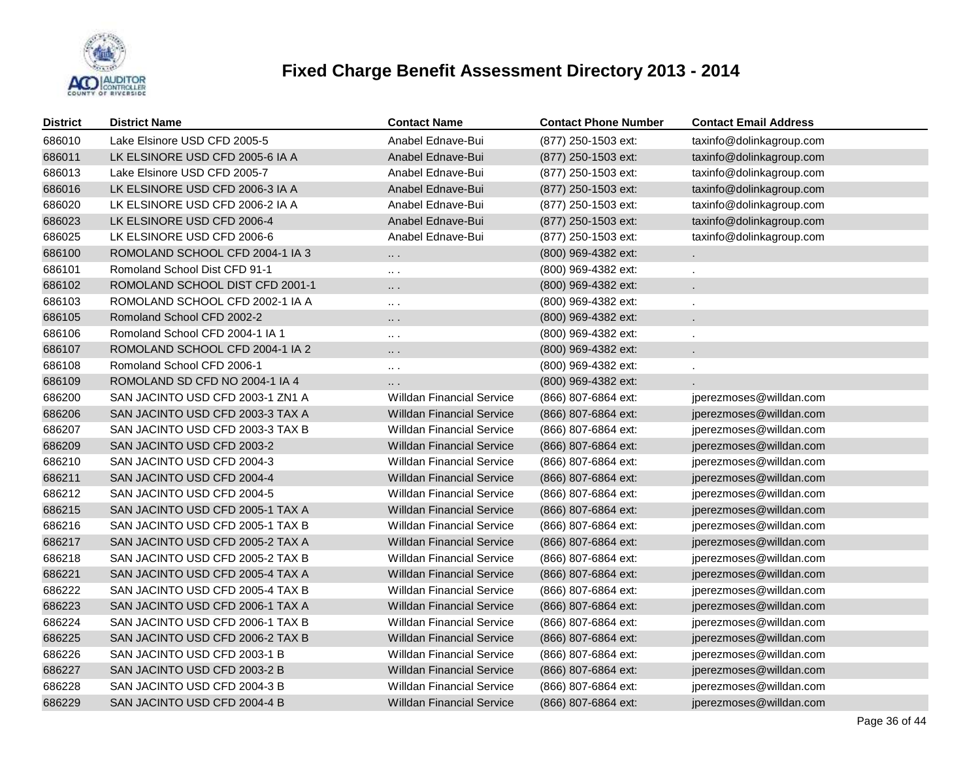

| <b>District</b> | <b>District Name</b>             | <b>Contact Name</b>              | <b>Contact Phone Number</b> | <b>Contact Email Address</b> |
|-----------------|----------------------------------|----------------------------------|-----------------------------|------------------------------|
| 686010          | Lake Elsinore USD CFD 2005-5     | Anabel Ednave-Bui                | (877) 250-1503 ext:         | taxinfo@dolinkagroup.com     |
| 686011          | LK ELSINORE USD CFD 2005-6 IA A  | Anabel Ednave-Bui                | (877) 250-1503 ext:         | taxinfo@dolinkagroup.com     |
| 686013          | Lake Elsinore USD CFD 2005-7     | Anabel Ednave-Bui                | (877) 250-1503 ext:         | taxinfo@dolinkagroup.com     |
| 686016          | LK ELSINORE USD CFD 2006-3 IA A  | Anabel Ednave-Bui                | (877) 250-1503 ext:         | taxinfo@dolinkagroup.com     |
| 686020          | LK ELSINORE USD CFD 2006-2 IA A  | Anabel Ednave-Bui                | (877) 250-1503 ext:         | taxinfo@dolinkagroup.com     |
| 686023          | LK ELSINORE USD CFD 2006-4       | Anabel Ednave-Bui                | (877) 250-1503 ext:         | taxinfo@dolinkagroup.com     |
| 686025          | LK ELSINORE USD CFD 2006-6       | Anabel Ednave-Bui                | (877) 250-1503 ext:         | taxinfo@dolinkagroup.com     |
| 686100          | ROMOLAND SCHOOL CFD 2004-1 IA 3  |                                  | (800) 969-4382 ext:         |                              |
| 686101          | Romoland School Dist CFD 91-1    | $\sim$ $\sim$                    | (800) 969-4382 ext:         |                              |
| 686102          | ROMOLAND SCHOOL DIST CFD 2001-1  | $\cdots$                         | (800) 969-4382 ext:         |                              |
| 686103          | ROMOLAND SCHOOL CFD 2002-1 IA A  | $\sim$ $\sim$                    | (800) 969-4382 ext:         |                              |
| 686105          | Romoland School CFD 2002-2       | $\cdots$                         | (800) 969-4382 ext:         |                              |
| 686106          | Romoland School CFD 2004-1 IA 1  | $\sim$ $\sim$                    | (800) 969-4382 ext:         |                              |
| 686107          | ROMOLAND SCHOOL CFD 2004-1 IA 2  | $\cdots$                         | (800) 969-4382 ext:         |                              |
| 686108          | Romoland School CFD 2006-1       | $\cdots$ .                       | (800) 969-4382 ext:         | $\mathbf{r}$                 |
| 686109          | ROMOLAND SD CFD NO 2004-1 IA 4   | $\cdots$                         | (800) 969-4382 ext:         |                              |
| 686200          | SAN JACINTO USD CFD 2003-1 ZN1 A | Willdan Financial Service        | (866) 807-6864 ext:         | jperezmoses@willdan.com      |
| 686206          | SAN JACINTO USD CFD 2003-3 TAX A | <b>Willdan Financial Service</b> | (866) 807-6864 ext:         | jperezmoses@willdan.com      |
| 686207          | SAN JACINTO USD CFD 2003-3 TAX B | <b>Willdan Financial Service</b> | (866) 807-6864 ext:         | jperezmoses@willdan.com      |
| 686209          | SAN JACINTO USD CFD 2003-2       | Willdan Financial Service        | (866) 807-6864 ext:         | jperezmoses@willdan.com      |
| 686210          | SAN JACINTO USD CFD 2004-3       | <b>Willdan Financial Service</b> | (866) 807-6864 ext:         | jperezmoses@willdan.com      |
| 686211          | SAN JACINTO USD CFD 2004-4       | <b>Willdan Financial Service</b> | (866) 807-6864 ext:         | jperezmoses@willdan.com      |
| 686212          | SAN JACINTO USD CFD 2004-5       | <b>Willdan Financial Service</b> | (866) 807-6864 ext:         | jperezmoses@willdan.com      |
| 686215          | SAN JACINTO USD CFD 2005-1 TAX A | <b>Willdan Financial Service</b> | (866) 807-6864 ext:         | jperezmoses@willdan.com      |
| 686216          | SAN JACINTO USD CFD 2005-1 TAX B | <b>Willdan Financial Service</b> | (866) 807-6864 ext:         | jperezmoses@willdan.com      |
| 686217          | SAN JACINTO USD CFD 2005-2 TAX A | <b>Willdan Financial Service</b> | (866) 807-6864 ext:         | jperezmoses@willdan.com      |
| 686218          | SAN JACINTO USD CFD 2005-2 TAX B | <b>Willdan Financial Service</b> | (866) 807-6864 ext:         | jperezmoses@willdan.com      |
| 686221          | SAN JACINTO USD CFD 2005-4 TAX A | <b>Willdan Financial Service</b> | (866) 807-6864 ext:         | jperezmoses@willdan.com      |
| 686222          | SAN JACINTO USD CFD 2005-4 TAX B | <b>Willdan Financial Service</b> | (866) 807-6864 ext:         | jperezmoses@willdan.com      |
| 686223          | SAN JACINTO USD CFD 2006-1 TAX A | <b>Willdan Financial Service</b> | (866) 807-6864 ext:         | jperezmoses@willdan.com      |
| 686224          | SAN JACINTO USD CFD 2006-1 TAX B | <b>Willdan Financial Service</b> | (866) 807-6864 ext:         | jperezmoses@willdan.com      |
| 686225          | SAN JACINTO USD CFD 2006-2 TAX B | <b>Willdan Financial Service</b> | (866) 807-6864 ext:         | jperezmoses@willdan.com      |
| 686226          | SAN JACINTO USD CFD 2003-1 B     | <b>Willdan Financial Service</b> | (866) 807-6864 ext:         | jperezmoses@willdan.com      |
| 686227          | SAN JACINTO USD CFD 2003-2 B     | <b>Willdan Financial Service</b> | (866) 807-6864 ext:         | jperezmoses@willdan.com      |
| 686228          | SAN JACINTO USD CFD 2004-3 B     | <b>Willdan Financial Service</b> | (866) 807-6864 ext:         | jperezmoses@willdan.com      |
| 686229          | SAN JACINTO USD CFD 2004-4 B     | <b>Willdan Financial Service</b> | (866) 807-6864 ext:         | jperezmoses@willdan.com      |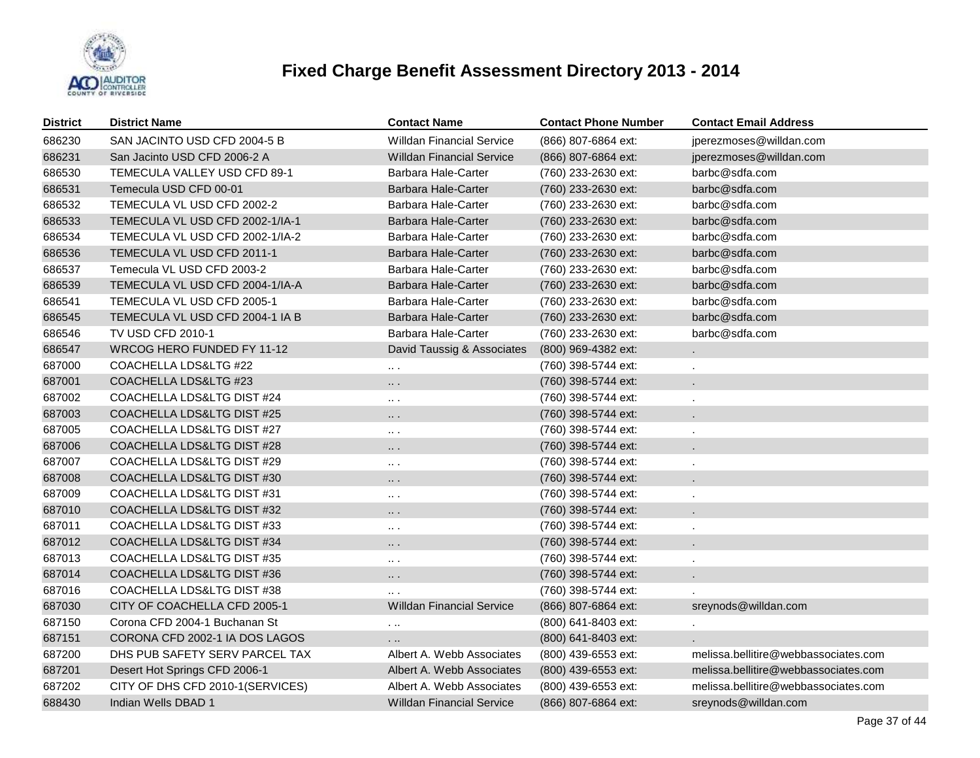

| <b>District</b> | <b>District Name</b>             | <b>Contact Name</b>              | <b>Contact Phone Number</b> | <b>Contact Email Address</b>         |
|-----------------|----------------------------------|----------------------------------|-----------------------------|--------------------------------------|
| 686230          | SAN JACINTO USD CFD 2004-5 B     | <b>Willdan Financial Service</b> | (866) 807-6864 ext:         | jperezmoses@willdan.com              |
| 686231          | San Jacinto USD CFD 2006-2 A     | <b>Willdan Financial Service</b> | (866) 807-6864 ext:         | jperezmoses@willdan.com              |
| 686530          | TEMECULA VALLEY USD CFD 89-1     | Barbara Hale-Carter              | (760) 233-2630 ext:         | barbc@sdfa.com                       |
| 686531          | Temecula USD CFD 00-01           | Barbara Hale-Carter              | (760) 233-2630 ext:         | barbc@sdfa.com                       |
| 686532          | TEMECULA VL USD CFD 2002-2       | Barbara Hale-Carter              | (760) 233-2630 ext:         | barbc@sdfa.com                       |
| 686533          | TEMECULA VL USD CFD 2002-1/IA-1  | <b>Barbara Hale-Carter</b>       | (760) 233-2630 ext:         | barbc@sdfa.com                       |
| 686534          | TEMECULA VL USD CFD 2002-1/IA-2  | Barbara Hale-Carter              | (760) 233-2630 ext:         | barbc@sdfa.com                       |
| 686536          | TEMECULA VL USD CFD 2011-1       | <b>Barbara Hale-Carter</b>       | (760) 233-2630 ext:         | barbc@sdfa.com                       |
| 686537          | Temecula VL USD CFD 2003-2       | Barbara Hale-Carter              | (760) 233-2630 ext:         | barbc@sdfa.com                       |
| 686539          | TEMECULA VL USD CFD 2004-1/IA-A  | <b>Barbara Hale-Carter</b>       | (760) 233-2630 ext:         | barbc@sdfa.com                       |
| 686541          | TEMECULA VL USD CFD 2005-1       | <b>Barbara Hale-Carter</b>       | (760) 233-2630 ext:         | barbc@sdfa.com                       |
| 686545          | TEMECULA VL USD CFD 2004-1 IA B  | <b>Barbara Hale-Carter</b>       | (760) 233-2630 ext:         | barbc@sdfa.com                       |
| 686546          | <b>TV USD CFD 2010-1</b>         | Barbara Hale-Carter              | (760) 233-2630 ext:         | barbc@sdfa.com                       |
| 686547          | WRCOG HERO FUNDED FY 11-12       | David Taussig & Associates       | (800) 969-4382 ext:         |                                      |
| 687000          | COACHELLA LDS&LTG #22            | $\cdots$ .                       | (760) 398-5744 ext:         |                                      |
| 687001          | COACHELLA LDS&LTG #23            | $\cdots$                         | (760) 398-5744 ext:         |                                      |
| 687002          | COACHELLA LDS&LTG DIST #24       | $\sim$ $\sim$                    | (760) 398-5744 ext:         |                                      |
| 687003          | COACHELLA LDS&LTG DIST #25       | $\cdots$                         | (760) 398-5744 ext:         |                                      |
| 687005          | COACHELLA LDS&LTG DIST #27       | $\cdots$ .                       | (760) 398-5744 ext:         |                                      |
| 687006          | COACHELLA LDS&LTG DIST #28       | $\cdots$                         | (760) 398-5744 ext:         |                                      |
| 687007          | COACHELLA LDS&LTG DIST #29       | $\cdots$ .                       | (760) 398-5744 ext:         | $\cdot$                              |
| 687008          | COACHELLA LDS&LTG DIST #30       | $\cdots$                         | (760) 398-5744 ext:         |                                      |
| 687009          | COACHELLA LDS&LTG DIST #31       | $\cdots$ .                       | (760) 398-5744 ext:         | $\cdot$                              |
| 687010          | COACHELLA LDS&LTG DIST #32       | $\cdots$                         | (760) 398-5744 ext:         |                                      |
| 687011          | COACHELLA LDS&LTG DIST#33        | $\cdots$                         | (760) 398-5744 ext:         |                                      |
| 687012          | COACHELLA LDS&LTG DIST #34       | $\cdots$                         | (760) 398-5744 ext:         |                                      |
| 687013          | COACHELLA LDS&LTG DIST #35       | $\sim$ $\sim$                    | (760) 398-5744 ext:         |                                      |
| 687014          | COACHELLA LDS&LTG DIST #36       | $\cdots$                         | (760) 398-5744 ext:         |                                      |
| 687016          | COACHELLA LDS&LTG DIST #38       | $\cdots$                         | (760) 398-5744 ext:         |                                      |
| 687030          | CITY OF COACHELLA CFD 2005-1     | <b>Willdan Financial Service</b> | (866) 807-6864 ext:         | sreynods@willdan.com                 |
| 687150          | Corona CFD 2004-1 Buchanan St    | $\ddotsc$                        | (800) 641-8403 ext:         |                                      |
| 687151          | CORONA CFD 2002-1 IA DOS LAGOS   |                                  | (800) 641-8403 ext:         |                                      |
| 687200          | DHS PUB SAFETY SERV PARCEL TAX   | Albert A. Webb Associates        | (800) 439-6553 ext:         | melissa.bellitire@webbassociates.com |
| 687201          | Desert Hot Springs CFD 2006-1    | Albert A. Webb Associates        | (800) 439-6553 ext:         | melissa.bellitire@webbassociates.com |
| 687202          | CITY OF DHS CFD 2010-1(SERVICES) | Albert A. Webb Associates        | $(800)$ 439-6553 ext:       | melissa.bellitire@webbassociates.com |
| 688430          | Indian Wells DBAD 1              | Willdan Financial Service        | (866) 807-6864 ext:         | sreynods@willdan.com                 |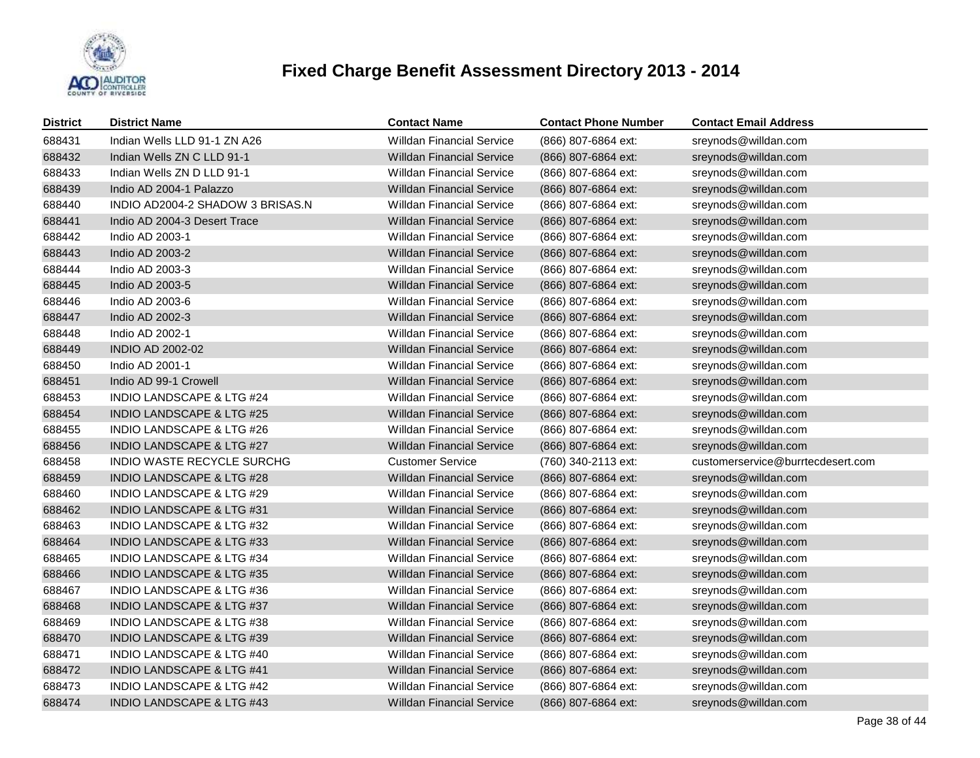

| <b>District</b> | <b>District Name</b>                 | <b>Contact Name</b>              | <b>Contact Phone Number</b> | <b>Contact Email Address</b>      |
|-----------------|--------------------------------------|----------------------------------|-----------------------------|-----------------------------------|
| 688431          | Indian Wells LLD 91-1 ZN A26         | <b>Willdan Financial Service</b> | (866) 807-6864 ext:         | sreynods@willdan.com              |
| 688432          | Indian Wells ZN C LLD 91-1           | <b>Willdan Financial Service</b> | (866) 807-6864 ext:         | sreynods@willdan.com              |
| 688433          | Indian Wells ZN D LLD 91-1           | <b>Willdan Financial Service</b> | (866) 807-6864 ext:         | sreynods@willdan.com              |
| 688439          | Indio AD 2004-1 Palazzo              | Willdan Financial Service        | (866) 807-6864 ext:         | sreynods@willdan.com              |
| 688440          | INDIO AD2004-2 SHADOW 3 BRISAS.N     | <b>Willdan Financial Service</b> | (866) 807-6864 ext:         | sreynods@willdan.com              |
| 688441          | Indio AD 2004-3 Desert Trace         | <b>Willdan Financial Service</b> | (866) 807-6864 ext:         | sreynods@willdan.com              |
| 688442          | Indio AD 2003-1                      | <b>Willdan Financial Service</b> | (866) 807-6864 ext:         | sreynods@willdan.com              |
| 688443          | Indio AD 2003-2                      | <b>Willdan Financial Service</b> | (866) 807-6864 ext:         | sreynods@willdan.com              |
| 688444          | Indio AD 2003-3                      | <b>Willdan Financial Service</b> | (866) 807-6864 ext:         | sreynods@willdan.com              |
| 688445          | Indio AD 2003-5                      | Willdan Financial Service        | (866) 807-6864 ext:         | sreynods@willdan.com              |
| 688446          | Indio AD 2003-6                      | <b>Willdan Financial Service</b> | (866) 807-6864 ext:         | sreynods@willdan.com              |
| 688447          | Indio AD 2002-3                      | Willdan Financial Service        | (866) 807-6864 ext:         | sreynods@willdan.com              |
| 688448          | Indio AD 2002-1                      | <b>Willdan Financial Service</b> | (866) 807-6864 ext:         | sreynods@willdan.com              |
| 688449          | <b>INDIO AD 2002-02</b>              | Willdan Financial Service        | (866) 807-6864 ext:         | sreynods@willdan.com              |
| 688450          | Indio AD 2001-1                      | <b>Willdan Financial Service</b> | (866) 807-6864 ext:         | sreynods@willdan.com              |
| 688451          | Indio AD 99-1 Crowell                | <b>Willdan Financial Service</b> | (866) 807-6864 ext:         | sreynods@willdan.com              |
| 688453          | <b>INDIO LANDSCAPE &amp; LTG #24</b> | <b>Willdan Financial Service</b> | (866) 807-6864 ext:         | sreynods@willdan.com              |
| 688454          | <b>INDIO LANDSCAPE &amp; LTG #25</b> | <b>Willdan Financial Service</b> | (866) 807-6864 ext:         | sreynods@willdan.com              |
| 688455          | <b>INDIO LANDSCAPE &amp; LTG #26</b> | <b>Willdan Financial Service</b> | (866) 807-6864 ext:         | sreynods@willdan.com              |
| 688456          | <b>INDIO LANDSCAPE &amp; LTG #27</b> | <b>Willdan Financial Service</b> | (866) 807-6864 ext:         | sreynods@willdan.com              |
| 688458          | <b>INDIO WASTE RECYCLE SURCHG</b>    | <b>Customer Service</b>          | (760) 340-2113 ext:         | customerservice@burrtecdesert.com |
| 688459          | <b>INDIO LANDSCAPE &amp; LTG #28</b> | <b>Willdan Financial Service</b> | (866) 807-6864 ext:         | sreynods@willdan.com              |
| 688460          | <b>INDIO LANDSCAPE &amp; LTG #29</b> | <b>Willdan Financial Service</b> | (866) 807-6864 ext:         | sreynods@willdan.com              |
| 688462          | INDIO LANDSCAPE & LTG #31            | <b>Willdan Financial Service</b> | (866) 807-6864 ext:         | sreynods@willdan.com              |
| 688463          | <b>INDIO LANDSCAPE &amp; LTG #32</b> | <b>Willdan Financial Service</b> | (866) 807-6864 ext:         | sreynods@willdan.com              |
| 688464          | INDIO LANDSCAPE & LTG #33            | <b>Willdan Financial Service</b> | (866) 807-6864 ext:         | sreynods@willdan.com              |
| 688465          | <b>INDIO LANDSCAPE &amp; LTG #34</b> | <b>Willdan Financial Service</b> | (866) 807-6864 ext:         | sreynods@willdan.com              |
| 688466          | INDIO LANDSCAPE & LTG #35            | <b>Willdan Financial Service</b> | (866) 807-6864 ext:         | sreynods@willdan.com              |
| 688467          | <b>INDIO LANDSCAPE &amp; LTG #36</b> | <b>Willdan Financial Service</b> | (866) 807-6864 ext:         | sreynods@willdan.com              |
| 688468          | INDIO LANDSCAPE & LTG #37            | <b>Willdan Financial Service</b> | (866) 807-6864 ext:         | sreynods@willdan.com              |
| 688469          | <b>INDIO LANDSCAPE &amp; LTG #38</b> | <b>Willdan Financial Service</b> | (866) 807-6864 ext:         | sreynods@willdan.com              |
| 688470          | INDIO LANDSCAPE & LTG #39            | <b>Willdan Financial Service</b> | (866) 807-6864 ext:         | sreynods@willdan.com              |
| 688471          | <b>INDIO LANDSCAPE &amp; LTG #40</b> | <b>Willdan Financial Service</b> | (866) 807-6864 ext:         | sreynods@willdan.com              |
| 688472          | INDIO LANDSCAPE & LTG #41            | <b>Willdan Financial Service</b> | (866) 807-6864 ext:         | sreynods@willdan.com              |
| 688473          | <b>INDIO LANDSCAPE &amp; LTG #42</b> | <b>Willdan Financial Service</b> | (866) 807-6864 ext:         | sreynods@willdan.com              |
| 688474          | INDIO LANDSCAPE & LTG #43            | <b>Willdan Financial Service</b> | (866) 807-6864 ext:         | sreynods@willdan.com              |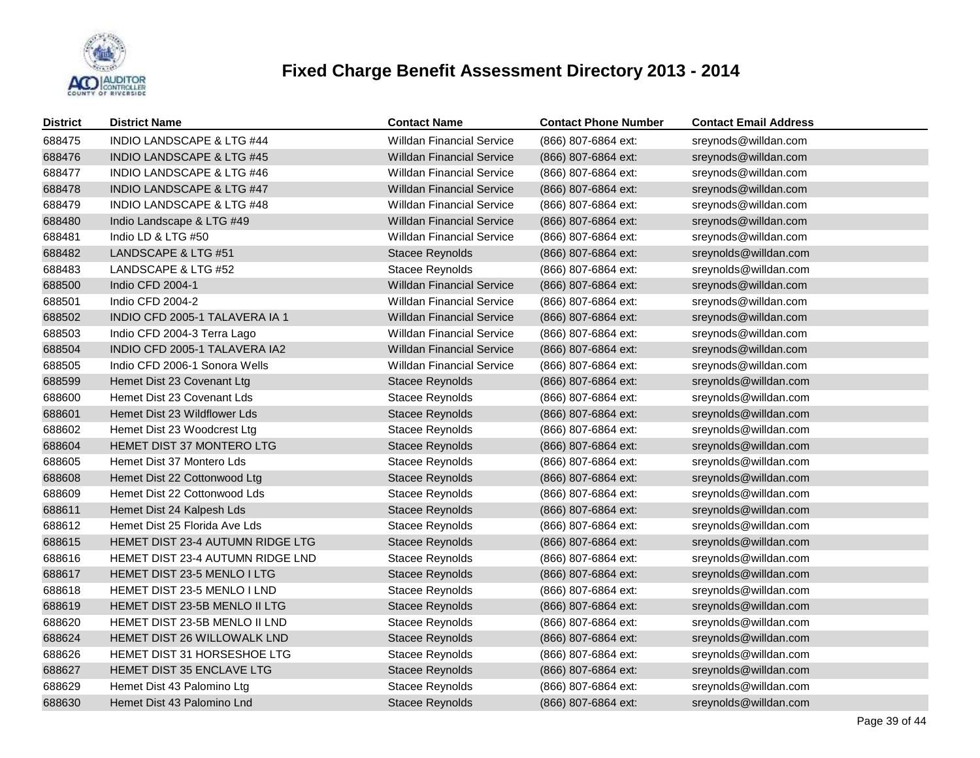

| <b>District</b> | <b>District Name</b>                 | <b>Contact Name</b>              | <b>Contact Phone Number</b> | <b>Contact Email Address</b> |
|-----------------|--------------------------------------|----------------------------------|-----------------------------|------------------------------|
| 688475          | <b>INDIO LANDSCAPE &amp; LTG #44</b> | Willdan Financial Service        | (866) 807-6864 ext:         | sreynods@willdan.com         |
| 688476          | <b>INDIO LANDSCAPE &amp; LTG #45</b> | <b>Willdan Financial Service</b> | (866) 807-6864 ext:         | sreynods@willdan.com         |
| 688477          | INDIO LANDSCAPE & LTG #46            | Willdan Financial Service        | (866) 807-6864 ext:         | sreynods@willdan.com         |
| 688478          | <b>INDIO LANDSCAPE &amp; LTG #47</b> | <b>Willdan Financial Service</b> | (866) 807-6864 ext:         | sreynods@willdan.com         |
| 688479          | INDIO LANDSCAPE & LTG #48            | <b>Willdan Financial Service</b> | (866) 807-6864 ext:         | sreynods@willdan.com         |
| 688480          | Indio Landscape & LTG #49            | Willdan Financial Service        | (866) 807-6864 ext:         | sreynods@willdan.com         |
| 688481          | Indio LD & LTG #50                   | <b>Willdan Financial Service</b> | (866) 807-6864 ext:         | sreynods@willdan.com         |
| 688482          | LANDSCAPE & LTG #51                  | Stacee Reynolds                  | (866) 807-6864 ext:         | sreynolds@willdan.com        |
| 688483          | LANDSCAPE & LTG #52                  | Stacee Reynolds                  | (866) 807-6864 ext:         | sreynolds@willdan.com        |
| 688500          | Indio CFD 2004-1                     | <b>Willdan Financial Service</b> | (866) 807-6864 ext:         | sreynods@willdan.com         |
| 688501          | Indio CFD 2004-2                     | <b>Willdan Financial Service</b> | (866) 807-6864 ext:         | sreynods@willdan.com         |
| 688502          | INDIO CFD 2005-1 TALAVERA IA 1       | <b>Willdan Financial Service</b> | (866) 807-6864 ext:         | sreynods@willdan.com         |
| 688503          | Indio CFD 2004-3 Terra Lago          | <b>Willdan Financial Service</b> | (866) 807-6864 ext:         | sreynods@willdan.com         |
| 688504          | INDIO CFD 2005-1 TALAVERA IA2        | <b>Willdan Financial Service</b> | (866) 807-6864 ext:         | sreynods@willdan.com         |
| 688505          | Indio CFD 2006-1 Sonora Wells        | <b>Willdan Financial Service</b> | (866) 807-6864 ext:         | sreynods@willdan.com         |
| 688599          | Hemet Dist 23 Covenant Ltg           | <b>Stacee Reynolds</b>           | (866) 807-6864 ext:         | sreynolds@willdan.com        |
| 688600          | Hemet Dist 23 Covenant Lds           | Stacee Reynolds                  | (866) 807-6864 ext:         | sreynolds@willdan.com        |
| 688601          | Hemet Dist 23 Wildflower Lds         | <b>Stacee Reynolds</b>           | (866) 807-6864 ext:         | sreynolds@willdan.com        |
| 688602          | Hemet Dist 23 Woodcrest Ltg          | Stacee Reynolds                  | (866) 807-6864 ext:         | sreynolds@willdan.com        |
| 688604          | HEMET DIST 37 MONTERO LTG            | Stacee Reynolds                  | (866) 807-6864 ext:         | sreynolds@willdan.com        |
| 688605          | Hemet Dist 37 Montero Lds            | Stacee Reynolds                  | (866) 807-6864 ext:         | sreynolds@willdan.com        |
| 688608          | Hemet Dist 22 Cottonwood Ltg         | Stacee Reynolds                  | (866) 807-6864 ext:         | sreynolds@willdan.com        |
| 688609          | Hemet Dist 22 Cottonwood Lds         | Stacee Reynolds                  | (866) 807-6864 ext:         | sreynolds@willdan.com        |
| 688611          | Hemet Dist 24 Kalpesh Lds            | Stacee Reynolds                  | (866) 807-6864 ext:         | sreynolds@willdan.com        |
| 688612          | Hemet Dist 25 Florida Ave Lds        | Stacee Reynolds                  | (866) 807-6864 ext:         | sreynolds@willdan.com        |
| 688615          | HEMET DIST 23-4 AUTUMN RIDGE LTG     | Stacee Reynolds                  | (866) 807-6864 ext:         | sreynolds@willdan.com        |
| 688616          | HEMET DIST 23-4 AUTUMN RIDGE LND     | Stacee Reynolds                  | (866) 807-6864 ext:         | sreynolds@willdan.com        |
| 688617          | HEMET DIST 23-5 MENLO I LTG          | <b>Stacee Reynolds</b>           | (866) 807-6864 ext:         | sreynolds@willdan.com        |
| 688618          | HEMET DIST 23-5 MENLO I LND          | Stacee Reynolds                  | (866) 807-6864 ext:         | sreynolds@willdan.com        |
| 688619          | HEMET DIST 23-5B MENLO II LTG        | <b>Stacee Reynolds</b>           | (866) 807-6864 ext:         | sreynolds@willdan.com        |
| 688620          | HEMET DIST 23-5B MENLO II LND        | Stacee Reynolds                  | (866) 807-6864 ext:         | sreynolds@willdan.com        |
| 688624          | HEMET DIST 26 WILLOWALK LND          | <b>Stacee Reynolds</b>           | (866) 807-6864 ext:         | sreynolds@willdan.com        |
| 688626          | <b>HEMET DIST 31 HORSESHOE LTG</b>   | Stacee Reynolds                  | (866) 807-6864 ext:         | sreynolds@willdan.com        |
| 688627          | HEMET DIST 35 ENCLAVE LTG            | Stacee Reynolds                  | (866) 807-6864 ext:         | sreynolds@willdan.com        |
| 688629          | Hemet Dist 43 Palomino Ltg           | Stacee Reynolds                  | (866) 807-6864 ext:         | sreynolds@willdan.com        |
| 688630          | Hemet Dist 43 Palomino Lnd           | <b>Stacee Reynolds</b>           | (866) 807-6864 ext:         | sreynolds@willdan.com        |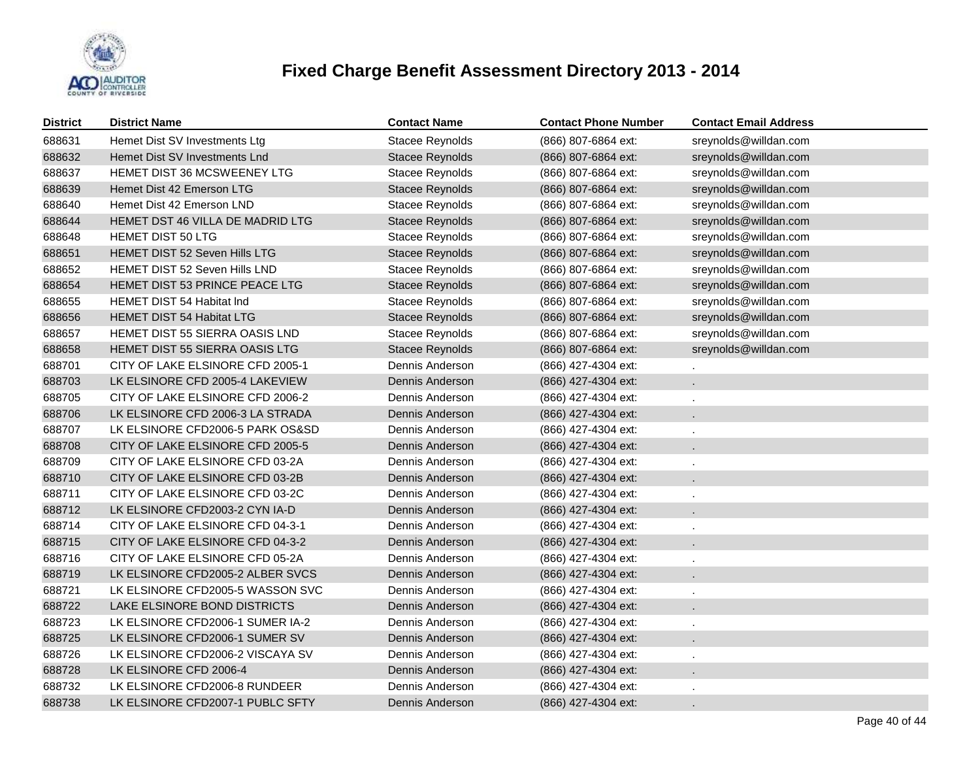

| <b>District</b> | <b>District Name</b>                  | <b>Contact Name</b>    | <b>Contact Phone Number</b> | <b>Contact Email Address</b> |
|-----------------|---------------------------------------|------------------------|-----------------------------|------------------------------|
| 688631          | Hemet Dist SV Investments Ltg         | <b>Stacee Reynolds</b> | (866) 807-6864 ext:         | sreynolds@willdan.com        |
| 688632          | Hemet Dist SV Investments Lnd         | Stacee Reynolds        | (866) 807-6864 ext:         | sreynolds@willdan.com        |
| 688637          | <b>HEMET DIST 36 MCSWEENEY LTG</b>    | <b>Stacee Reynolds</b> | (866) 807-6864 ext:         | sreynolds@willdan.com        |
| 688639          | Hemet Dist 42 Emerson LTG             | <b>Stacee Reynolds</b> | (866) 807-6864 ext:         | sreynolds@willdan.com        |
| 688640          | Hemet Dist 42 Emerson LND             | Stacee Reynolds        | (866) 807-6864 ext:         | sreynolds@willdan.com        |
| 688644          | HEMET DST 46 VILLA DE MADRID LTG      | <b>Stacee Reynolds</b> | (866) 807-6864 ext:         | sreynolds@willdan.com        |
| 688648          | <b>HEMET DIST 50 LTG</b>              | <b>Stacee Reynolds</b> | (866) 807-6864 ext:         | sreynolds@willdan.com        |
| 688651          | HEMET DIST 52 Seven Hills LTG         | Stacee Reynolds        | (866) 807-6864 ext:         | sreynolds@willdan.com        |
| 688652          | HEMET DIST 52 Seven Hills LND         | <b>Stacee Reynolds</b> | (866) 807-6864 ext:         | sreynolds@willdan.com        |
| 688654          | HEMET DIST 53 PRINCE PEACE LTG        | Stacee Reynolds        | (866) 807-6864 ext:         | sreynolds@willdan.com        |
| 688655          | <b>HEMET DIST 54 Habitat Ind</b>      | Stacee Reynolds        | (866) 807-6864 ext:         | sreynolds@willdan.com        |
| 688656          | <b>HEMET DIST 54 Habitat LTG</b>      | <b>Stacee Reynolds</b> | (866) 807-6864 ext:         | sreynolds@willdan.com        |
| 688657          | HEMET DIST 55 SIERRA OASIS LND        | Stacee Reynolds        | (866) 807-6864 ext:         | sreynolds@willdan.com        |
| 688658          | <b>HEMET DIST 55 SIERRA OASIS LTG</b> | Stacee Reynolds        | (866) 807-6864 ext:         | sreynolds@willdan.com        |
| 688701          | CITY OF LAKE ELSINORE CFD 2005-1      | Dennis Anderson        | (866) 427-4304 ext:         |                              |
| 688703          | LK ELSINORE CFD 2005-4 LAKEVIEW       | Dennis Anderson        | (866) 427-4304 ext:         | $\mathcal{L}_{\mathcal{A}}$  |
| 688705          | CITY OF LAKE ELSINORE CFD 2006-2      | Dennis Anderson        | (866) 427-4304 ext:         | $\epsilon$                   |
| 688706          | LK ELSINORE CFD 2006-3 LA STRADA      | Dennis Anderson        | (866) 427-4304 ext:         | $\mathbf{r}$                 |
| 688707          | LK ELSINORE CFD2006-5 PARK OS&SD      | Dennis Anderson        | (866) 427-4304 ext:         |                              |
| 688708          | CITY OF LAKE ELSINORE CFD 2005-5      | Dennis Anderson        | (866) 427-4304 ext:         | $\mathbf{r}$                 |
| 688709          | CITY OF LAKE ELSINORE CFD 03-2A       | Dennis Anderson        | (866) 427-4304 ext:         |                              |
| 688710          | CITY OF LAKE ELSINORE CFD 03-2B       | Dennis Anderson        | (866) 427-4304 ext:         |                              |
| 688711          | CITY OF LAKE ELSINORE CFD 03-2C       | Dennis Anderson        | (866) 427-4304 ext:         |                              |
| 688712          | LK ELSINORE CFD2003-2 CYN IA-D        | Dennis Anderson        | (866) 427-4304 ext:         |                              |
| 688714          | CITY OF LAKE ELSINORE CFD 04-3-1      | Dennis Anderson        | (866) 427-4304 ext:         |                              |
| 688715          | CITY OF LAKE ELSINORE CFD 04-3-2      | Dennis Anderson        | (866) 427-4304 ext:         |                              |
| 688716          | CITY OF LAKE ELSINORE CFD 05-2A       | Dennis Anderson        | (866) 427-4304 ext:         |                              |
| 688719          | LK ELSINORE CFD2005-2 ALBER SVCS      | Dennis Anderson        | (866) 427-4304 ext:         |                              |
| 688721          | LK ELSINORE CFD2005-5 WASSON SVC      | Dennis Anderson        | (866) 427-4304 ext:         |                              |
| 688722          | LAKE ELSINORE BOND DISTRICTS          | Dennis Anderson        | (866) 427-4304 ext:         |                              |
| 688723          | LK ELSINORE CFD2006-1 SUMER IA-2      | Dennis Anderson        | (866) 427-4304 ext:         |                              |
| 688725          | LK ELSINORE CFD2006-1 SUMER SV        | Dennis Anderson        | (866) 427-4304 ext:         |                              |
| 688726          | LK ELSINORE CFD2006-2 VISCAYA SV      | Dennis Anderson        | (866) 427-4304 ext:         |                              |
| 688728          | LK ELSINORE CFD 2006-4                | Dennis Anderson        | (866) 427-4304 ext:         |                              |
| 688732          | LK ELSINORE CFD2006-8 RUNDEER         | Dennis Anderson        | (866) 427-4304 ext:         |                              |
| 688738          | LK ELSINORE CFD2007-1 PUBLC SFTY      | Dennis Anderson        | (866) 427-4304 ext:         |                              |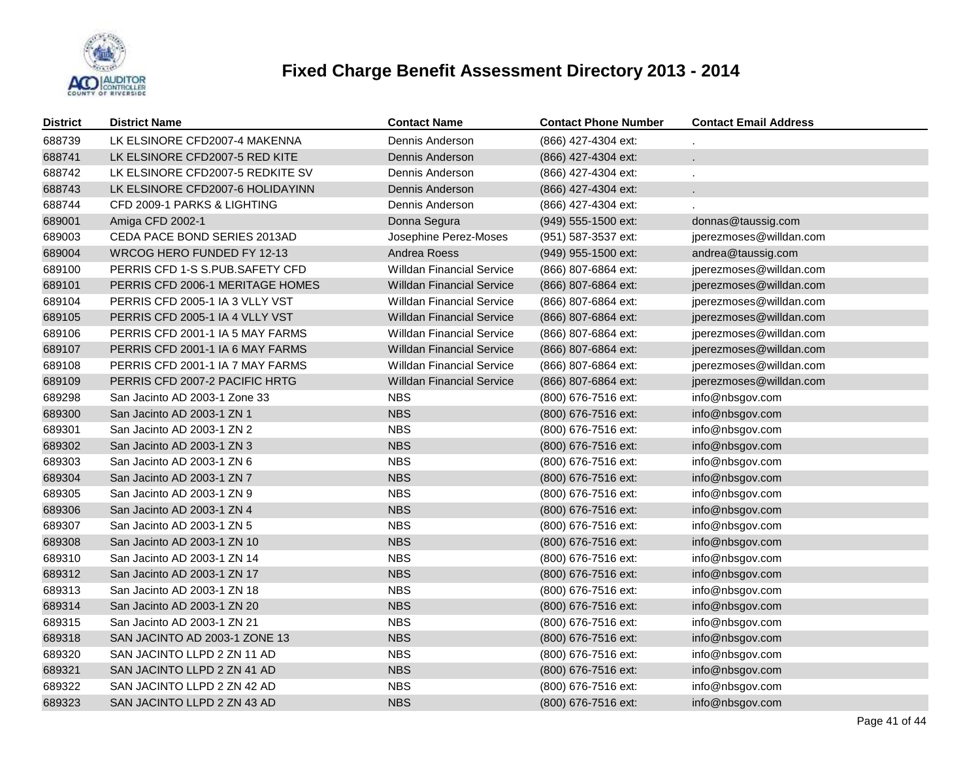

| <b>District</b> | <b>District Name</b>             | <b>Contact Name</b>              | <b>Contact Phone Number</b> | <b>Contact Email Address</b> |
|-----------------|----------------------------------|----------------------------------|-----------------------------|------------------------------|
| 688739          | LK ELSINORE CFD2007-4 MAKENNA    | Dennis Anderson                  | (866) 427-4304 ext:         |                              |
| 688741          | LK ELSINORE CFD2007-5 RED KITE   | Dennis Anderson                  | (866) 427-4304 ext:         |                              |
| 688742          | LK ELSINORE CFD2007-5 REDKITE SV | Dennis Anderson                  | (866) 427-4304 ext:         |                              |
| 688743          | LK ELSINORE CFD2007-6 HOLIDAYINN | Dennis Anderson                  | (866) 427-4304 ext:         |                              |
| 688744          | CFD 2009-1 PARKS & LIGHTING      | Dennis Anderson                  | (866) 427-4304 ext:         |                              |
| 689001          | Amiga CFD 2002-1                 | Donna Segura                     | (949) 555-1500 ext:         | donnas@taussig.com           |
| 689003          | CEDA PACE BOND SERIES 2013AD     | Josephine Perez-Moses            | (951) 587-3537 ext:         | jperezmoses@willdan.com      |
| 689004          | WRCOG HERO FUNDED FY 12-13       | Andrea Roess                     | (949) 955-1500 ext:         | andrea@taussig.com           |
| 689100          | PERRIS CFD 1-S S.PUB.SAFETY CFD  | <b>Willdan Financial Service</b> | (866) 807-6864 ext:         | jperezmoses@willdan.com      |
| 689101          | PERRIS CFD 2006-1 MERITAGE HOMES | <b>Willdan Financial Service</b> | (866) 807-6864 ext:         | jperezmoses@willdan.com      |
| 689104          | PERRIS CFD 2005-1 IA 3 VLLY VST  | <b>Willdan Financial Service</b> | (866) 807-6864 ext:         | jperezmoses@willdan.com      |
| 689105          | PERRIS CFD 2005-1 IA 4 VLLY VST  | Willdan Financial Service        | (866) 807-6864 ext:         | jperezmoses@willdan.com      |
| 689106          | PERRIS CFD 2001-1 IA 5 MAY FARMS | <b>Willdan Financial Service</b> | (866) 807-6864 ext:         | jperezmoses@willdan.com      |
| 689107          | PERRIS CFD 2001-1 IA 6 MAY FARMS | <b>Willdan Financial Service</b> | (866) 807-6864 ext:         | jperezmoses@willdan.com      |
| 689108          | PERRIS CFD 2001-1 IA 7 MAY FARMS | <b>Willdan Financial Service</b> | (866) 807-6864 ext:         | jperezmoses@willdan.com      |
| 689109          | PERRIS CFD 2007-2 PACIFIC HRTG   | <b>Willdan Financial Service</b> | (866) 807-6864 ext:         | jperezmoses@willdan.com      |
| 689298          | San Jacinto AD 2003-1 Zone 33    | <b>NBS</b>                       | (800) 676-7516 ext:         | info@nbsgov.com              |
| 689300          | San Jacinto AD 2003-1 ZN 1       | <b>NBS</b>                       | (800) 676-7516 ext:         | info@nbsgov.com              |
| 689301          | San Jacinto AD 2003-1 ZN 2       | <b>NBS</b>                       | (800) 676-7516 ext:         | info@nbsgov.com              |
| 689302          | San Jacinto AD 2003-1 ZN 3       | <b>NBS</b>                       | (800) 676-7516 ext:         | info@nbsgov.com              |
| 689303          | San Jacinto AD 2003-1 ZN 6       | <b>NBS</b>                       | (800) 676-7516 ext:         | info@nbsgov.com              |
| 689304          | San Jacinto AD 2003-1 ZN 7       | <b>NBS</b>                       | (800) 676-7516 ext:         | info@nbsgov.com              |
| 689305          | San Jacinto AD 2003-1 ZN 9       | <b>NBS</b>                       | (800) 676-7516 ext:         | info@nbsgov.com              |
| 689306          | San Jacinto AD 2003-1 ZN 4       | <b>NBS</b>                       | (800) 676-7516 ext:         | info@nbsgov.com              |
| 689307          | San Jacinto AD 2003-1 ZN 5       | <b>NBS</b>                       | (800) 676-7516 ext:         | info@nbsgov.com              |
| 689308          | San Jacinto AD 2003-1 ZN 10      | <b>NBS</b>                       | (800) 676-7516 ext:         | info@nbsgov.com              |
| 689310          | San Jacinto AD 2003-1 ZN 14      | <b>NBS</b>                       | (800) 676-7516 ext:         | info@nbsgov.com              |
| 689312          | San Jacinto AD 2003-1 ZN 17      | <b>NBS</b>                       | (800) 676-7516 ext:         | info@nbsgov.com              |
| 689313          | San Jacinto AD 2003-1 ZN 18      | <b>NBS</b>                       | (800) 676-7516 ext:         | info@nbsgov.com              |
| 689314          | San Jacinto AD 2003-1 ZN 20      | <b>NBS</b>                       | (800) 676-7516 ext:         | info@nbsgov.com              |
| 689315          | San Jacinto AD 2003-1 ZN 21      | <b>NBS</b>                       | (800) 676-7516 ext:         | info@nbsgov.com              |
| 689318          | SAN JACINTO AD 2003-1 ZONE 13    | <b>NBS</b>                       | (800) 676-7516 ext:         | info@nbsgov.com              |
| 689320          | SAN JACINTO LLPD 2 ZN 11 AD      | <b>NBS</b>                       | (800) 676-7516 ext:         | info@nbsgov.com              |
| 689321          | SAN JACINTO LLPD 2 ZN 41 AD      | <b>NBS</b>                       | (800) 676-7516 ext:         | info@nbsgov.com              |
| 689322          | SAN JACINTO LLPD 2 ZN 42 AD      | <b>NBS</b>                       | (800) 676-7516 ext:         | info@nbsgov.com              |
| 689323          | SAN JACINTO LLPD 2 ZN 43 AD      | <b>NBS</b>                       | (800) 676-7516 ext:         | info@nbsgov.com              |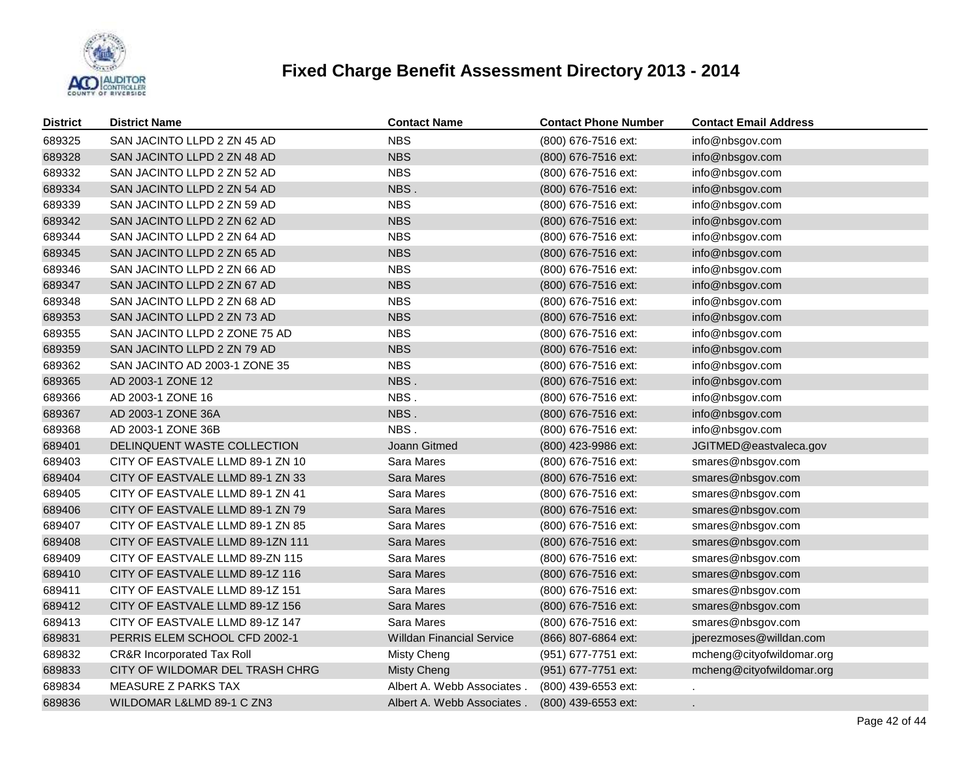

| <b>District</b> | <b>District Name</b>                  | <b>Contact Name</b>              | <b>Contact Phone Number</b> | <b>Contact Email Address</b> |
|-----------------|---------------------------------------|----------------------------------|-----------------------------|------------------------------|
| 689325          | SAN JACINTO LLPD 2 ZN 45 AD           | <b>NBS</b>                       | (800) 676-7516 ext:         | info@nbsgov.com              |
| 689328          | SAN JACINTO LLPD 2 ZN 48 AD           | <b>NBS</b>                       | (800) 676-7516 ext:         | info@nbsgov.com              |
| 689332          | SAN JACINTO LLPD 2 ZN 52 AD           | <b>NBS</b>                       | (800) 676-7516 ext:         | info@nbsgov.com              |
| 689334          | SAN JACINTO LLPD 2 ZN 54 AD           | NBS.                             | (800) 676-7516 ext:         | info@nbsgov.com              |
| 689339          | SAN JACINTO LLPD 2 ZN 59 AD           | <b>NBS</b>                       | (800) 676-7516 ext:         | info@nbsgov.com              |
| 689342          | SAN JACINTO LLPD 2 ZN 62 AD           | <b>NBS</b>                       | (800) 676-7516 ext:         | info@nbsgov.com              |
| 689344          | SAN JACINTO LLPD 2 ZN 64 AD           | <b>NBS</b>                       | (800) 676-7516 ext:         | info@nbsgov.com              |
| 689345          | SAN JACINTO LLPD 2 ZN 65 AD           | <b>NBS</b>                       | (800) 676-7516 ext:         | info@nbsgov.com              |
| 689346          | SAN JACINTO LLPD 2 ZN 66 AD           | <b>NBS</b>                       | (800) 676-7516 ext:         | info@nbsgov.com              |
| 689347          | SAN JACINTO LLPD 2 ZN 67 AD           | <b>NBS</b>                       | (800) 676-7516 ext:         | info@nbsgov.com              |
| 689348          | SAN JACINTO LLPD 2 ZN 68 AD           | <b>NBS</b>                       | (800) 676-7516 ext:         | info@nbsgov.com              |
| 689353          | SAN JACINTO LLPD 2 ZN 73 AD           | <b>NBS</b>                       | (800) 676-7516 ext:         | info@nbsgov.com              |
| 689355          | SAN JACINTO LLPD 2 ZONE 75 AD         | <b>NBS</b>                       | (800) 676-7516 ext:         | info@nbsgov.com              |
| 689359          | SAN JACINTO LLPD 2 ZN 79 AD           | <b>NBS</b>                       | (800) 676-7516 ext:         | info@nbsgov.com              |
| 689362          | SAN JACINTO AD 2003-1 ZONE 35         | <b>NBS</b>                       | (800) 676-7516 ext:         | info@nbsgov.com              |
| 689365          | AD 2003-1 ZONE 12                     | NBS.                             | (800) 676-7516 ext:         | info@nbsgov.com              |
| 689366          | AD 2003-1 ZONE 16                     | NBS.                             | (800) 676-7516 ext:         | info@nbsgov.com              |
| 689367          | AD 2003-1 ZONE 36A                    | NBS.                             | (800) 676-7516 ext:         | info@nbsgov.com              |
| 689368          | AD 2003-1 ZONE 36B                    | NBS.                             | (800) 676-7516 ext:         | info@nbsgov.com              |
| 689401          | DELINQUENT WASTE COLLECTION           | Joann Gitmed                     | (800) 423-9986 ext:         | JGITMED@eastvaleca.gov       |
| 689403          | CITY OF EASTVALE LLMD 89-1 ZN 10      | Sara Mares                       | (800) 676-7516 ext:         | smares@nbsgov.com            |
| 689404          | CITY OF EASTVALE LLMD 89-1 ZN 33      | Sara Mares                       | (800) 676-7516 ext:         | smares@nbsgov.com            |
| 689405          | CITY OF EASTVALE LLMD 89-1 ZN 41      | Sara Mares                       | (800) 676-7516 ext:         | smares@nbsgov.com            |
| 689406          | CITY OF EASTVALE LLMD 89-1 ZN 79      | Sara Mares                       | (800) 676-7516 ext:         | smares@nbsgov.com            |
| 689407          | CITY OF EASTVALE LLMD 89-1 ZN 85      | Sara Mares                       | (800) 676-7516 ext:         | smares@nbsgov.com            |
| 689408          | CITY OF EASTVALE LLMD 89-1ZN 111      | Sara Mares                       | (800) 676-7516 ext:         | smares@nbsgov.com            |
| 689409          | CITY OF EASTVALE LLMD 89-ZN 115       | Sara Mares                       | (800) 676-7516 ext:         | smares@nbsgov.com            |
| 689410          | CITY OF EASTVALE LLMD 89-1Z 116       | Sara Mares                       | (800) 676-7516 ext:         | smares@nbsgov.com            |
| 689411          | CITY OF EASTVALE LLMD 89-1Z 151       | Sara Mares                       | (800) 676-7516 ext:         | smares@nbsgov.com            |
| 689412          | CITY OF EASTVALE LLMD 89-1Z 156       | Sara Mares                       | (800) 676-7516 ext:         | smares@nbsgov.com            |
| 689413          | CITY OF EASTVALE LLMD 89-1Z 147       | Sara Mares                       | (800) 676-7516 ext:         | smares@nbsgov.com            |
| 689831          | PERRIS ELEM SCHOOL CFD 2002-1         | <b>Willdan Financial Service</b> | (866) 807-6864 ext:         | jperezmoses@willdan.com      |
| 689832          | <b>CR&amp;R Incorporated Tax Roll</b> | Misty Cheng                      | (951) 677-7751 ext:         | mcheng@cityofwildomar.org    |
| 689833          | CITY OF WILDOMAR DEL TRASH CHRG       | <b>Misty Cheng</b>               | (951) 677-7751 ext:         | mcheng@cityofwildomar.org    |
| 689834          | MEASURE Z PARKS TAX                   | Albert A. Webb Associates        | (800) 439-6553 ext:         |                              |
| 689836          | WILDOMAR L&LMD 89-1 C ZN3             | Albert A. Webb Associates        | (800) 439-6553 ext:         |                              |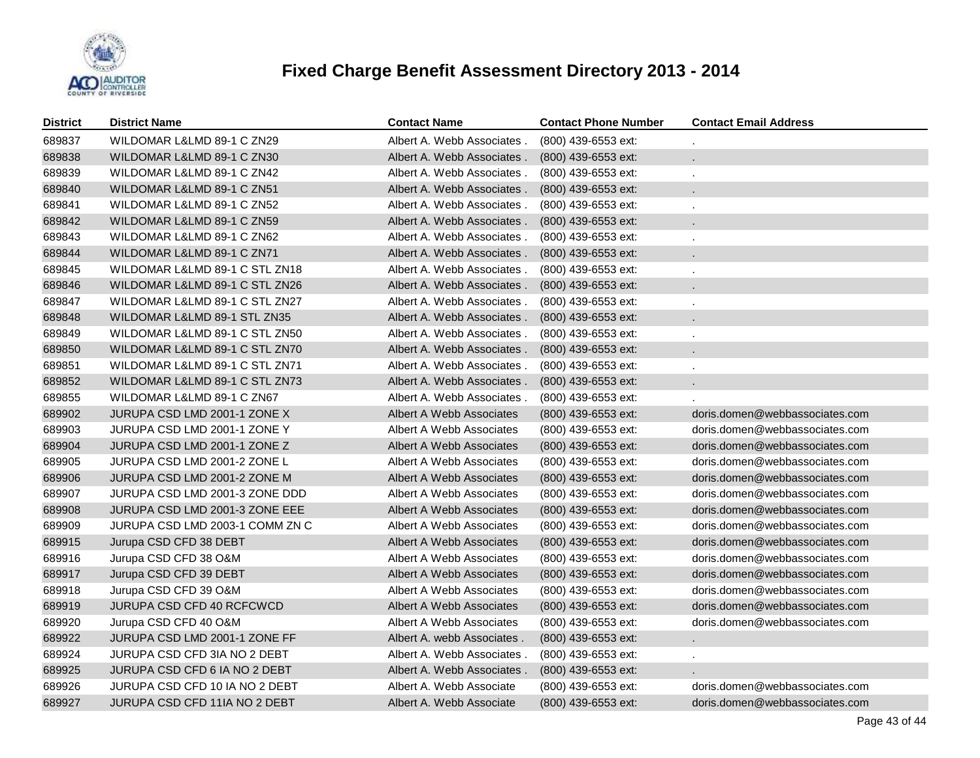

| <b>District</b> | <b>District Name</b>            | <b>Contact Name</b>        | <b>Contact Phone Number</b> | <b>Contact Email Address</b>   |
|-----------------|---------------------------------|----------------------------|-----------------------------|--------------------------------|
| 689837          | WILDOMAR L&LMD 89-1 C ZN29      | Albert A. Webb Associates. | (800) 439-6553 ext:         | ×.                             |
| 689838          | WILDOMAR L&LMD 89-1 C ZN30      | Albert A. Webb Associates. | (800) 439-6553 ext:         |                                |
| 689839          | WILDOMAR L&LMD 89-1 C ZN42      | Albert A. Webb Associates. | (800) 439-6553 ext:         | k.                             |
| 689840          | WILDOMAR L&LMD 89-1 C ZN51      | Albert A. Webb Associates. | (800) 439-6553 ext:         |                                |
| 689841          | WILDOMAR L&LMD 89-1 C ZN52      | Albert A. Webb Associates. | (800) 439-6553 ext:         | ä,                             |
| 689842          | WILDOMAR L&LMD 89-1 C ZN59      | Albert A. Webb Associates. | (800) 439-6553 ext:         |                                |
| 689843          | WILDOMAR L&LMD 89-1 C ZN62      | Albert A. Webb Associates. | (800) 439-6553 ext:         | ä,                             |
| 689844          | WILDOMAR L&LMD 89-1 C ZN71      | Albert A. Webb Associates. | (800) 439-6553 ext:         |                                |
| 689845          | WILDOMAR L&LMD 89-1 C STL ZN18  | Albert A. Webb Associates. | (800) 439-6553 ext:         | ä,                             |
| 689846          | WILDOMAR L&LMD 89-1 C STL ZN26  | Albert A. Webb Associates. | (800) 439-6553 ext:         |                                |
| 689847          | WILDOMAR L&LMD 89-1 C STL ZN27  | Albert A. Webb Associates. | (800) 439-6553 ext:         |                                |
| 689848          | WILDOMAR L&LMD 89-1 STL ZN35    | Albert A. Webb Associates. | $(800)$ 439-6553 ext:       |                                |
| 689849          | WILDOMAR L&LMD 89-1 C STL ZN50  | Albert A. Webb Associates. | (800) 439-6553 ext:         |                                |
| 689850          | WILDOMAR L&LMD 89-1 C STL ZN70  | Albert A. Webb Associates. | $(800)$ 439-6553 ext:       |                                |
| 689851          | WILDOMAR L&LMD 89-1 C STL ZN71  | Albert A. Webb Associates. | (800) 439-6553 ext:         | $\mathbf{r}$                   |
| 689852          | WILDOMAR L&LMD 89-1 C STL ZN73  | Albert A. Webb Associates. | $(800)$ 439-6553 ext:       | L.                             |
| 689855          | WILDOMAR L&LMD 89-1 C ZN67      | Albert A. Webb Associates. | (800) 439-6553 ext:         |                                |
| 689902          | JURUPA CSD LMD 2001-1 ZONE X    | Albert A Webb Associates   | (800) 439-6553 ext:         | doris.domen@webbassociates.com |
| 689903          | JURUPA CSD LMD 2001-1 ZONE Y    | Albert A Webb Associates   | (800) 439-6553 ext:         | doris.domen@webbassociates.com |
| 689904          | JURUPA CSD LMD 2001-1 ZONE Z    | Albert A Webb Associates   | (800) 439-6553 ext:         | doris.domen@webbassociates.com |
| 689905          | JURUPA CSD LMD 2001-2 ZONE L    | Albert A Webb Associates   | (800) 439-6553 ext:         | doris.domen@webbassociates.com |
| 689906          | JURUPA CSD LMD 2001-2 ZONE M    | Albert A Webb Associates   | (800) 439-6553 ext:         | doris.domen@webbassociates.com |
| 689907          | JURUPA CSD LMD 2001-3 ZONE DDD  | Albert A Webb Associates   | (800) 439-6553 ext:         | doris.domen@webbassociates.com |
| 689908          | JURUPA CSD LMD 2001-3 ZONE EEE  | Albert A Webb Associates   | (800) 439-6553 ext:         | doris.domen@webbassociates.com |
| 689909          | JURUPA CSD LMD 2003-1 COMM ZN C | Albert A Webb Associates   | (800) 439-6553 ext:         | doris.domen@webbassociates.com |
| 689915          | Jurupa CSD CFD 38 DEBT          | Albert A Webb Associates   | (800) 439-6553 ext:         | doris.domen@webbassociates.com |
| 689916          | Jurupa CSD CFD 38 O&M           | Albert A Webb Associates   | (800) 439-6553 ext:         | doris.domen@webbassociates.com |
| 689917          | Jurupa CSD CFD 39 DEBT          | Albert A Webb Associates   | $(800)$ 439-6553 ext:       | doris.domen@webbassociates.com |
| 689918          | Jurupa CSD CFD 39 O&M           | Albert A Webb Associates   | (800) 439-6553 ext:         | doris.domen@webbassociates.com |
| 689919          | JURUPA CSD CFD 40 RCFCWCD       | Albert A Webb Associates   | (800) 439-6553 ext:         | doris.domen@webbassociates.com |
| 689920          | Jurupa CSD CFD 40 O&M           | Albert A Webb Associates   | (800) 439-6553 ext:         | doris.domen@webbassociates.com |
| 689922          | JURUPA CSD LMD 2001-1 ZONE FF   | Albert A. webb Associates. | (800) 439-6553 ext:         | ¥.                             |
| 689924          | JURUPA CSD CFD 3IA NO 2 DEBT    | Albert A. Webb Associates. | (800) 439-6553 ext:         |                                |
| 689925          | JURUPA CSD CFD 6 IA NO 2 DEBT   | Albert A. Webb Associates. | (800) 439-6553 ext:         |                                |
| 689926          | JURUPA CSD CFD 10 IA NO 2 DEBT  | Albert A. Webb Associate   | (800) 439-6553 ext:         | doris.domen@webbassociates.com |
| 689927          | JURUPA CSD CFD 11IA NO 2 DEBT   | Albert A. Webb Associate   | (800) 439-6553 ext:         | doris.domen@webbassociates.com |